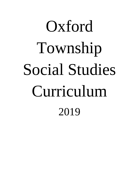# Oxford Township Social Studies Curriculum 2019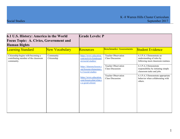| 6.1 U.S. History: America in the World<br><b>Focus Topic: A. Civics, Government and</b><br><b>Human Rights</b> |                          | <b>Grade Levels: P</b>                                                     |                                                       |                                                                                             |
|----------------------------------------------------------------------------------------------------------------|--------------------------|----------------------------------------------------------------------------|-------------------------------------------------------|---------------------------------------------------------------------------------------------|
| <b>Learning Standard</b>                                                                                       | New Vocabulary           | <b>Resources</b>                                                           | <b>Benchmarks/Assessments</b>                         | <b>Student Evidence</b>                                                                     |
| Citizenship begins with becoming a<br>contributing member of the classroom<br>community.                       | Community<br>Citizenship | https://www.education.<br>com/activity/kindergart<br>en/social-studies/    | <b>Teacher Observation</b><br><b>Class Discussion</b> | 6.1.P.A.1 Demonstrate an<br>understanding of rules by<br>following most classroom routines. |
|                                                                                                                |                          | https://sharemylesson.c<br>om/lessons/elementary-<br>$k-2$ /social-studies | <b>Teacher Observation</b><br><b>Class Discussion</b> | 6.1.P.A.2 Demonstrate<br>responsibility by initiating simple<br>classroom tasks and jobs.   |
|                                                                                                                |                          | https://www.education.<br>com/lesson-plan/what-i<br>s-a-good-citizen/      | <b>Teacher Observation</b><br><b>Class Discussion</b> | 6.1.P.A.3 Demonstrate appropriate<br>behavior when collaborating with<br>others.            |
|                                                                                                                |                          |                                                                            |                                                       |                                                                                             |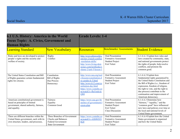| 6.1 U.S. History: America in the World<br><b>Focus Topic: A. Civics, Government and</b><br><b>Human Rights</b>                      |                                                                                                                    | <b>Grade Levels: 1-4</b>                                                                                                                                                                     |                                                                                                                             |                                                                                                                                                                                                                                                                                                                |
|-------------------------------------------------------------------------------------------------------------------------------------|--------------------------------------------------------------------------------------------------------------------|----------------------------------------------------------------------------------------------------------------------------------------------------------------------------------------------|-----------------------------------------------------------------------------------------------------------------------------|----------------------------------------------------------------------------------------------------------------------------------------------------------------------------------------------------------------------------------------------------------------------------------------------------------------|
| <b>Learning Standard</b>                                                                                                            | New Vocabulary                                                                                                     | <b>Resources</b>                                                                                                                                                                             | <b>Benchmarks/Assessments</b>                                                                                               | <b>Student Evidence</b>                                                                                                                                                                                                                                                                                        |
| Rules and laws are developed to protect<br>people's rights and the security and<br>welfare of society.                              | Rights<br>Conflict                                                                                                 | http://www.pbisworld.c<br>om/tier-2/teach-conflict<br>-resolution-skills/<br>http://www.living-dem<br>ocracy.com/textbooks/v<br>olume-2/unit-5/lesson-1                                      | <b>Oral Presentation</b><br><b>Formative Assessment</b><br><b>Student Project</b><br>Exit Ticket                            | 6.1.4.A.1 Explain how rules and<br>laws created by community, state,<br>and national governments protect<br>the rights of people, help resolve<br>conflicts, and promote the<br>common good.                                                                                                                   |
| The United States Constitution and Bill<br>of Rights guarantee certain fundamental<br>rights for citizens.                          | Constitution<br><b>Bill of Rights</b><br>Due Process<br>Democracy                                                  | http://www.nea.org/tool<br>s/lessons/constitution-d<br>ay-grades-k-5.html<br>http://www.k12.com/co<br>nstitution-day.html<br>https://www.youtube.co<br>m/watch?v=RnVmIrAi<br>QB <sub>8</sub> | Oral Presentation<br><b>Formative Assessment</b><br><b>Student Project</b><br><b>Exit Ticket</b>                            | 6.1.4.A.2 Explain how<br>fundamental rights guaranteed by<br>the United States Constitution and<br>the Bill of Rights (i.e., freedom of<br>expression, freedom of religion,<br>the right to vote, and the right to<br>due process) contribute to the<br>continuation and improvement of<br>American democracy. |
| American constitutional government is<br>based on principles of limited<br>government, shared authority, fairness,<br>and equality. | Fairness<br>Equality<br>Common Good                                                                                | https://www.usa.gov/br<br>anches-of-government-l<br>esson-plan                                                                                                                               | Oral Presentation<br><b>Formative Assessment</b><br><b>Student Project</b><br><b>Exit Ticket</b><br><b>Class Discussion</b> | 6.1.4.A.3 Determine how<br>"fairness," "equality," and the<br>"common good" have influenced<br>new laws and policies over time at<br>the local and national levels of<br>United States government.                                                                                                             |
| There are different branches within the<br>United States government, each with its<br>own structure, leaders, and processes,        | Three Branches of Government<br><b>Checks and Balances</b><br><b>Federal Government</b><br><b>State Government</b> | https://www.youtube.co<br>m/watch?v=-EISWIY9<br>bG8                                                                                                                                          | Oral Presentation<br>Formative Assessment<br><b>Student Project</b><br><b>Exit Ticket</b>                                   | 6.1.4.A.4 Explain how the United<br>States government is organized<br>and how the United States                                                                                                                                                                                                                |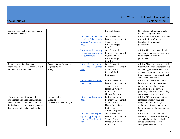| and each designed to address specific    |                             |                           | <b>Research Project</b>     | Constitution defines and checks       |
|------------------------------------------|-----------------------------|---------------------------|-----------------------------|---------------------------------------|
| issues and concerns.                     |                             |                           |                             | the power of government               |
|                                          |                             | https://constitutioncente | <b>Oral Presentation</b>    | 6.1.4.A.5 Distinguish the roles and   |
|                                          |                             | r.org/learn/educational-  | <b>Formative Assessment</b> | responsibilities of the three         |
|                                          |                             | resources/we-the-civics   | <b>Student Project</b>      | branches of the national              |
|                                          |                             | -kids                     | Research Project            | government                            |
|                                          |                             |                           | <b>Exit Ticket</b>          |                                       |
|                                          |                             | https://www.icivics.org/  | Oral Presentation           | 6.1.4.A.6 Explain how national        |
|                                          |                             | curriculum/state-and-lo   | <b>Formative Assessment</b> | and state governments share power     |
|                                          |                             | cal-government            | <b>Student Project</b>      | in the federal system of              |
|                                          |                             |                           | Research Project            | government.                           |
|                                          |                             |                           | Exit ticket                 |                                       |
| In a representative democracy,           | Representative Democracy    | https://educators.brainp  | <b>Oral Presentation</b>    | 6.1.4.A.7 Explain how the United      |
| individuals elect representatives to act | Representative              | op.com/bp-topic/democ     | <b>Formative Assessment</b> | States functions as a representative  |
| on the behalf of the people.             | Policy                      | racy/                     | <b>Student Project</b>      | democracy, and describe the roles     |
|                                          |                             |                           | Research Project            | of elected representatives and how    |
|                                          |                             |                           | Exit ticket                 | they interact with citizens at local, |
|                                          |                             |                           |                             | state, and national levels.           |
|                                          |                             | http://www.ushistory.or   | Performance task            | 6.1.4.A.8 Compare and contrast        |
|                                          |                             | $g/gov/12$ .asp           | <b>Formative Assessment</b> | how government functions at the       |
|                                          |                             |                           | <b>Student Project</b>      | community, county, state, and         |
|                                          |                             |                           | Hands On Activity           | national levels, the services         |
|                                          |                             |                           | <b>Exit Ticket</b>          | provided, and the impact of policy    |
|                                          |                             |                           | Graphic Organizer           | decisions made at each level.         |
| The examination of individual            | Human Rights                | https://www.hrw.org/hi    | Performance task            | 6.1.4.A.9 Compare and contrast        |
| experiences, historical narratives, and  | Violation                   | story                     | Formative Assessment        | responses of individuals and          |
| events promotes an understanding of      | Dr. Martin Luther King, Jr. |                           | <b>Student Project</b>      | groups, past and present, to          |
| individual and community responses to    |                             |                           | Hands On Activity           | violations of fundamental rights      |
| the violation of fundamental rights.     |                             |                           | <b>Exit Ticket</b>          | (e.g., fairness, civil rights, human  |
|                                          |                             |                           | Graphic Organizer           | rights).                              |
|                                          |                             | https://www.nobelprize.   | <b>Oral Presentation</b>    | 6.1.4.A.10 Describe how the           |
|                                          |                             | org/nobel prizes/peace/   | Formative Assessment        | actions of Dr. Martin Luther King,    |
|                                          |                             | laureates/1964/king-bio   | <b>Student Project</b>      | Jr., and other civil rights leaders   |
|                                          |                             | .html                     | Hands On Activity           | served as catalysts for social        |
|                                          |                             |                           | <b>Exit Ticket</b>          | change and inspired social            |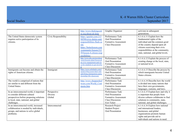|                                                                                                                                                                               |                                  | http://www.thekingcent<br>er.org/about-dr-king                                                                                                                                           | Graphic Organizer                                                                                              | activism in subsequent<br>generations.                                                                                                                                                                                                      |
|-------------------------------------------------------------------------------------------------------------------------------------------------------------------------------|----------------------------------|------------------------------------------------------------------------------------------------------------------------------------------------------------------------------------------|----------------------------------------------------------------------------------------------------------------|---------------------------------------------------------------------------------------------------------------------------------------------------------------------------------------------------------------------------------------------|
| The United States democratic system<br>requires active participation of its<br>citizens.                                                                                      | Civic Responsibility             | https://quizlet.com/215<br>94590/civic-duties-and-<br>responsibilities-flash-ca<br>rds/<br>https://betterlesson.com<br>/community/lesson/212<br>59/lesson-4-citizen-resp<br>onsibilities | Performance Task<br>Oral Presentation<br><b>Formative Assessment</b><br><b>Class Discussion</b>                | 6.1.4.A.11 Explain how the<br>fundamental rights of the<br>individual and the common good<br>of the country depend upon all<br>citizens exercising their civic<br>responsibilities at the community,<br>state, national, and global levels. |
|                                                                                                                                                                               |                                  | http://www.pbs.org/newshour<br>/extra/lessons-plans/lesson-pl<br>an-civic-engagement-and-wa<br>ys-for-students-to-get-involve<br>d/                                                      | Performance Task<br><b>Oral Presentation</b><br>Formative Assessment<br><b>Class Discussion</b>                | 6.1.4.A.12 Explain the process of<br>creating change at the local, state,<br>or national level.                                                                                                                                             |
| Immigrants can become and obtain the<br>rights of American citizens.                                                                                                          | Immigrant                        | https://www.scholastic.com/t<br>eachers/blog-posts/shari-edw<br>ards/bring-immigration-and-c<br>itizenship-life-classroom/                                                               | Performance Task<br><b>Oral Presentation</b><br>Formative Assessment<br><b>Class Discussion</b>                | 6.1.4.A.13 Describe the process by<br>which immigrants become United<br>States citizens.                                                                                                                                                    |
| The world is comprised of nations that<br>are similar to and different from the<br>United States.                                                                             |                                  | http://www.sheppardsof<br>tware.com/World Cont<br>inents.htm                                                                                                                             | Performance Task<br><b>Oral Presentation</b><br>Formative Assessment<br><b>Class Discussion</b>                | 6.1.4.A.14 Describe how the world<br>is divided into many nations that<br>have their own governments,<br>languages, customs, and laws.                                                                                                      |
| In an interconnected world, it important<br>to consider different cultural<br>perspectives before proposing solutions<br>to local, state, national, and global<br>challenges. | Perspective<br>Diverse<br>Global |                                                                                                                                                                                          | Performance Task<br><b>Oral Presentation</b><br>Formative Assessment<br><b>Class Discussion</b><br>Exit Ticket | 6.1.4.A.15 Explain how and why it<br>is important that people from<br>diverse cultures collaborate to find<br>solutions to community, state,<br>national, and global challenges.                                                            |
| In an interconnected world, increased<br>collaboration is needed by individuals,<br>groups, and nations to solve global<br>problems.                                          | Interconnected                   |                                                                                                                                                                                          | Research Project<br><b>Student Project</b><br>Oral Presentation                                                | 6.1.4.A.16 Explore how national<br>and international leaders,<br>businesses, and global<br>organizations promote human<br>rights and provide aid to<br>individuals and nations in need.                                                     |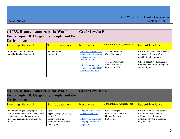| 6.1 U.S. History: America in the World<br>Focus Topic: B. Geography, People, and the<br>Environment |                           |                                                                                                | <b>Grade Levels: P</b>                                             |                                                                                              |  |
|-----------------------------------------------------------------------------------------------------|---------------------------|------------------------------------------------------------------------------------------------|--------------------------------------------------------------------|----------------------------------------------------------------------------------------------|--|
| <b>Learning Standard</b>                                                                            | New Vocabulary            | <b>Resources</b>                                                                               | <b>Benchmarks/Assessments</b>                                      | <b>Student Evidence</b>                                                                      |  |
| Everyone is part of a larger<br>neighborhood and community.                                         | Neighborhood<br>Community | https://www.scholastic.<br>com/teachers/lesson-pla<br>ns/teaching-content/my<br>-neighborhood/ | <b>Teacher Observation</b><br>Class Discussion                     | 6.1.P.B.1 Develop an awareness of<br>the physical features of the<br>neighborhood/community. |  |
|                                                                                                     |                           | https://www.education.<br>com/lesson-plan/helper<br>s-in-our-community/                        | <b>Teacher Observation</b><br>Class Discussion<br>Performance Task | 6.1.P.B.2 Identify, discuss, and<br>role-play the duties of a range of<br>community workers  |  |

| 6.1 U.S. History: America in the World<br><b>Focus Topic: B. Geography, People, and the</b><br><b>Environment</b> |                          | <b>Grade Levels: 1-4</b> |                               |                                  |
|-------------------------------------------------------------------------------------------------------------------|--------------------------|--------------------------|-------------------------------|----------------------------------|
| <b>Learning Standard</b>                                                                                          | New Vocabulary           | <b>Resources</b>         | <b>Benchmarks/Assessments</b> | <b>Student Evidence</b>          |
| Spatial thinking and geographic tools                                                                             | Spatial                  | https://mapmaker.natio   | Research Project              | 6.1.4.B.1 Compare and contrast   |
| can be used to describe and analyze the                                                                           | Types of Maps (physical, | nalgeographic.org/       | Formative Assessment          | information that can be found on |
| spatial patterns and organization of                                                                              | political)               |                          | Graphic Organizer             | different types of maps and      |
| people, places, and environments on                                                                               | Cultural Diffusion       | https://www.census.gov   | Exit Ticket                   | determine how the information    |
| Earth.                                                                                                            | Economic Interdependence | /geography/interactive-  |                               | may be useful.                   |
|                                                                                                                   | Geographic               | maps.html                |                               |                                  |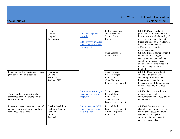|                                                                                                              | Globe<br>Latitude<br>Longitude<br>Time Zones                                                    | https://www.google.co<br>m/earth/<br>http://www.yourchildle<br>arns.com/online-interac<br>tive-maps.htm | Performance Task<br>Oral Presentation<br><b>Student Project</b><br>Rubric                                           | 6.1.4.B.2 Use physical and<br>political maps to explain how the<br>location and spatial relationship of<br>places in New Jersey, the United<br>States, and other areas, worldwide,<br>have contributed to cultural<br>diffusion and economic<br>interdependence. |
|--------------------------------------------------------------------------------------------------------------|-------------------------------------------------------------------------------------------------|---------------------------------------------------------------------------------------------------------|---------------------------------------------------------------------------------------------------------------------|------------------------------------------------------------------------------------------------------------------------------------------------------------------------------------------------------------------------------------------------------------------|
|                                                                                                              |                                                                                                 |                                                                                                         | <b>Class Discussion</b><br><b>Student Project</b>                                                                   | 6.1.4.B.3 Explain how and when it<br>is important to use digital<br>geographic tools, political maps,<br>and globes to measure distances<br>and to determine time zones and<br>locations using latitude and<br>longitude.                                        |
| Places are jointly characterized by their<br>physical and human properties.                                  | Landforms<br>Climate<br>Resources<br>Regions of NJ                                              |                                                                                                         | Student project<br>Research Project<br><b>Exit Ticket</b><br><b>Class Discussion</b><br>Formative Assessment        | 6.1.4.B.4 Describe how landforms,<br>climate and weather, and<br>availability of resources have<br>impacted where and how people<br>live and work in different regions<br>of New Jersey and the United<br>States.                                                |
| The physical environment can both<br>accommodate and be endangered by<br>human activities.                   |                                                                                                 | https://www.census.gov<br>/geography/interactive-<br>maps.html                                          | Student project<br>Research Project<br><b>Exit Ticket</b><br><b>Class Discussion</b><br><b>Formative Assessment</b> | 6.1.4.B.5 Describe how human<br>interaction impacts the<br>environment in New Jersey and the<br>United States.                                                                                                                                                   |
| Regions form and change as a result of<br>unique physical/ecological conditions,<br>economies, and cultures. | <b>Physical Conditions</b><br><b>Ecological Conditions</b><br>Economy<br>Culture<br>Regionalism | http://www.yourchildle<br>arns.com/online-interac<br>tive-maps.htm                                      | Research Project<br>Formative Assessment<br>Graphic Organizer<br><b>Exit Ticket</b>                                 | 6.1.4.B.6 Compare and contrast<br>characteristics of regions in the<br>United States based on culture,<br>economics, and physical<br>environment to understand the<br>concept of regionalism.                                                                    |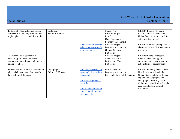| Patterns of settlement across Earth's<br>surface differ markedly from region to<br>region, place to place, and time to time. | Settlement<br><b>Natural Resources</b>     | http://www.esri.com/pr                                                                                                                                                    | <b>Student Project</b><br>Research Project<br><b>Exit Ticket</b><br><b>Class Discussion</b><br>Formative Assessment<br>Research Project | 6.1.4.B.7 Explain why some<br>locations in New Jersey and the<br>United States are more suited for<br>settlement than others.<br>6.1.4.B.8 Compare ways people                                                                                                  |
|------------------------------------------------------------------------------------------------------------------------------|--------------------------------------------|---------------------------------------------------------------------------------------------------------------------------------------------------------------------------|-----------------------------------------------------------------------------------------------------------------------------------------|-----------------------------------------------------------------------------------------------------------------------------------------------------------------------------------------------------------------------------------------------------------------|
|                                                                                                                              |                                            | oducts/maps-we-love/n<br>atural-resources                                                                                                                                 | Formative Assessment<br>Graphic Organizer<br><b>Exit Ticket</b>                                                                         | choose to use and distribute natural<br>resources                                                                                                                                                                                                               |
| Advancements in science and<br>technology can have unintended<br>consequences that impact individuals<br>and/or societies.   |                                            |                                                                                                                                                                           | Research Project<br><b>Class Discussion</b><br>Performance Task<br><b>Exit Ticket</b>                                                   | 6.1.4.B.9 Relate advances in<br>science and technology to<br>environmental concerns, and to<br>actions taken to address them.                                                                                                                                   |
| Urban areas, worldwide, share common<br>physical characteristics, but may also<br>have cultural differences.                 | Demographic<br><b>Cultural Differences</b> | https://www.census.gov<br>/geography/interactive-<br>maps.html<br>https://www.google.co<br>m/earth/<br>http://www.yourchildle<br>arns.com/online-interac<br>tive-maps.htm | Performance Task<br>Formative Assessment<br>Peer Evaluation/Self Evaluation                                                             | 6.1.4.B.10 Identify major cities in<br>New Jersey, as well as in the<br>United States, and the world, and<br>explain how geographic and<br>demographic tools (e.g., maps,<br>globes, data visualizations) can be<br>used to understand cultural<br>differences. |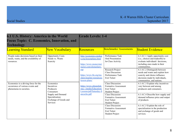| 6.1 U.S. History: America in the World<br><b>Focus Topic: C. Economics, Innovation, and</b><br>Technology |                                                                          | <b>Grade Levels: 1-4</b>                                                                            |                                                                                                        |                                                                                                                                                                  |
|-----------------------------------------------------------------------------------------------------------|--------------------------------------------------------------------------|-----------------------------------------------------------------------------------------------------|--------------------------------------------------------------------------------------------------------|------------------------------------------------------------------------------------------------------------------------------------------------------------------|
| <b>Learning Standard</b>                                                                                  | New Vocabulary                                                           | <b>Resources</b>                                                                                    | <b>Benchmarks/Assessments</b>                                                                          | <b>Student Evidence</b>                                                                                                                                          |
| People make decisions based on their<br>needs, wants, and the availability of<br>resources.               | <b>Opportunity Costs</b><br>Needs vs. Wants<br>Scarcity                  | http://economics.mrdon<br>n.org/lessonplans.html<br>https://www.moneyinst<br>ructor.com/elementary. | Performance Task<br>Oral Presentation<br>In-Class Activity                                             | 6.1.4.C.1 Apply opportunity cost<br>(i.e., choices and tradeoffs) to<br>evaluate individuals' decisions,<br>including ones made in their<br>communities.         |
|                                                                                                           |                                                                          | asp<br>https://www.fte.org/tea<br>chers/teacher-resources/<br>lesson-plans/                         | Research Project<br><b>Class Discussion</b><br>Performance Task<br><b>Exit Ticket</b>                  | 6.1.4.C.2 Distinguish between<br>needs and wants and explain how<br>scarcity and choice influence<br>decisions made by individuals,<br>communities, and nations. |
| Economics is a driving force for the<br>occurrence of various events and<br>phenomena in societies.       | Economics<br>Incentives<br>Producers<br>Consumers                        | https://www.stlouisfed.<br>org/~/media/Education/<br>Lessons/pdf/Saturday-S                         | <b>Class Discussion</b><br><b>Formative Assessment</b><br><b>Exit Ticket</b><br><b>Student Project</b> | 6.1.4.C.3 Explain why incentives<br>vary between and among<br>producers and consumers.                                                                           |
|                                                                                                           | Supply and Demand<br>Specialization<br>Exchange of Goods and<br>Services | ancocho.pdf                                                                                         | <b>Class Discussion</b><br>Formative Assessment<br><b>Exit Ticket</b><br><b>Student Project</b>        | 6.1.4.C.4 Describe how supply and<br>demand influence price and output<br>of products                                                                            |
|                                                                                                           |                                                                          |                                                                                                     | <b>Class Discussion</b><br><b>Formative Assessment</b><br><b>Exit Ticket</b><br><b>Student Project</b> | 6.1.4.C.5 Explain the role of<br>specialization in the production<br>and exchange of goods and<br>services.                                                      |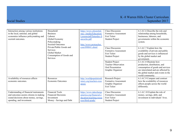| Interaction among various institutions  | Household                  | https://www.stlouisfed.  | <b>Class Discussion</b>     | 6.1.4.C.6 Describe the role and      |
|-----------------------------------------|----------------------------|--------------------------|-----------------------------|--------------------------------------|
| in the local, national, and global      | <b>Business</b>            | org/~/media/Education/   | Formative Assessment        | relationship among households,       |
| economies influence policymaking and    | Laborer                    | Lessons/pdf/Saturday-S   | <b>Exit Ticket</b>          | businesses, laborers, and            |
| societal outcomes.                      | Global Economy             | ancocho.pdf              | <b>Student Project</b>      | governments within the economic      |
|                                         | Policymaking               |                          |                             | system.                              |
|                                         | Societal Outcomes          | http://www.proteacher.   |                             |                                      |
|                                         | Private/Public Goods and   | com/090041.shtml         | <b>Class Discussion</b>     | 6.1.4.C.7 Explain how the            |
|                                         | Services                   |                          | <b>Formative Assessment</b> | availability of private and public   |
|                                         | <b>Global Market</b>       |                          |                             |                                      |
|                                         | Consumption of Goods and   |                          | <b>Exit Ticket</b>          | goods and services is influenced     |
|                                         | <b>Services</b>            |                          | <b>Student Project</b>      | by the global market and             |
|                                         |                            |                          |                             | government.                          |
|                                         |                            |                          | <b>Student Project</b>      | 6.1.4.C.8 Illustrate how             |
|                                         |                            |                          | <b>Teacher Observation</b>  | production, distribution, and        |
|                                         |                            |                          | Oral Presentation           | consumption of goods and services    |
|                                         |                            |                          | Graphic Organizer           | are interrelated and are affected by |
|                                         |                            |                          |                             | the global market and events in the  |
|                                         |                            |                          |                             | world community.                     |
| Availability of resources affects       | Resources                  | http://worldpopulationh  | Research Project            | 6.1.4.C.9 Compare and contrast       |
| economic outcomes.                      | <b>Economic Outcomes</b>   | istory.org/teachers-reso | <b>Formative Assessment</b> | how the availability of resources    |
|                                         |                            |                          | Graphic Organizer           | affects people across the world      |
|                                         |                            | urces/                   |                             |                                      |
|                                         |                            |                          | <b>Exit Ticket</b>          | differently.                         |
|                                         |                            |                          |                             |                                      |
| Understanding of financial instruments  | <b>Financial Tools</b>     | https://www.takecharge   | <b>Class Discussion</b>     | 6.1.4.C.10 Explain the role of       |
| and outcomes assists citizens in making | <b>Financial Decisions</b> | america.org/financial-e  | <b>Formative Assessment</b> | money, savings, debt, and            |
| sound decisions about money, savings,   | Investment                 | ducation/teaching-resou  | Exit Ticket                 | investment in individuals' lives.    |
| spending, and investment.               | Money - Savings and Debt   | rces/third-grade/        | <b>Student Project</b>      |                                      |
|                                         |                            |                          |                             |                                      |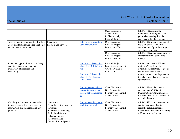| Creativity and innovation affect lifestyle,<br>access to information, and the creation of Products and Services<br>new products and services. | Inventions                                                                                                                                                                                             | http://www.njinvent.org<br>/publications.html                                                                                      | <b>Class Discussion</b><br><b>Student Project</b><br>In Class Activity<br>Research Project<br><b>Oral Presentation</b><br>Research Project<br>Performance Task | 6.1.4.C.11 Recognize the<br>importance of setting long-term<br>goals when making financial<br>decisions within the community.<br>6.1.4.C.12 Evaluate the impact of<br>ideas, inventions, and other<br>contributions of prominent figures<br>who lived New Jersey. |
|-----------------------------------------------------------------------------------------------------------------------------------------------|--------------------------------------------------------------------------------------------------------------------------------------------------------------------------------------------------------|------------------------------------------------------------------------------------------------------------------------------------|----------------------------------------------------------------------------------------------------------------------------------------------------------------|-------------------------------------------------------------------------------------------------------------------------------------------------------------------------------------------------------------------------------------------------------------------|
|                                                                                                                                               |                                                                                                                                                                                                        |                                                                                                                                    | Oral Presentation<br>Research Project<br>Performance Task                                                                                                      | 6.1.4.C.13 Examine the qualities of<br>entrepreneurs in a capitalistic<br>society.                                                                                                                                                                                |
| Economic opportunities in New Jersey<br>and other states are related to the<br>availability of resources and<br>technology.                   |                                                                                                                                                                                                        | http://lwd.dol.state.nj.us<br>/labor/lpa/LMI index.h<br>tml<br>http://lwd.dol.state.nj.us<br>/labor/lpa/content/maps<br>index.html | Research Project<br>Formative Assessment<br>Graphic Organizer<br><b>Exit Ticket</b>                                                                            | 6.1.4.C.14 Compare different<br>regions of New Jersey to<br>determine the role that geography,<br>natural resources, climate,<br>transportation, technology, and/or<br>the labor force play in economic<br>opportunities.                                         |
|                                                                                                                                               |                                                                                                                                                                                                        | http://www.state.nj.us/t<br>ransportation/works/njc<br>hoices/pdf/assessment.p<br>df                                               | <b>Class Discussion</b><br><b>Oral Presentation</b><br><b>Formative Assessment</b><br><b>Student Project</b>                                                   | 6.1.4.C.15 Describe how the<br>development of different<br>transportation systems impacted<br>the economies of New Jersey and<br>the United States                                                                                                                |
| Creativity and innovation have led to<br>improvements in lifestyle, access to<br>information, and the creation of new<br>products.            | Innovation<br>Scientific achievement and<br>Inventions<br>Science and Technology<br><b>Agricultural Society</b><br><b>Industrial Society</b><br><b>Information Age</b><br><b>Communication Systems</b> | http://www.njinvent.org<br>/publications.html                                                                                      | <b>Class Discussion</b><br>Oral Presentation<br><b>Formative Assessment</b><br><b>Student Project</b>                                                          | 6.1.4.C.16 Explain how creativity<br>and innovation resulted in<br>scientific achievement and<br>inventions in many cultures during<br>different historical periods.                                                                                              |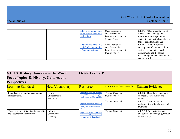|  | http://www.american-hi          | Class Discussion         | 6.1.4.C.17 Determine the role of      |
|--|---------------------------------|--------------------------|---------------------------------------|
|  | storama.org/inventors-ti        | Oral Presentation        | science and technology in the         |
|  | meline.htm                      | Formative Assessment     | transition from an agricultural       |
|  |                                 | <b>Student Project</b>   | society to an industrial society, and |
|  |                                 |                          | then to the information age.          |
|  | http://americanhistory.s        | Class Discussion         | 6.1.4.C.18 Explain how the            |
|  | <i>i.edu/collections/subjec</i> | <b>Oral Presentation</b> | development of communications         |
|  | ts/communications               | Formative Assessment     | systems has led to increased          |
|  |                                 | <b>Student Project</b>   | collaboration and the spread of       |
|  |                                 |                          | ideas throughout the United States    |
|  |                                 |                          | and the world.                        |

| 6.1 U.S. History: America in the World<br><b>Focus Topic: D. History, Culture, and</b><br><b>Perspectives</b> |                                                                                                   | <b>Grade Levels: P</b>                                                                       |                                                                                |                                                                                             |
|---------------------------------------------------------------------------------------------------------------|---------------------------------------------------------------------------------------------------|----------------------------------------------------------------------------------------------|--------------------------------------------------------------------------------|---------------------------------------------------------------------------------------------|
| <b>Learning Standard</b>                                                                                      | New Vocabulary                                                                                    | <b>Resources</b>                                                                             | <b>Benchmarks/Assessments</b>                                                  | <b>Student Evidence</b>                                                                     |
| Family<br>Individuals and families have unique<br>Characteristics<br>characteristics.<br>Traditions           | http://themes.atozteacherstuff<br>.com/198/family-lesson-plans<br>-activities-printables-and-idea | <b>Teacher Observation</b><br><b>Student Project</b>                                         | 6.1.4.D.1 Describe characteristics<br>of oneself, one's family, and<br>others. |                                                                                             |
|                                                                                                               |                                                                                                   | http://www.educationworld.c<br>om/a lesson/lesson/lesson329<br>shtml                         | <b>Teacher Observation</b>                                                     | 6.1.P.D.2 Demonstrate an<br>understanding of family roles and<br>traditions.                |
| There are many different cultures within<br>the classroom and community.                                      | Culture<br>Community<br>Diversity                                                                 | https://respectfulkindergarten<br>citizens.weebly.com/lesson-1<br>-respect-and-feelings.html | <b>Teacher Observation</b>                                                     | 6.1.P.D.3 Express individuality<br>and cultural diversity (e.g., through<br>dramatic play). |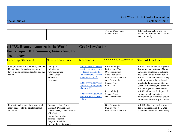|  | Teacher Observation    | 6.1.P.D.4 Learn about and respect   |
|--|------------------------|-------------------------------------|
|  | <b>Student Project</b> | other cultures within the classroom |
|  |                        | and community.                      |
|  |                        |                                     |

| 6.1 U.S. History: America in the World<br><b>Focus Topic: D. Economics, Innovation, and</b><br><b>Technology</b>                      |                                                                                                                                                                                            | <b>Grade Levels: 1-4</b>                                                                                                                                                                                                                                                   |                                                                                                                                                                                                                                                                           |                                                                                                                                                                                                                                                                                                                                                                                                                                                                         |
|---------------------------------------------------------------------------------------------------------------------------------------|--------------------------------------------------------------------------------------------------------------------------------------------------------------------------------------------|----------------------------------------------------------------------------------------------------------------------------------------------------------------------------------------------------------------------------------------------------------------------------|---------------------------------------------------------------------------------------------------------------------------------------------------------------------------------------------------------------------------------------------------------------------------|-------------------------------------------------------------------------------------------------------------------------------------------------------------------------------------------------------------------------------------------------------------------------------------------------------------------------------------------------------------------------------------------------------------------------------------------------------------------------|
| <b>Learning Standard</b>                                                                                                              | <b>New Vocabulary</b>                                                                                                                                                                      | <b>Resources</b>                                                                                                                                                                                                                                                           | <b>Benchmarks/Assessments</b>                                                                                                                                                                                                                                             | <b>Student Evidence</b>                                                                                                                                                                                                                                                                                                                                                                                                                                                 |
| Immigrants come to New Jersey and the<br>United States for various reasons and<br>have a major impact on the state and the<br>nation. | Immigrant<br>Colonization<br>Native American<br>Lenni Lenape<br>Voluntary<br>Involuntary                                                                                                   | http://www.discoveryed<br>ucation.com/teachers/fr<br>ee-lesson-plans/trails-of<br>-understanding-the-earli<br>est-immigrants.cfm<br>http://www.history.com<br>$/topics/u-s-immigration$<br>$-before-1965$<br>http://www.nj.gov/nj/ab<br>out/history/short histor<br>v.html | Research Project<br>Performance Task<br>Oral Presentation<br><b>Class Discussion</b><br><b>Formative Assessment</b><br><b>Oral Presentation</b><br><b>Student Project</b><br><b>Exit Ticket</b><br>Research Project<br><b>Student Project</b><br><b>Oral Presentation</b> | 6.1.4.D.1 Determine the impact of<br>European colonization on Native<br>American populations, including<br>the Lenni Lenape of New Jersey.<br>6.1.4.D.2 Summarize reasons why<br>various groups, voluntarily and<br>involuntarily, immigrated to New<br>Jersey and America, and describe<br>the challenges they encountered.<br>6.1.4.D.3 Evaluate the impact of<br>voluntary and involuntary<br>immigration on America's growth<br>as a nation, historically and today |
| Key historical events, documents, and<br>individuals led to the development of<br>our nation.                                         | Documents (Mayflower<br>Compact, Declaration of<br>Independence, Constitution, Bill<br>of Rights)<br>George Washington<br>Thomas Jefferson<br>Benjamin Franklin<br>Gov. William Livingston |                                                                                                                                                                                                                                                                            | Oral Presentation<br><b>Student Project</b><br><b>Formative Assessment</b>                                                                                                                                                                                                | 6.1.4.D.4 Explain how key events<br>led to the creation of the United<br>States and the state of New Jersey.                                                                                                                                                                                                                                                                                                                                                            |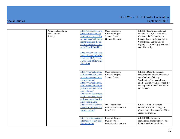| <b>American Revolution</b><br>Trans-Atlantic<br>Slavery | https://pbs39.pbslearnin<br>gmedia.org/resource/a<br>mericanexperience27p-<br>soc-compact/wgbh-ame<br>ricanexperience-the-pil<br>grims-mayflower-comp<br>act/#.WkgMIFWnHIU<br>https://www.youtube.co<br>m/watch?v=yHp7sMqP<br>$L0g\&list=PLPfU5m-w$<br>3Shp97HaB2Z9kzOmV<br><b>SFC3SIhS</b>              | <b>Class Discussion</b><br>Research Project<br><b>Student Project</b><br>Graphic Organizer | 6.1.4.D.5 Relate key historical<br>documents (i.e., the Mayflower<br>Compact, the Declaration of<br>Independence, the United States<br>Constitution, and the Bill of<br>Rights) to present day government<br>and citizenship. |
|---------------------------------------------------------|----------------------------------------------------------------------------------------------------------------------------------------------------------------------------------------------------------------------------------------------------------------------------------------------------------|--------------------------------------------------------------------------------------------|-------------------------------------------------------------------------------------------------------------------------------------------------------------------------------------------------------------------------------|
|                                                         | https://www.scholastic.<br>com/teachers/collection<br>s/teaching-content/geor<br>ge-washington/<br>https://www.scholastic.<br>com/teachers/lesson-pla<br>ns/teaching-content/tho<br>mas-jefferson/<br>http://www.discoveryed<br>ucation.com/teachers/fr<br>ee-lesson-plans/ben-fra<br>nklin-timeline.cfm | <b>Class Discussion</b><br><b>Research Project</b><br><b>Student Project</b>               | 6.1.4.D.6 Describe the civic<br>leadership qualities and historical<br>contributions of George<br>Washington, Thomas Jefferson,<br>and Benjamin Franklin toward the<br>development of the United States<br>government.        |
|                                                         | http://www.ushistory.or<br>g/declaration/related/liv<br>ingston w.html                                                                                                                                                                                                                                   | <b>Oral Presentation</b><br><b>Formative Assessment</b><br><b>Exit Ticket</b>              | 6.1.4.D.7 Explain the role<br>Governor William Livingston<br>played in the development of New<br>Jersey government.                                                                                                           |
|                                                         | http://revolutionarynj.or<br>g/learn/new-jersey-and-<br>the-revolution/                                                                                                                                                                                                                                  | Research Project<br><b>Student Project</b><br><b>Formative Assessment</b>                  | 6.1.4.D.8 Determine the<br>significance of New Jersey's role<br>in the American Revolution.                                                                                                                                   |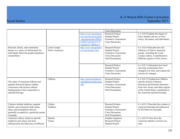|                                                                                                                                                                         |                                 |                                                                                                                             | <b>Class Discussion</b>                                                                                                   |                                                                                                                                                                                                                    |
|-------------------------------------------------------------------------------------------------------------------------------------------------------------------------|---------------------------------|-----------------------------------------------------------------------------------------------------------------------------|---------------------------------------------------------------------------------------------------------------------------|--------------------------------------------------------------------------------------------------------------------------------------------------------------------------------------------------------------------|
|                                                                                                                                                                         |                                 | http://www.inmotionaa<br>me.org/education/detail<br>.cfm;jsessionid= $f83031$<br>62401514634814777?<br>$migration=1\&bhp=1$ | Research Project<br><b>Student Project</b><br>Formative Assessment<br><b>Class Discussion</b>                             | 6.1.4.D.9 Explain the impact of<br>trans-Atlantic slavery on New<br>Jersey, the nation, and individuals.                                                                                                           |
| Personal, family, and community<br>history is a source of information for<br>individuals about the people and places<br>around them.                                    | Lenni Lenape<br>Native American | http://www.lenapelifew<br>ays.org/lenape1.htm                                                                               | Research Project<br><b>Student Project</b><br>Formative Assessment<br><b>Class Discussion</b><br>Oral Presentation        | 6.1.4.D.10 Describe how the<br>influence of Native American<br>groups, including the Lenni<br>Lenape culture, is manifested in<br>different regions of New Jersey.                                                 |
|                                                                                                                                                                         |                                 |                                                                                                                             | Research Project<br><b>Student Project</b><br>Formative Assessment<br><b>Class Discussion</b>                             | 6.1.4.D.11 Determine how local<br>and state communities have<br>changed over time, and explain the<br>reasons for changes.                                                                                         |
| The study of American folklore and<br>popular historical figures enables<br>Americans with diverse cultural<br>backgrounds to feel connected to a<br>national heritage. | Folklore                        | http://americanfolklore.<br>net/folklore/myths-lege<br>nds/                                                                 | Research Project<br><b>Student Project</b><br>Formative Assessment<br><b>Class Discussion</b><br><b>Oral Presentation</b> | 6.1.4.D.12 Explain how folklore<br>and the actions of famous<br>historical and fictional characters<br>from New Jersey and other regions<br>of the United States contributed to<br>the American national heritage. |
| Cultures include traditions, popular<br>beliefs, and commonly held values,<br>ideas, and assumptions that are<br>generally accepted by a particular group<br>of people. | Culture<br>Tradition            |                                                                                                                             | Research Project<br><b>Student Project</b><br>Formative Assessment<br><b>Class Discussion</b><br>Oral Presentation        | 6.1.4.D.13 Describe how culture is<br>expressed through and influenced<br>by the behavior of people.                                                                                                               |
| American culture, based on specific<br>traditions and values, has been<br>influenced by the behaviors of different                                                      | Identity<br>Values              |                                                                                                                             | Graphic Organizer<br>Research Project<br><b>Student Project</b>                                                           | 6.1.4.D.14 Trace how the<br>American identity evolved over<br>time.                                                                                                                                                |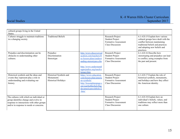| cultural groups living in the United<br>States.                                                                                                                             |                                                                   |                                                                                                                                                                           |                                                                                                      |                                                                                                                                                                                          |
|-----------------------------------------------------------------------------------------------------------------------------------------------------------------------------|-------------------------------------------------------------------|---------------------------------------------------------------------------------------------------------------------------------------------------------------------------|------------------------------------------------------------------------------------------------------|------------------------------------------------------------------------------------------------------------------------------------------------------------------------------------------|
| Cultures struggle to maintain traditions<br>in a changing society.                                                                                                          | <b>Traditional Beliefs</b>                                        |                                                                                                                                                                           | Research Project<br><b>Student Project</b><br><b>Formative Assessment</b><br><b>Class Discussion</b> | 6.1.4.D.15 Explain how various<br>cultural groups have dealt with the<br>conflict between maintaining<br>traditional beliefs and practices<br>and adopting new beliefs and<br>practices. |
| Prejudice and discrimination can be<br>obstacles to understanding other<br>cultures.                                                                                        | Prejudice<br>Discrimination<br>Stereotype                         | http://www.discoveryed<br>ucation.com/teachers/fr<br>ee-lesson-plans/underst<br>anding-stereotypes.cfm<br>http://www.understandi<br>ngprejudice.org/teach/e<br>lemact.htm | Research Project<br><b>Student Project</b><br>Formative Assessment<br>Class Discussion               | 6.1.4.D.16 Describe how<br>stereotyping and prejudice can lead<br>to conflict, using examples from<br>the past and present.                                                              |
| Historical symbols and the ideas and<br>events they represent play a role in<br>understanding and evaluating our<br>history.                                                | Historical Symbols and<br>Monuments<br><b>Historical Holidays</b> | https://www.education.<br>com/lesson-plan/americ<br>an-symbols/<br>http://lessonplanspage.c<br>om/ssartla4thofjulyflag<br>dayamericansymbols12<br>$-$ htm $/$             | Research Project<br><b>Student Project</b><br><b>Formative Assessment</b><br><b>Class Discussion</b> | 6.1.4.D.17 Explain the role of<br>historical symbols, monuments,<br>and holidays and how they affect<br>the American identity.                                                           |
| The cultures with which an individual or<br>group identifies change and evolve in<br>response to interactions with other groups<br>and/or in response to needs or concerns. |                                                                   |                                                                                                                                                                           | Research Project<br><b>Student Project</b><br><b>Formative Assessment</b><br><b>Class Discussion</b> | 6.1.4.D.18 Explain how an<br>individual's beliefs, values, and<br>traditions may reflect more than<br>one culture.                                                                       |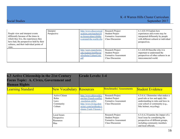| People view and interpret events<br>differently because of the times in<br>which they live, the experiences they<br>have had, the perspectives held by their<br>cultures, and their individual points of<br>view. | Interpret<br>Perspective | http://www.discoveryed<br>ucation.com/teachers/fr<br>ee-lesson-plans/childre<br>n-around-the-world.cfm | Research Project<br><b>Student Project</b><br>Formative Assessment<br>Class Discussion               | 6.1.4.D.19 Explain how<br>experiences and events may be<br>interpreted differently by people<br>with different cultural or individual<br>perspectives. |
|-------------------------------------------------------------------------------------------------------------------------------------------------------------------------------------------------------------------|--------------------------|--------------------------------------------------------------------------------------------------------|------------------------------------------------------------------------------------------------------|--------------------------------------------------------------------------------------------------------------------------------------------------------|
|                                                                                                                                                                                                                   |                          | http://users.manchester.<br>edu/student/jlstiffler/pr<br>ofwebsite/CultureUnit.<br>pdf                 | Research Project<br><b>Student Project</b><br><b>Formative Assessment</b><br><b>Class Discussion</b> | 6.1.4.D.20 Describe why it is<br>important to understand the<br>perspectives of other cultures in an<br>interconnected world.                          |

| 6.3 Active Citizenship in the 21st Century<br><b>Focus Topic: A. Civics, Government and</b><br><b>Human Rights</b> |                                                                       | <b>Grade Levels: 1-4</b>                                                                                                                                |                                                                                               |                                                                                                                                                                          |
|--------------------------------------------------------------------------------------------------------------------|-----------------------------------------------------------------------|---------------------------------------------------------------------------------------------------------------------------------------------------------|-----------------------------------------------------------------------------------------------|--------------------------------------------------------------------------------------------------------------------------------------------------------------------------|
| <b>Learning Standard</b>                                                                                           | New Vocabulary                                                        | <b>Resources</b>                                                                                                                                        | <b>Benchmarks/Assessments</b>                                                                 | <b>Student Evidence</b>                                                                                                                                                  |
|                                                                                                                    | <b>Active Citizen</b><br><b>Rules</b><br>Laws<br>Community<br>Culture | http://www.pbisworld.c<br>om/tier-2/teach-conflict<br>-resolution-skills/<br>http://www.living-dem<br>ocracy.com/textbooks/y<br>olume-2/unit-5/lesson-1 | Research Project<br><b>Student Project</b><br>Formative Assessment<br><b>Class Discussion</b> | 6.3.4.A.1 Determine what makes a<br>good rule or law and apply this<br>understanding to rules and laws in<br>your school or community (e.g.,<br>bike helmet, recycling). |
|                                                                                                                    | <b>Local Issues</b><br>Perspective<br>Resources<br><b>Bias</b>        |                                                                                                                                                         | Research Project<br><b>Student Project</b><br>Formative Assessment<br><b>Class Discussion</b> | 6.3.4.A.2 Examine the impact of a<br>local issue by considering the<br>perspectives of different groups,<br>including community members<br>and local officials.          |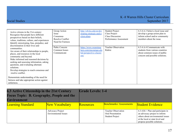| Active citizens in the 21st century:<br>Recognize that people have different<br>perspectives based on their beliefs,<br>values, traditions, culture, and experiences<br>Identify stereotyping, bias, prejudice, and                                                                                                                                                                                                                                                                        | Group Action<br>Issue<br>Consensus<br>Resolve Conflict<br>Need for Fairness | http://ctb.ku.edu/en/dev<br>eloping-strategic-and-a<br>ction-plans                | <b>Student Project</b><br>Class Project<br>Class Discussion<br>Performance Assessment | 6.3.4.A.3 Select a local issue and<br>develop a group action plan to<br>inform school and/or community<br>members about the issue. |
|--------------------------------------------------------------------------------------------------------------------------------------------------------------------------------------------------------------------------------------------------------------------------------------------------------------------------------------------------------------------------------------------------------------------------------------------------------------------------------------------|-----------------------------------------------------------------------------|-----------------------------------------------------------------------------------|---------------------------------------------------------------------------------------|------------------------------------------------------------------------------------------------------------------------------------|
| discrimination in their lives and<br>communities.<br>Are aware of their relationships to people,<br>places, and resources in the local<br>community and beyond.<br>Make informed and reasoned decisions by<br>seeking and assessing information, asking<br>questions, and evaluating alternate<br>solutions.<br>Develop strategies to reach consensus and<br>resolve conflict.<br>Demonstrate understanding of the need for<br>fairness and take appropriate action against<br>unfairness. | Pubic Concern<br>Common Issues<br>Communicate                               | https://www.weareteac<br>hers.com/encourage-glo<br>bal-perspective-classro<br>om/ | <b>Teacher Observation</b><br>Rubric                                                  | 6.3.4.A.4 Communicate with<br>students from various countries<br>about common issues of public<br>concern and possible solutions.  |

| <b>6.3 Active Citizenship in the 21st Century</b><br><b>Focus Topic: B. Geography, People and the</b><br><b>Environment</b> |                                                        | <b>Grade Levels: 1-4</b> |                                                                           |                                                                                                                                                                           |
|-----------------------------------------------------------------------------------------------------------------------------|--------------------------------------------------------|--------------------------|---------------------------------------------------------------------------|---------------------------------------------------------------------------------------------------------------------------------------------------------------------------|
| <b>Learning Standard</b>                                                                                                    | New Vocabulary                                         | <b>Resources</b>         | <b>Benchmarks/Assessments</b>                                             | <b>Student Evidence</b>                                                                                                                                                   |
|                                                                                                                             | <b>Advocacy Project</b><br><b>Environmental Issues</b> |                          | <b>Teacher Observation</b><br>Oral Presentation<br><b>Student Project</b> | 6.3.4.B.1 Plan and participate in<br>an advocacy project to inform<br>others about environmental issues<br>at the local or state level and<br>propose possible solutions. |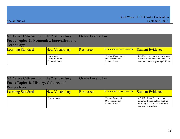| 6.3 Active Citizenship in the 21st Century<br><b>Focus Topic: C. Economics, Innovation, and</b><br><b>Technology</b> |                                                 | <b>Grade Levels: 1-4</b> |                                                                           |                                                                                                               |
|----------------------------------------------------------------------------------------------------------------------|-------------------------------------------------|--------------------------|---------------------------------------------------------------------------|---------------------------------------------------------------------------------------------------------------|
| <b>Learning Standard</b>                                                                                             | New Vocabulary                                  | <b>Resources</b>         | <b>Benchmarks/Assessments</b>                                             | <b>Student Evidence</b>                                                                                       |
|                                                                                                                      | Implement<br>Group Initiative<br>Economic Issue |                          | <b>Teacher Observation</b><br>Oral Presentation<br><b>Student Project</b> | 6.3.4.C.1 Develop and implement<br>a group initiative that addresses an<br>economic issue impacting children. |

| <b>6.3 Active Citizenship in the 21st Century</b><br><b>Focus Topic: D. History, Culture, and</b><br><b>Perspectives</b> |                | <b>Grade Levels: 1-4</b> |                                                                                  |                                                                                                                                         |
|--------------------------------------------------------------------------------------------------------------------------|----------------|--------------------------|----------------------------------------------------------------------------------|-----------------------------------------------------------------------------------------------------------------------------------------|
| <b>Learning Standard</b>                                                                                                 | New Vocabulary | <b>Resources</b>         | <b>Benchmarks/Assessments</b>                                                    | <b>Student Evidence</b>                                                                                                                 |
|                                                                                                                          | Discriminatory |                          | <b>Teacher Observation</b><br><b>Oral Presentation</b><br><b>Student Project</b> | 6.3.4.D.1 Identify actions that are<br>unfair or discriminatory, such as<br>bullying, and propose solutions to<br>address such actions. |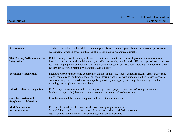| <b>Assessments</b>                                           | Teacher observation, oral prestations, student projects, rubrics, class projects, class discussion, performance<br>assessment, formative assessment, research project, graphic organizer, exit ticket                                                                                                                                                                                                         |
|--------------------------------------------------------------|---------------------------------------------------------------------------------------------------------------------------------------------------------------------------------------------------------------------------------------------------------------------------------------------------------------------------------------------------------------------------------------------------------------|
| <b>21st Century Skills and Career</b><br><b>Integration</b>  | Relate earning power to quality of life across cultures; evaluate the relationship of cultural traditions and<br>historical influences on financial practice; identify reasons why people work, different types of work, and how<br>work can help a person achieve personal and professional goals; evaluate how traditional and nontraditional<br>careers have evolved regionally, nationally, and globally. |
| <b>Technology Integration</b>                                | Digital tools (word processing documents); online simulations, videos, games, museums; create story using<br>digital cameras and multimedia tools; engage in learning activities with students in other classes, schools or<br>countries using various media formats; apply cybersafety and appropriate use policies; use geographic<br>mapping tools to plan and solve problems.                             |
| <b>Interdisciplinary Integration</b>                         | ELA: comprehension of nonfiction, writing (assignments, projects, assessments), oral presentations<br>Math: mapping skills (distance and measurement), currency and exchange rates                                                                                                                                                                                                                            |
| <b>Core Instruction and</b><br><b>Supplemental Materials</b> | Core Instructional Textbooks, supplemental internet sources and videos                                                                                                                                                                                                                                                                                                                                        |
| <b>Modifications and</b><br><b>Accommodations</b>            | ELL: leveled readers; ELL series workbook; small group instruction<br>Special Education: leveled readers; small group instruction; modified assessments<br>G&T: leveled readers; enrichment activities; small group instruction                                                                                                                                                                               |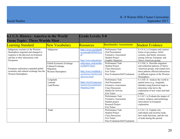| 6.1 U.S. History: America in the World                                                                                                                                                                                                                   |                                                                                                |                                                                                                                                                        | <b>Grade Levels: 5-8</b>                                                                                                                                                                                                                                                               |                                                                                                                                                                                                                                                                                                                                                                    |  |  |
|----------------------------------------------------------------------------------------------------------------------------------------------------------------------------------------------------------------------------------------------------------|------------------------------------------------------------------------------------------------|--------------------------------------------------------------------------------------------------------------------------------------------------------|----------------------------------------------------------------------------------------------------------------------------------------------------------------------------------------------------------------------------------------------------------------------------------------|--------------------------------------------------------------------------------------------------------------------------------------------------------------------------------------------------------------------------------------------------------------------------------------------------------------------------------------------------------------------|--|--|
| <b>Focus Topic: Three Worlds Meet</b>                                                                                                                                                                                                                    |                                                                                                |                                                                                                                                                        |                                                                                                                                                                                                                                                                                        |                                                                                                                                                                                                                                                                                                                                                                    |  |  |
| <b>Learning Standard</b>                                                                                                                                                                                                                                 | New Vocabulary                                                                                 | <b>Resources</b>                                                                                                                                       | <b>Benchmarks/Assessments</b>                                                                                                                                                                                                                                                          | <b>Student Evidence</b>                                                                                                                                                                                                                                                                                                                                            |  |  |
| Indigenous societies in the Western<br>Hemisphere migrated and changed in<br>response to the physical environment<br>and due to their interactions with<br>Europeans.<br>European exploration expanded global<br>economic and cultural exchange into the | Indigenous<br>Global Economic Exchange<br>Cultural Exchange<br>Migration<br>Western Hemisphere | https://www.socialstudi<br>es.com/pdf/ZP869TG.p<br>df<br>http://www.educationw<br>orld.com/a tech/techlp/<br>techlp059.shtml<br>http://www.worldtrek.o | Performance Task<br><b>Oral Presentation</b><br>Formative Assessment<br><b>Student Project</b><br>Graphic Organizer<br>Performance Task<br><b>Student Project</b><br><b>Class Discussion</b><br><b>Exit Ticket</b>                                                                     | 6.1.8.A.1.a Compare and contrast<br>forms of governance, belief<br>systems, and family structures<br>among African, European, and<br>Native American groups.<br>6.1.8.B.1.a Describe migration<br>and settlement patterns of Native<br>American groups, and explain how<br>these patterns affected interactions                                                    |  |  |
| Western Hemisphere.                                                                                                                                                                                                                                      | Longitude<br>Latitude<br><b>Land Routes</b>                                                    | rg/odyssey/teachers/ind<br>iglessons.html<br>https://www2.usgs.gov/<br>features/lewisandclark/<br>Mapping2.html                                        | Peer Evaluation/Self Evaluation<br>Performance Task<br><b>Oral Presentation</b><br>Formative Assessment<br><b>Class Discussion</b><br>Hands-On Activity<br><b>Exit Ticket</b><br>Performance Task<br>Formative Assessment<br>Student project<br>Research Project<br><b>Exit Ticket</b> | in different regions of the Western<br>Hemisphere.<br>6.1.8.B.1.b Analyze the world in<br>spatial terms (e.g., longitude,<br>latitude) using historical maps to<br>determine what led to the<br>exploration of new water and land<br>routes.<br>6.1.8.C.1.a Evaluate the impact of<br>science, religion, and technology<br>innovations on European<br>exploration. |  |  |
|                                                                                                                                                                                                                                                          | Trade                                                                                          |                                                                                                                                                        | Performance Task<br><b>Student Project</b><br><b>Class Discussion</b><br><b>Exit Ticket</b><br>Peer Evaluation/Self Evaluation                                                                                                                                                         | 6.1.8.C.1.b Explain why<br>individuals and societies trade,<br>how trade functions, and the role<br>of trade during this period.                                                                                                                                                                                                                                   |  |  |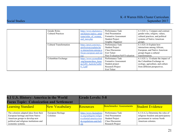| Gender Roles                   | https://www.ducksters.c | Performance Task                | 6.1.8.D.1.a Compare and contrast   |
|--------------------------------|-------------------------|---------------------------------|------------------------------------|
| <b>Cultural Practices</b>      | om/history/native amer  | Oral Presentation               | gender roles, religion, values,    |
|                                | icans/roles of women    | <b>Formative Assessment</b>     | cultural practices, and political  |
|                                | and men.php             | <b>Student Project</b>          | systems of Native American         |
|                                |                         | Graphic Organizer               | groups.                            |
| <b>Cultural Transformation</b> | https://prezi.com/myx   | Performance Task                | 6.1.8.D.1.b Explain how            |
|                                | gtw0yewm/explain-ho     | <b>Student Project</b>          | interactions among African,        |
|                                | w-interactions-among-a  | Class Discussion                | European, and Native American      |
|                                | frican-european-and-nat | Exit Ticket                     | groups began a cultural            |
|                                | 1 <sub>ve</sub>         | Peer Evaluation/Self Evaluation | transformation.                    |
| Columbian Exchange             | https://www.econedlink  | Performance Task                | 6.1.8.D.1.c Evaluate the impact of |
|                                | .org/lessons/docs lesso | Formative Assessment            | the Columbian Exchange on          |
|                                | $ns/1291$ Activity%202  | Student project                 | ecology, agriculture, and culture  |
|                                | $0$ 2.pdf               | Research Project                | from different perspectives.       |
|                                |                         | Exit Ticket                     |                                    |

| 6.1 U.S. History: America in the World          |                   | <b>Grade Levels: 5-8</b> |                               |                                     |
|-------------------------------------------------|-------------------|--------------------------|-------------------------------|-------------------------------------|
| <b>Focus Topic: Colonization and Settlement</b> |                   |                          |                               |                                     |
| <b>Learning Standard</b>                        | New Vocabulary    | <b>Resources</b>         | <b>Benchmarks/Assessments</b> | <b>Student Evidence</b>             |
|                                                 |                   |                          |                               |                                     |
| The colonists adapted ideas from their          | European Heritage | https://www.facinghisto  | Performance Task              | 6.1.8.A.2.a Determine the roles of  |
| European heritage and from Native               | Colonies          | ry.org/nobigotry/religio | Oral Presentation             | religious freedom and participatory |
| American groups to develop new                  |                   | n-colonial-america-tren  | <b>Student Project</b>        | government in various North         |
| political and religious institutions and        |                   | ds-regulations-and-beli  | <b>Class Discussion</b>       | American colonies.                  |
| economic systems.                               |                   | <u>efs</u>               | <b>Research Project</b>       |                                     |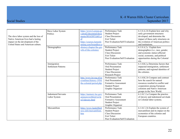|                                        | Slave Labor System<br>Politics | https://www2.census.go<br>v/prod2/decennial/docu | Performance Task<br><b>Student Project</b> | 6.1.8.A.2.b Explain how and why<br>early government structures |
|----------------------------------------|--------------------------------|--------------------------------------------------|--------------------------------------------|----------------------------------------------------------------|
| The slave labor system and the loss of |                                | ments/00165897ch01.p                             | <b>Class Discussion</b>                    | developed, and determine the                                   |
| Native American lives had a lasting    |                                | df                                               | <b>Exit Ticket</b>                         | impact of these early structures on                            |
| impact on the development of the       |                                | https://courses.lumenle                          | Peer Evaluation/Self Evaluation            | the evolution of American politics                             |
| United States and American culture.    |                                | arning.com/boundless-u                           |                                            | and institutions.                                              |
|                                        | Demographics                   | shistory/chapter/the-gro                         | Performance Task                           | 6.1.8.A.2.c Explain how                                        |
|                                        |                                | wth-of-the-colonies/                             | <b>Student Project</b>                     | demographics (i.e., race, gender,                              |
|                                        |                                |                                                  | <b>Class Discussion</b>                    | and economic status) affected                                  |
|                                        |                                |                                                  | <b>Exit Ticket</b>                         | social, economic, and political                                |
|                                        |                                |                                                  | Peer Evaluation/Self Evaluation            | opportunities during the Colonial                              |
|                                        |                                |                                                  |                                            | era.                                                           |
|                                        | Immigration                    |                                                  | Performance Task                           | 6.1.8.B.2.a Determine factors that                             |
|                                        | <b>Settlement Patterns</b>     |                                                  | Oral Presentation                          | impacted immigration, settlement                               |
|                                        |                                |                                                  | <b>Student Project</b>                     | patterns, and regional identities of                           |
|                                        |                                |                                                  | <b>Class Discussion</b>                    | the colonies.                                                  |
|                                        |                                |                                                  | Research Project                           |                                                                |
|                                        |                                | http://www.let.rug.nl/us                         | Performance Task                           | 6.1.8.B.2.b Compare and contrast                               |
|                                        |                                | a/outlines/history-1954/                         | Oral Presentation                          | how the search for natural                                     |
|                                        |                                | the-colonial-period.php                          | <b>Formative Assessment</b>                | resources resulted in conflict and                             |
|                                        |                                |                                                  | <b>Student Project</b>                     | cooperation among European                                     |
|                                        |                                |                                                  | Graphic Organizer                          | colonists and Native American                                  |
|                                        |                                |                                                  |                                            | groups in the New World.                                       |
|                                        | <b>Indentured Servants</b>     | https://memory.loc.gov/                          | Performance Task                           | 6.1.8.C.2.a Compare the practice                               |
|                                        | Labor System                   | ammem/awhhtml/awla                               | Oral Presentation                          | of slavery and indentured servitude                            |
|                                        |                                | w3/slavery.html                                  | Formative Assessment                       | in Colonial labor systems.                                     |
|                                        |                                |                                                  | <b>Student Project</b>                     |                                                                |
|                                        |                                |                                                  | Graphic Organizer                          |                                                                |
|                                        | Mercantilism                   | https://www.landoftheb                           | Performance Task                           | 6.1.8.C.2.b Explain the system of                              |
|                                        |                                | rave.info/mercantilism.                          | <b>Student Project</b>                     | mercantilism and its impact on the                             |
|                                        |                                | htm                                              | <b>Class Discussion</b>                    | economies of the colonies and                                  |
|                                        |                                |                                                  | <b>Exit Ticket</b>                         | European countries.                                            |
|                                        |                                |                                                  | Peer Evaluation/Self Evaluation            |                                                                |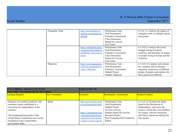| Triangular Trade | http://americanhistory.   | Performance Task            | 6.1.8.C.2.c Analyze the impact of    |
|------------------|---------------------------|-----------------------------|--------------------------------------|
|                  | mrdonn.org/triangle-tra   | Oral Presentation           | triangular trade on multiple nations |
|                  | de.html                   | <b>Formative Assessment</b> | and groups.                          |
|                  |                           | Class Discussion            |                                      |
|                  |                           | Hands-On Activity           |                                      |
|                  |                           | <b>Exit Ticket</b>          |                                      |
|                  | https://edsitement.neh.g  | Performance Task            | 6.1.8.D.2.a Analyze the power        |
|                  | ov/lesson-plan/empire-a   | <b>Oral Presentation</b>    | struggle among European              |
|                  | nd-identity-american-co   | <b>Formative Assessment</b> | countries, and determine its impact  |
|                  | lonies                    | Class Discussion            | on people living in Europe and the   |
|                  |                           | Hands-On Activity           | Americas.                            |
|                  |                           | <b>Exit Ticket</b>          |                                      |
| Migratory        | http://www.emmigratio     | Performance Task            | 6.1.8.D.2.b Compare and contrast     |
|                  | $n.info/us-immigration-t$ | <b>Oral Presentation</b>    | the voluntary and involuntary        |
|                  | rends-1700s.htm           | <b>Formative Assessment</b> | migratory experiences of different   |
|                  |                           | <b>Student Project</b>      | groups of people, and explain why    |
|                  |                           | Graphic Organizer           | their experiences differed.          |

| 6.1 U.S. History: America in the World<br><b>Focus Topic: Revolution and the New Nation</b> |                | <b>Grade Levels: 5-8</b>  |                                  |                                     |
|---------------------------------------------------------------------------------------------|----------------|---------------------------|----------------------------------|-------------------------------------|
| <b>Learning Standard</b>                                                                    | New Vocabulary | <b>Resources</b>          | <b>Benchmarks/Assessments</b>    | <b>Student Evidence</b>             |
|                                                                                             |                |                           |                                  |                                     |
| Disputes over political authority and                                                       | Ideals         | http://government.mrdo    | Performance Task                 | 6.1.8.A.3.a Examine the ideals      |
| economic issues contributed to a                                                            |                | nn.org/declaration.html   | Oral Presentation                | found in the Declaration of         |
| movement for independence in the                                                            |                |                           | <b>Student Project</b>           | Independence, and assess the        |
| colonies.                                                                                   |                |                           | In-Class Activity                | extent to which they were fulfilled |
|                                                                                             |                | https://constitutioncente | <b>Student Hands-On Activity</b> | for women, African Americans,       |
| The fundamental principles of the                                                           |                | r.org/learn/educational-  | <b>Research Project</b>          | and Native Americans during this    |
| United States Constitution serve as the                                                     |                | resources/lesson-plans/t  | Peer Evaluation/Self Evaluation  | time period.                        |
| foundation of the United States                                                             |                | o-sign-or-not-to-sign-th  | Rubric                           |                                     |
| government today                                                                            |                |                           |                                  |                                     |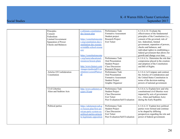| Principles                 | e-ultimate-constitution-  | Performance Task                | 6.1.8.A.3.b Evaluate the              |
|----------------------------|---------------------------|---------------------------------|---------------------------------------|
| Consent                    | day-lesson-plan           | Formative Assessment            | effectiveness of the fundamental      |
| Federalism                 |                           | Student project                 | principles of the Constitution (i.e., |
| <b>Limited Government</b>  | https://constitutioncente | Research Project                | consent of the governed, rule of      |
| Separation of Power        | r.org/constitution-day/c  | <b>Exit Ticket</b>              | law, federalism, limited              |
| <b>Checks and Balances</b> | onstitution-day-resourc   |                                 | government, separation of powers,     |
|                            | es/middle-school-resour   |                                 | checks and balances, and              |
|                            | ces/                      |                                 | individual rights) in establishing a  |
|                            |                           |                                 | federal government that allows for    |
|                            | https://constitutioncente |                                 | growth and change over time.          |
|                            | r.org/learn/educational-  | Performance Task                | 6.1.8.A.3.c Determine the role that   |
|                            | resources/lesson-plans    | Oral Presentation               | compromise played in the creation     |
|                            |                           | <b>Student Project</b>          | and adoption of the Constitution      |
|                            | http://www.history.com    | <b>Class Discussion</b>         | and Bill of Rights.                   |
|                            | /images/media/pdf/Con     | <b>Research Project</b>         |                                       |
| Articles Of Confederation  | stitution-LessonPlans.p   | Performance Task                | 6.1.8.A.3.d Compare and contrast      |
| Constitution               | df                        | Oral Presentation               | the Articles of Confederation and     |
|                            |                           | Formative Assessment            | the United States Constitution in     |
|                            |                           | <b>Student Project</b>          | terms of the decision-making          |
|                            |                           | Graphic Organizer               | powers of national government.        |
|                            |                           |                                 |                                       |
| <b>Civil Liberties</b>     | http://www.ushistory.or   | Performance Task                | 6.1.8.A.3.e Explain how and why       |
| Alien and Sedition Acts    | $g/gov/10.$ asp           | <b>Student Project</b>          | constitutional civil liberties were   |
|                            |                           | <b>Class Discussion</b>         | impacted by acts of government        |
|                            |                           | <b>Exit Ticket</b>              | (i.e., Alien and Sedition Acts)       |
|                            |                           | Peer Evaluation/Self Evaluation | during the Early Republic             |
|                            |                           |                                 |                                       |
| Political parties          | https://edsitement.neh.g  | Performance Task                | 6.1.8.A.3.f Explain how political     |
|                            | ov/lesson-plan/first-am   | <b>Student Project</b>          | parties were formed and continue      |
|                            | erican-party-system-us-   | <b>Class Discussion</b>         | to be shaped by differing             |
|                            | political-parties-princip | <b>Exit Ticket</b>              | perspectives regarding the role and   |
|                            | le-legitimate-opposition  | Peer Evaluation/Self Evaluation | power of federal government.          |
|                            |                           |                                 |                                       |
|                            |                           |                                 |                                       |
|                            |                           |                                 |                                       |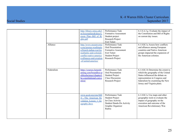|  |            | http://library.mtsu.edu/t<br>ps/lessonplans&ideas/L<br>esson Plan--Bill of Ri<br>ghts.pdf                                                                                            | Performance Task<br>Formative Assessment<br>Student project<br>Research Project<br><b>Exit Ticket</b>                              | 6.1.8.A.3.g Evaluate the impact of<br>the Constitution and Bill of Rights<br>on current day issues.                                                                                                            |
|--|------------|--------------------------------------------------------------------------------------------------------------------------------------------------------------------------------------|------------------------------------------------------------------------------------------------------------------------------------|----------------------------------------------------------------------------------------------------------------------------------------------------------------------------------------------------------------|
|  | Alliance   | http://www.mountverno<br>n.org/george-washingto<br>n/french-indian-war/tra<br>nsatlantic-and-colonial-<br>conflict-native-america<br>n-alliances-and-creation<br>-of-united-america/ | Performance Task<br>Oral Presentation<br>Formative Assessment<br><b>Exit Ticket</b><br><b>Student Project</b><br>Research Project  | 6.1.8.B.3.a Assess how conflicts<br>and alliances among European<br>countries and Native American<br>groups impacted the expansion of<br>the American colonies.                                                |
|  | Federalism | https://courses.lumenle<br>arning.com/boundless-p<br>oliticalscience/chapter/t<br>he-constitutional-conve<br>ntion/                                                                  | Performance Task<br>Oral Presentation<br><b>Student Project</b><br><b>Class Discussion</b><br>Research Project                     | 6.1.8.B.3.b Determine the extent to<br>which the geography of the United<br>States influenced the debate on<br>representation in Congress and<br>federalism by examining the New<br>Jersey and Virginia plans. |
|  |            | www.qcsd.org/cms/lib0<br>4//The American Re<br>volution Lesson 1 Ge<br>ography.docx                                                                                                  | Performance Task<br><b>Student Project</b><br>In-Class Activity<br><b>Student Hands-On Activity</b><br>Graphic Organizer<br>Rubric | 6.1.8.B.3.c Use maps and other<br>geographic tools to evaluate the<br>impact of geography on the<br>execution and outcome of the<br>American Revolutionary War.                                                |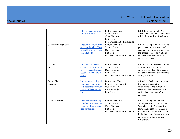| Government Regulation    | http://civiced.rutgers.ed<br>u/njlessons.html<br>https://mrbeem.wikispa<br>ces.com/file/view/Too+<br>Much+Regulation+Les<br>son+Plan.pdf | Performance Task<br><b>Student Project</b><br><b>Class Discussion</b><br><b>Exit Ticket</b><br>Peer Evaluation/Self Evaluation<br>Performance Task<br><b>Student Project</b><br><b>Class Discussion</b><br><b>Exit Ticket</b><br>Peer Evaluation/Self Evaluation | 6.1.8.B.3.d Explain why New<br>Jersey's location played an integral<br>role in the American Revolution.<br>6.1.8.C.3.a Explain how taxes and<br>government regulation can affect<br>economic opportunities, and assess<br>the impact of these on relations<br>between Britain and its North<br>American colonies. |
|--------------------------|------------------------------------------------------------------------------------------------------------------------------------------|------------------------------------------------------------------------------------------------------------------------------------------------------------------------------------------------------------------------------------------------------------------|-------------------------------------------------------------------------------------------------------------------------------------------------------------------------------------------------------------------------------------------------------------------------------------------------------------------|
| Inflation<br>Debt        | https://www.fte.org/tea<br>chers/teacher-resources/<br>lesson-plans/efflessons/<br>lesson-9-money-and-inf<br>lation/                     | Performance Task<br><b>Student Project</b><br><b>Class Discussion</b><br><b>Exit Ticket</b><br>Peer Evaluation/Self Evaluation                                                                                                                                   | 6.1.8.C.3.b Summarize the effect<br>of inflation and debt on the<br>American people and the response<br>of state and national governments<br>during this time.                                                                                                                                                    |
| Cotton Gin<br>Innovation | http://www.teachingush<br>istory.org/lessons/pdfs<br>and docs/documents/th<br>eimpactofthecottongin.<br>html                             | Performance Task<br><b>Formative Assessment</b><br>Student project<br>Research Project<br><b>Exit Ticket</b>                                                                                                                                                     | 6.1.8.C.3.c Evaluate the impact of<br>the cotton gin and other<br>innovations on the institution of<br>slavery and on the economic and<br>political development of the<br>country.                                                                                                                                |
| Seven years war          | https://ancestralfindings<br>.com/how-the-seven-ye<br>ars-war-led-to-the-amer<br>ican-revolution/                                        | Performance Task<br><b>Student Project</b><br><b>Class Discussion</b><br><b>Exit Ticket</b><br>Peer Evaluation/Self Evaluation                                                                                                                                   | 6.1.8.D.3.a Explain how the<br>consequences of the Seven Years<br>War, changes in British policies<br>toward American colonies, and<br>responses by various groups and<br>individuals in the North American<br>colonies led to the American<br>Revolution.                                                        |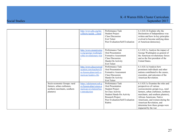|                                                                                                        | http://www.pbs.org/ktc<br>a/liberty/tguide 2.html                                                   | Performance Task<br><b>Student Project</b><br>Class Discussion<br><b>Exit Ticket</b><br>Peer Evaluation/Self Evaluation                                                                   | 6.1.8.D.3.b Explain why the<br>Declaration of Independence was<br>written and how its key principles<br>evolved to become unifying ideas<br>of American democracy.                                                                                                                                                                  |
|--------------------------------------------------------------------------------------------------------|-----------------------------------------------------------------------------------------------------|-------------------------------------------------------------------------------------------------------------------------------------------------------------------------------------------|-------------------------------------------------------------------------------------------------------------------------------------------------------------------------------------------------------------------------------------------------------------------------------------------------------------------------------------|
|                                                                                                        | http://www.mountverno<br>n.org/george-washingto<br>n/the-revolutionary-war                          | Performance Task<br>Oral Presentation<br>Formative Assessment<br><b>Class Discussion</b><br>Hands-On Activity<br><b>Exit Ticket</b>                                                       | 6.1.8.D.3.c Analyze the impact of<br>George Washington as general of<br>the American revolutionary forces<br>and as the first president of the<br>United States.                                                                                                                                                                    |
|                                                                                                        | http://www.discoveryed<br>ucation.com/teachers/fr<br>ee-lesson-plans/early-a<br>merican-leaders.cfm | Performance Task<br>Oral Presentation<br><b>Formative Assessment</b><br>Class Discussion<br>Hands-On Activity<br><b>Exit Ticket</b>                                                       | 6.1.8.D.3.d Analyze how<br>prominent individuals and other<br>nations contributed to the causes,<br>execution, and outcomes of the<br>American Revolution.                                                                                                                                                                          |
| Socio-economic Groups: rural<br>farmers, urban craftsmen,<br>northern merchants, southern<br>planters) | https://edsitement.neh.g<br>ov/lesson-plan/voices-a<br>merican-revolution#sec<br>t-introduction     | Performance Task<br>Oral Presentation<br><b>Student Project</b><br>In-Class Activity<br><b>Student Hands-On Activity</b><br>Research Project<br>Peer Evaluation/Self Evaluation<br>Rubric | 6.1.8.D.3.e Examine the roles and<br>perspectives of various<br>socioeconomic groups (e.g., rural<br>farmers, urban craftsmen, northern<br>merchants, and southern planters),<br>African Americans, Native<br>Americans, and women during the<br>American Revolution, and<br>determine how these groups were<br>impacted by the war |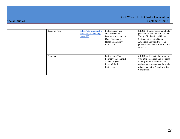## Treaty of Paris [https://edsitement.neh.g](https://edsitement.neh.gov/lesson-plan/ending-war-1783) [ov/lesson-plan/ending](https://edsitement.neh.gov/lesson-plan/ending-war-1783)[war-1783](https://edsitement.neh.gov/lesson-plan/ending-war-1783) Performance Task Oral Presentation Formative Assessment Class Discussion Hands-On Activity Exit Ticket 6.1.8.D.3.f Analyze from multiple perspectives how the terms of the Treaty of Paris affected United States relations with Native Americans and with European powers that had territories in North America. Preamble Performance Task Formative Assessment Student project Research Project Exit Ticket 6.1.8.D.3.g Evaluate the extent to which the leadership and decisions of early administrations of the national government met the goals established in the Preamble of the Constitution.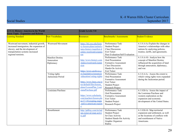| 6.1 U.S. History: America in the World<br><b>Focus Topic: Expansion and Reform</b>                                                                                            |                                                    | <b>Grade Levels: 5-8</b>                                                                                                             |                                                                                                                                          |                                                                                                                                                             |
|-------------------------------------------------------------------------------------------------------------------------------------------------------------------------------|----------------------------------------------------|--------------------------------------------------------------------------------------------------------------------------------------|------------------------------------------------------------------------------------------------------------------------------------------|-------------------------------------------------------------------------------------------------------------------------------------------------------------|
| <b>Learning Standard</b>                                                                                                                                                      | New Vocabulary                                     | <b>Resources</b>                                                                                                                     | <b>Benchmarks/Assessments</b>                                                                                                            | <b>Student Evidence</b>                                                                                                                                     |
| Westward movement, industrial growth,<br>increased immigration, the expansion of<br>slavery, and the development of<br>transportation systems increased<br>regional tensions. | <b>Westward Movement</b>                           | https://hti.osu.edu/histo<br>ry-lesson-plans/united-s<br>tates-history/manifest-d<br>estiny-westward-expans<br>ion                   | Performance Task<br><b>Student Project</b><br><b>Class Discussion</b><br><b>Exit Ticket</b><br>Peer Evaluation/Self Evaluation           | 6.1.8.A.4.a Explain the changes in<br>America's relationships with other<br>nations by analyzing policies,<br>treaties, tariffs, and agreements.            |
|                                                                                                                                                                               | <b>Manifest Destiny</b><br>Annexation<br>Diplomacy | http://www.history.com<br>/topics/westward-expan<br>sion<br>https://www.archives.g                                                   | Performance Task<br>Oral Presentation<br>Formative Assessment<br><b>Class Discussion</b><br>Hands-On Activity<br><b>Exit Ticket</b>      | 6.1.8.A.4.b Analyze how the<br>concept of Manifest Destiny<br>influenced the acquisition of land<br>through annexation, diplomacy,<br>and war.              |
|                                                                                                                                                                               | Voting rights<br>Jacksonian Period                 | ov/legislative/resources<br>/education/voting-rights<br>https://www.hnoc.org/si<br>tes/default/files/lesson<br>plans/LessonPlan Loui | Performance Task<br><b>Oral Presentation</b><br>Formative Assessment<br><b>Exit Ticket</b><br><b>Student Project</b><br>Research Project | 6.1.8.A.4.c Assess the extent to<br>which voting rights were expanded<br>during the Jacksonian period.                                                      |
|                                                                                                                                                                               | Louisiana Purchase                                 | sianaPurchase.pdf<br>https://www.scholastic.<br>com/teachers/lesson-pla<br>$ns/17-18/creating-maps$<br>-native-american-region<br>S/ | Performance Task<br><b>Oral Presentation</b><br><b>Formative Assessment</b><br>Exit Ticket<br><b>Student Project</b><br>Research Project | 6.1.8.B.4.a Assess the impact of<br>the Louisiana Purchase and<br>western exploration on the<br>expansion and economic<br>development of the United States. |
|                                                                                                                                                                               | Resettlement                                       | http://pdfray.com/in/ind<br>ian-removal-map-activi<br>ty.pdf                                                                         | Performance Task<br><b>Student Project</b><br>In-Class Activity<br>Student Hands-On Activity<br>Graphic Organizer<br>Rubric              | 6.1.8.B.4.b Map territorial<br>expansion and settlement, as well<br>as the locations of conflicts with<br>and resettlement of Native<br>Americans.          |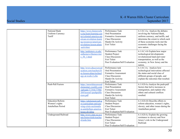| National Bank<br><b>Uniform Currency</b><br>Tariff             | https://www.historyisfu<br>n.org/learn/learning-cen<br>ter/colonial-america-am<br>erican-revolution-learni<br>ng-resources/american-<br>revolution-lesson-plans<br>-activities/ | Performance Task<br>Oral Presentation<br>Formative Assessment<br><b>Class Discussion</b><br>Hands-On Activity<br><b>Exit Ticket</b>        | 6.1.8.C.4.a Analyze the debates<br>involving the National Bank,<br>uniform currency, and tariffs, and<br>determine the extent to which each<br>of these economic tools met the<br>economic challenges facing the<br>new nation. |
|----------------------------------------------------------------|---------------------------------------------------------------------------------------------------------------------------------------------------------------------------------|--------------------------------------------------------------------------------------------------------------------------------------------|---------------------------------------------------------------------------------------------------------------------------------------------------------------------------------------------------------------------------------|
|                                                                | http://amhistory.si.edu/<br>onthemove/themes/stor<br>y 50 1.html                                                                                                                | Performance Task<br><b>Student Project</b><br><b>Class Discussion</b><br><b>Exit Ticket</b><br>Peer Evaluation/Self Evaluation             | 6.1.8.C.4.b Explain how major<br>technological developments<br>revolutionized land and water<br>transportation, as well as the<br>economy, in New Jersey and the<br>nation.                                                     |
|                                                                | http://www.discoveryed<br>ucation.com/teachers/fr<br>ee-lesson-plans/technol<br>ogy-at-work-2.cfm                                                                               | Performance task<br>Oral Presentation<br>Formative Assessment<br><b>Class Discussion</b><br>Hands-On Activity<br>Exit Ticket               | 6.1.8.C.4.c Analyze how<br>technological innovations affected<br>the status and social class of<br>different groups of people, and<br>explain the outcomes that resulted.                                                       |
| <b>Push-Pull Factors</b>                                       | https://mrswhitecawood<br>elementary.weebly.com<br>/uploads/7/7/9/6/77966<br>268/lesson5-pushpullfa<br>ctors.pdf                                                                | Performance Task<br>Oral Presentation<br><b>Formative Assessment</b><br><b>Class Discussion</b><br>Hands-On Activity<br><b>Exit Ticket</b> | 6.1.8.D.4.a Analyze the push-pull<br>factors that led to increases in<br>immigration, and explain why<br>ethnic and cultural conflicts<br>resulted.                                                                             |
| <b>Education Reform</b><br>Women's rights<br>Antebellum Period | https://edsitement.neh.g<br>ov/curriculum-unit/gro<br>wing-crisis-sectionalis<br>m-antebellum-america-<br>house-dividing                                                        | Performance Task<br><b>Student Project</b><br><b>Class Discussion</b><br><b>Exit Ticket</b><br>Peer Evaluation/Self Evaluation             | 6.1.8.D.4.b Describe efforts to<br>reform education, women's rights,<br>slavery, and other issues during the<br>Antebellum period.                                                                                              |
| <b>Underground Railroad</b>                                    | http://www.state.nj.us/s<br>tate/historykids/teacher<br>sGuide.htm                                                                                                              | Performance Task<br><b>Student Project</b><br><b>Class Discussion</b><br><b>Exit Ticket</b><br>Peer Evaluation/Self Evaluation             | 6.1.8.D.4.c Explain the growing<br>resistance to slavery and New<br>Jersey's role in the Underground<br>Railroad.                                                                                                               |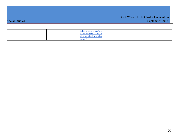|  | http <sup>-</sup><br><i><u>v/www.pbs.org/bla</u></i> |  |
|--|------------------------------------------------------|--|
|  | k-culture/shows/list/un                              |  |
|  | reground-railroad/clas                               |  |
|  | sroom/                                               |  |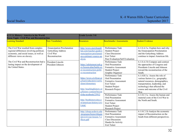| 6.1 U.S. History: America in the World           |                                  | <b>Grade Levels: 5-8</b>  |                                 |                                    |
|--------------------------------------------------|----------------------------------|---------------------------|---------------------------------|------------------------------------|
| <b>Focus Topic: Civil War and Reconstruction</b> |                                  |                           |                                 |                                    |
| <b>Learning Standard</b>                         | New Vocabulary                   | <b>Resources</b>          | <b>Benchmarks/Assessments</b>   | <b>Student Evidence</b>            |
|                                                  |                                  |                           |                                 |                                    |
| The Civil War resulted from complex              | <b>Emancipation Proclamation</b> | http://www.storyboardt    | Performance Task                | 6.1.8.A.5.a Explain how and why    |
| regional differences involving political,        | Gettysburg Address               | hat.com/teacher-guide/e   | <b>Student Project</b>          | the Emancipation Proclamation      |
| economic, and social issues, as well as          | Civil War                        | mancipation-proclamati    | <b>Class Discussion</b>         | and the Gettysburg Address         |
| different views on slavery.                      | Reconstruction                   | on-a-primary-source-an    | <b>Exit Ticket</b>              | continue to impact American life.  |
|                                                  |                                  | alysis                    | Peer Evaluation/Self Evaluation |                                    |
| The Civil War and Reconstruction had a           | President Lincoln                |                           | Performance Task                | 6.1.8.A.5.b Compare and contrast   |
| lasting impact on the development of             | President Johnson                | https://edsitement.neh.g  | Oral Presentation               | the approaches of Congress and     |
| the United States.                               |                                  | ov/lesson-plan/battle-ov  | Formative Assessment            | Presidents Lincoln and Johnson     |
|                                                  |                                  | er-reconstruction-politi  | <b>Student Project</b>          | toward the reconstruction of the   |
|                                                  |                                  | cs-reconstruction         | Graphic Organizer               | South.                             |
|                                                  |                                  |                           | Performance Task                | 6.1.8.B.5.a Assess the role of     |
|                                                  |                                  | https://www.civilwar.or   | Oral Presentation               | various factors (i.e., geography,  |
|                                                  |                                  | g/learn/educators/curric  | Formative Assessment            | natural resources, demographics,   |
|                                                  |                                  | ulum/elementary           | <b>Exit Ticket</b>              | transportation, leadership, and    |
|                                                  |                                  |                           | <b>Student Project</b>          | technology) that affected the      |
|                                                  |                                  | http://teachinghistory.or | Research Project                | course and outcome of the Civil    |
|                                                  |                                  | g/history-content/beyon   |                                 | War.                               |
|                                                  |                                  | d-the-textbook/23912      | Performance Task                | 6.1.8.C.5.a Assess the human and   |
|                                                  |                                  |                           | Oral Presentation               | material costs of the Civil War in |
|                                                  |                                  | http://besthistorysites.n | Formative Assessment            | the North and South.               |
|                                                  |                                  | et/american-history/civi  | <b>Exit Ticket</b>              |                                    |
|                                                  |                                  | $1$ -war $/$              | <b>Student Project</b>          |                                    |
|                                                  |                                  |                           | Research Project                |                                    |
|                                                  |                                  | http://chssp.ucdavis.edu  | Performance Task                | 6.1.8.C.5.b Analyze the economic   |
|                                                  |                                  | /programs/historybluepr   | Oral Presentation               | impact of Reconstruction on the    |
|                                                  |                                  | int/civil-war-lesson-7-e  | Formative Assessment            | South from different perspectives. |
|                                                  |                                  | ffects.pdf                | <b>Class Discussion</b>         |                                    |
|                                                  |                                  |                           | Hands-On Activity               |                                    |
|                                                  |                                  |                           | Exit Ticket                     |                                    |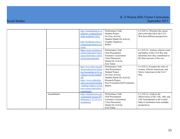|            | http://teachinghistory.or<br>g/history-content/beyon<br>d-the-textbook/23912<br>http://besthistorysites.n<br>et/american-history/civi<br>$1$ -war $/$                                                                                     | Performance Task<br><b>Student Project</b><br>In-Class Activity<br><b>Student Hands-On Activity</b><br>Graphic Organizer<br>Rubric                                                        | 6.1.8.D.5.a Prioritize the causes<br>and events that led to the Civil<br>War from different perspectives.                                              |
|------------|-------------------------------------------------------------------------------------------------------------------------------------------------------------------------------------------------------------------------------------------|-------------------------------------------------------------------------------------------------------------------------------------------------------------------------------------------|--------------------------------------------------------------------------------------------------------------------------------------------------------|
|            | https://www.civilwar.or<br>g/learn/educators/curric<br>ulum/elementary-schoo<br>l/civil-war-overview                                                                                                                                      | Performance Task<br>Oral Presentation<br>Formative Assessment<br><b>Class Discussion</b><br>Hands-On Activity<br><b>Exit Ticket</b>                                                       | 6.1.8.D.5.b Analyze critical events<br>and battles of the Civil War and<br>determine how they contributed to<br>the final outcome of the war.          |
|            | http://www.pbs.org/opb<br>/historydetectives/educa<br>tors/lessonplan/civil-wa<br>r-blacks-on-the-battlefi<br>eld/<br>https://www.gilderlehr<br>man.org/content/guided<br>-readings-impact-revolu<br>tion-women-and-africa<br>n-americans | Performance Task<br>Oral Presentation<br><b>Student Project</b><br>In-Class Activity<br><b>Student Hands-On Activity</b><br>Research Project<br>Peer Evaluation/Self Evaluation<br>Rubric | 6.1.8.D.5.c Examine the roles of<br>women, African Americans, and<br>Native Americans in the Civil<br>War.                                             |
| Amendments | https://betterlesson.com<br>/community/lesson/195<br>60/lesson-1-13-14-15-a<br>mendments                                                                                                                                                  | Performance Task<br>Oral Presentation<br>Formative Assessment<br><b>Class Discussion</b><br>Hands-On Activity<br><b>Exit Ticket</b>                                                       | 6.1.8.D.5.d Analyze the<br>effectiveness of the 13th, 14th, and<br>15th Amendments to the United<br>States Constitution from multiple<br>perspectives. |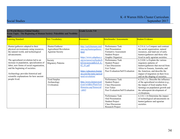| 6.2 World History/Global Studies<br><b>Focus Topic: The Beginning of Human Society: Paleolithic and Neolithic</b><br>Ages |                                | <b>Grade Levels: 5-8</b> |                                 |                                       |
|---------------------------------------------------------------------------------------------------------------------------|--------------------------------|--------------------------|---------------------------------|---------------------------------------|
| <b>Learning Standard</b>                                                                                                  | New Vocabulary                 | <b>Resources</b>         | <b>Benchmarks/Assessments</b>   | <b>Student Evidence</b>               |
|                                                                                                                           |                                |                          |                                 |                                       |
| Hunter/gatherers adapted to their                                                                                         | Hunter/Gatherer                | http://earlyhumans.mrd   | Performance Task                | 6.2.8.A.1.a Compare and contrast      |
| physical environments using resources,                                                                                    | <b>Agricultural Revolution</b> | onn.org/huntergatherer.  | Oral Presentation               | the social organization, natural      |
| the natural world, and technological                                                                                      | <b>Agrarian Society</b>        | html                     | <b>Formative Assessment</b>     | resources, and land use of early      |
| advancements.                                                                                                             |                                |                          | <b>Student Project</b>          | hunters/gatherers and those who       |
|                                                                                                                           |                                | https://www.eduplace.c   | Graphic Organizer               | lived in early agrarian societies.    |
| The agricultural revolution led to an                                                                                     | Society                        | om/ss/socsci/ca/books/b  | Performance Task                | 6.2.8.B.1.a Explain the various       |
| increase in population, specialization of                                                                                 | <b>Migratory Patterns</b>      | kf3/reviews/pdfs/LS 6    | <b>Student Project</b>          | migratory patterns of                 |
| labor, new forms of social organization,                                                                                  |                                | 02 01.pdf                | <b>Class Discussion</b>         | hunters/gatherers that moved from     |
| and the beginning of societies.                                                                                           |                                |                          | <b>Exit Ticket</b>              | Africa to Eurasia, Australia, and     |
|                                                                                                                           |                                | https://educators.brainp | Peer Evaluation/Self Evaluation | the Americas, and describe the        |
| Archaeology provides historical and                                                                                       |                                | op.com/bp-topic/agricul  |                                 | impact of migration on their lives    |
| scientific explanations for how ancient                                                                                   |                                | tural-revolution/        |                                 | and on the shaping of societies.      |
| people lived.                                                                                                             | Food Surplus                   |                          | Performance Task                | 6.2.8.C.1.a Describe the influence    |
|                                                                                                                           | Archaeology                    | http://www.historyworl   | <b>Student Project</b>          | of the agricultural revolution (e.g., |
|                                                                                                                           | Civilization                   | d.net/wrldhis/PlainText  | Class Discussion                | the impact of food surplus from       |
|                                                                                                                           |                                | Histories.asp?historyid  | <b>Exit Ticket</b>              | farming) on population growth and     |
|                                                                                                                           |                                | $=ab63$                  | Peer Evaluation/Self Evaluation | the subsequent development of         |
|                                                                                                                           |                                |                          |                                 | civilizations.                        |
|                                                                                                                           |                                |                          | Performance Task                | 6.2.8.C.1.b Determine the impact      |
|                                                                                                                           |                                |                          | Oral Presentation               | of technological advancements on      |
|                                                                                                                           |                                |                          | <b>Student Project</b>          | hunter/gatherer and agrarian          |
|                                                                                                                           |                                |                          | <b>Class Discussion</b>         | societies.                            |
|                                                                                                                           |                                |                          | <b>Research Project</b>         |                                       |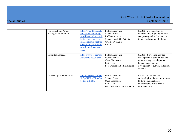| Pre-agricultural Period<br>Post-agricultural Period | https://www.khanacade<br>my.org/humanities/ap-<br>world-history/ap-world-<br>history-beginnings/ap-b<br>irth-agriculture-neolithi<br>c-revolution/a/neolithic<br>-revolution-lesson-sum<br>mary | Performance Task<br><b>Student Project</b><br>In-Class Activity<br>Student Hands-On Activity<br>Graphic Organizer<br>Rubric | 6.2.8.D.1.a Demonstrate an<br>understanding of pre-agricultural<br>and post-agricultural periods in<br>terms of relative length of time.                                    |
|-----------------------------------------------------|-------------------------------------------------------------------------------------------------------------------------------------------------------------------------------------------------|-----------------------------------------------------------------------------------------------------------------------------|-----------------------------------------------------------------------------------------------------------------------------------------------------------------------------|
| Unwritten Language                                  | http://www.pbs.org/pov<br>/tailenders/lesson-plan/                                                                                                                                              | Performance Task<br><b>Student Project</b><br>Class Discussion<br><b>Exit Ticket</b><br>Peer Evaluation/Self Evaluation     | 6.2.8.D.1.b Describe how the<br>development of both written and<br>unwritten languages impacted<br>human understanding,<br>development of culture, and social<br>structure. |
| Archaeological Discoveries                          | http://www.saa.org/pub<br>licftp/PUBLIC/links/we<br>bsites kids.html                                                                                                                            | Performance Task<br><b>Student Project</b><br>Class Discussion<br><b>Exit Ticket</b><br>Peer Evaluation/Self Evaluation     | 6.2.8.D.1.c Explain how<br>archaeological discoveries are used<br>to develop and enhance<br>understanding of life prior to<br>written records.                              |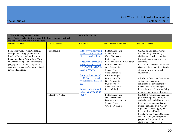| 6.2 World History/Global Studies<br><b>Focus Topic: Early Civilizations and the Emergences of Pastoral</b><br><b>Peoples: early river Valley Civilizations</b>                                                                                                                                            |                                          | <b>Grade Levels: 5-8</b>                                                                                                                                                                                                                                                                                   |                                                                                                                                                                                                                                                                                                                                                                                                                                                                                                  |                                                                                                                                                                                                                                                                                                                                                                                                                                                                                                                                                                                                                                                                                                                                                                                                                                |  |
|-----------------------------------------------------------------------------------------------------------------------------------------------------------------------------------------------------------------------------------------------------------------------------------------------------------|------------------------------------------|------------------------------------------------------------------------------------------------------------------------------------------------------------------------------------------------------------------------------------------------------------------------------------------------------------|--------------------------------------------------------------------------------------------------------------------------------------------------------------------------------------------------------------------------------------------------------------------------------------------------------------------------------------------------------------------------------------------------------------------------------------------------------------------------------------------------|--------------------------------------------------------------------------------------------------------------------------------------------------------------------------------------------------------------------------------------------------------------------------------------------------------------------------------------------------------------------------------------------------------------------------------------------------------------------------------------------------------------------------------------------------------------------------------------------------------------------------------------------------------------------------------------------------------------------------------------------------------------------------------------------------------------------------------|--|
| <b>Learning Standard</b>                                                                                                                                                                                                                                                                                  | New Vocabulary                           | Resources                                                                                                                                                                                                                                                                                                  | <b>Benchmarks/Assessments</b>                                                                                                                                                                                                                                                                                                                                                                                                                                                                    | <b>Student Evidence</b>                                                                                                                                                                                                                                                                                                                                                                                                                                                                                                                                                                                                                                                                                                                                                                                                        |  |
|                                                                                                                                                                                                                                                                                                           |                                          |                                                                                                                                                                                                                                                                                                            |                                                                                                                                                                                                                                                                                                                                                                                                                                                                                                  |                                                                                                                                                                                                                                                                                                                                                                                                                                                                                                                                                                                                                                                                                                                                                                                                                                |  |
| Early river valley civilizations (e.g.,<br>Mesopotamia, Egypt, Indus River<br>[modern Pakistan and northwestern<br>India], and, later, Yellow River Valley<br>in China) developed due to favorable<br>geographic conditions. They created<br>centralized systems of government and<br>advanced societies. | Mesopotamia<br><b>Indus River Valley</b> | http://www.historyhave<br>n.com/APWH/The%20<br>River%20Valley.htm<br>https://static.discoverye<br>ducation.com//Grade<br>%207%20Model%20Le<br>sson%20-%20E<br>https://quizlet.com/647<br>41338/early-river-valle<br>y-civilizations-flash-car<br>ds/<br>https://php.radford.<br>edu/~vga/?page_id=<br>3987 | Performance Task<br><b>Student Project</b><br><b>Class Discussion</b><br><b>Exit Ticket</b><br>Peer Evaluation/Self Evaluation<br>Performance Task<br>Oral Presentation<br><b>Student Project</b><br><b>Class Discussion</b><br>Research Project<br>Performance Task<br>Oral Presentation<br><b>Student Project</b><br><b>Class Discussion</b><br>Research Project<br>Performance Task<br><b>Oral Presentation</b><br><b>Formative Assessment</b><br><b>Student Project</b><br>Graphic Organizer | 6.2.8.A.2.a Explain how/why<br>different early river valley<br>civilizations developed similar<br>forms of government and legal<br>structures.<br>6.2.8.A.2.b Determine the role of<br>slavery in the economic and social<br>structures of early river valley<br>civilizations.<br>6.2.8.B.2.a Determine the extent to<br>which geography influenced<br>settlement, the development of<br>trade networks, technological<br>innovations, and the sustainability<br>of early river valley civilizations.<br>6.2.8.B.2.b Compare and contrast<br>physical and political maps of<br>early river valley civilizations and<br>their modern counterparts (i.e.,<br>Mesopotamia and Iraq; Ancient<br>Egypt and Modern Egypt; Indus<br>River Valley and Modern<br>Pakistan/India; Ancient China and<br>Modern China), and determine the |  |
|                                                                                                                                                                                                                                                                                                           |                                          |                                                                                                                                                                                                                                                                                                            |                                                                                                                                                                                                                                                                                                                                                                                                                                                                                                  | geopolitical impact of these<br>civilizations, then and now.                                                                                                                                                                                                                                                                                                                                                                                                                                                                                                                                                                                                                                                                                                                                                                   |  |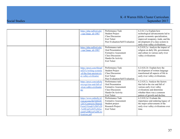|  | https://php.radford.edu/<br>$\sim$ vga/?page id=3987<br>https://php.radford.edu/<br>$\sim$ vga/?page id=3987                                                    | Performance Task<br><b>Student Project</b><br><b>Class Discussion</b><br><b>Exit Ticket</b><br>Peer Evaluation/Self Evaluation<br>Performance task<br>Oral Presentation<br><b>Formative Assessment</b><br><b>Class Discussion</b><br>Hands-On Activity<br><b>Exit Ticket</b> | 6.2.8.C.2.a Explain how<br>technological advancements led to<br>greater economic specialization,<br>improved weaponry, trade, and the<br>development of a class system in<br>early river valley civilizations.<br>6.2.8.D.2.a Analyze the impact of<br>religion on daily life, government,<br>and culture in various early river<br>valley civilizations |
|--|-----------------------------------------------------------------------------------------------------------------------------------------------------------------|------------------------------------------------------------------------------------------------------------------------------------------------------------------------------------------------------------------------------------------------------------------------------|----------------------------------------------------------------------------------------------------------------------------------------------------------------------------------------------------------------------------------------------------------------------------------------------------------------------------------------------------------|
|  | https://prezi.com/6hizpf<br>mf2t7c/writing-systems<br>-of-the-four-ancient-riv<br>er-valley-civilizatio/                                                        | Performance Task<br><b>Student Project</b><br><b>Class Discussion</b><br><b>Exit Ticket</b><br>Peer Evaluation/Self Evaluation                                                                                                                                               | 6.2.8.D.2.b Explain how the<br>development of written language<br>transformed all aspects of life in<br>early river valley civilizations.                                                                                                                                                                                                                |
|  | https://prezi.com/adichc<br>swyxgz/rise-and-fall-of<br>-river-valley-civilizatio<br>ns/                                                                         | Performance task<br>Oral Presentation<br><b>Formative Assessment</b><br><b>Class Discussion</b><br>Hands-On Activity<br><b>Exit Ticket</b>                                                                                                                                   | 6.2.8.D.2.c Analyze the factors<br>that led to the rise and fall of<br>various early river valley<br>civilizations and determine<br>whether there was a common<br>pattern of growth and decline.                                                                                                                                                         |
|  | https://www.mtholly.k1<br>2.nj.us/cms/lib/NJ0220<br>1267/Centricity/Shared/<br>Form2/Grade%206%20<br>-%20Unit%203%20An<br>cient%20River%20Civi<br>lizations.pdf | Performance Task<br>Formative Assessment<br>Student project<br>Research Project<br><b>Exit Ticket</b>                                                                                                                                                                        | 6.2.8.D.2.d Evaluate the<br>importance and enduring legacy of<br>the major achievements of the<br>early river valley civilizations over<br>time.                                                                                                                                                                                                         |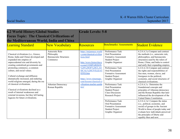| <b>6.2 World History/Global Studies</b>                                                                                                                                                                                                                                                                                                                                                                                                                                                                                                                                        |                                                                                                                     | <b>Grade Levels: 5-8</b>                                                                                                                                                                                                                                            |                                                                                                                                                                                                                                                                                                                                                                                                                                                                                            |                                                                                                                                                                                                                                                                                                                                                                                                                                                                                                                                                                                                                                                                                                                                                                                                                                                                                              |  |
|--------------------------------------------------------------------------------------------------------------------------------------------------------------------------------------------------------------------------------------------------------------------------------------------------------------------------------------------------------------------------------------------------------------------------------------------------------------------------------------------------------------------------------------------------------------------------------|---------------------------------------------------------------------------------------------------------------------|---------------------------------------------------------------------------------------------------------------------------------------------------------------------------------------------------------------------------------------------------------------------|--------------------------------------------------------------------------------------------------------------------------------------------------------------------------------------------------------------------------------------------------------------------------------------------------------------------------------------------------------------------------------------------------------------------------------------------------------------------------------------------|----------------------------------------------------------------------------------------------------------------------------------------------------------------------------------------------------------------------------------------------------------------------------------------------------------------------------------------------------------------------------------------------------------------------------------------------------------------------------------------------------------------------------------------------------------------------------------------------------------------------------------------------------------------------------------------------------------------------------------------------------------------------------------------------------------------------------------------------------------------------------------------------|--|
| <b>Focus Topic: The Classical Civilizations of</b>                                                                                                                                                                                                                                                                                                                                                                                                                                                                                                                             |                                                                                                                     |                                                                                                                                                                                                                                                                     |                                                                                                                                                                                                                                                                                                                                                                                                                                                                                            |                                                                                                                                                                                                                                                                                                                                                                                                                                                                                                                                                                                                                                                                                                                                                                                                                                                                                              |  |
| the Mediterranean World, India and China                                                                                                                                                                                                                                                                                                                                                                                                                                                                                                                                       |                                                                                                                     |                                                                                                                                                                                                                                                                     |                                                                                                                                                                                                                                                                                                                                                                                                                                                                                            |                                                                                                                                                                                                                                                                                                                                                                                                                                                                                                                                                                                                                                                                                                                                                                                                                                                                                              |  |
| Learning Standard                                                                                                                                                                                                                                                                                                                                                                                                                                                                                                                                                              | New Vocabulary                                                                                                      | <b>Resources</b>                                                                                                                                                                                                                                                    | <b>Benchmarks/Assessments</b>                                                                                                                                                                                                                                                                                                                                                                                                                                                              | <b>Student Evidence</b>                                                                                                                                                                                                                                                                                                                                                                                                                                                                                                                                                                                                                                                                                                                                                                                                                                                                      |  |
| Classical civilizations (i.e., Greece,<br>Rome, India and China) developed and<br>expanded into empires of<br>unprecedented size and diversity by<br>creating centralized governments and<br>promoting commerce, a common<br>culture, and social values.<br>Cultural exchange and diffusion<br>dramatically increased, and enduring<br>world religions emerged, during the era<br>of classical civilizations.<br>Classical civilizations declined as a<br>result of internal weaknesses and<br>external invasions, but they left lasting<br>legacies for future civilizations. | Autocratic Rule<br>Philosophy<br><b>Bureaucratic Structures</b><br>Commerce<br>Athenian Democracy<br>Roman Republic | https://mrjannace.weebl<br>y.com/classical-civiliza<br>tions.html<br>http://www.historyhave<br>n.com/COMPARISON<br>%20%20OF%20CLAS<br>SICAL%20CIVILIZAT<br><b>IONS.htm</b><br>https://www.timemaps.<br>com/lessons/classical-ci<br>vilization-teacher-guida<br>nce/ | Performance Task<br><b>Oral Presentation</b><br><b>Formative Assessment</b><br><b>Student Project</b><br>Graphic Organizer<br>Performance Task<br><b>Oral Presentation</b><br>Formative Assessment<br><b>Student Project</b><br>Graphic Organizer<br>Performance Task<br>Oral Presentation<br><b>Student Project</b><br><b>Class Discussion</b><br>Research Project<br>Performance Task<br><b>Oral Presentation</b><br>Formative Assessment<br><b>Student Project</b><br>Graphic Organizer | 6.2.8.A.3.a Compare and contrast<br>the methods (i.e., autocratic rule,<br>philosophies, and bureaucratic<br>structures) used by the rulers of<br>Rome, China, and India to control<br>and unify their expanding empires.<br>6.2.8.A.3.b Compare and contrast<br>the rights and responsibilities of<br>free men, women, slaves, and<br>foreigners in the political,<br>economic, and social structures of<br>classical civilizations.<br>6.2.8.A.3.c Determine the<br>foundational concepts and<br>principles of Athenian democracy<br>and the Roman Republic that later<br>influenced the development of the<br>United States Constitution.<br>6.2.8.A.3.d Compare the status<br>(i.e., political, economic, and<br>social) of groups in the Ancient<br>World to those of people today and<br>evaluate how individuals perceived<br>the principles of liberty and<br>equality then and now. |  |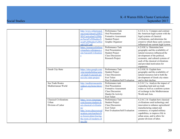|                                | http://www.whitetwpsd.    | Performance Task                | 6.2.8.A.3.e Compare and contrast    |
|--------------------------------|---------------------------|---------------------------------|-------------------------------------|
|                                | org/wtsd/About%20WT       | Oral Presentation               | the American legal system with the  |
|                                | SD/Curriculum%20Ma        | <b>Formative Assessment</b>     | legal systems of classical          |
|                                | ps/Social%20Studies/S     | <b>Student Project</b>          | civilizations, and determine the    |
|                                | ocial%20Studies%20Gr      | Graphic Organizer               | extent to which these early systems |
|                                | ade%207.pdf               |                                 | influenced our current legal system |
|                                | https://resourcesforhisto | Performance Task                | 6.2.8.B.3.a Determine how           |
|                                | ryteachers.wikispaces.c   | <b>Oral Presentation</b>        | geography and the availability of   |
|                                | om/AncientCivilization    | <b>Student Project</b>          | natural resources influenced the    |
|                                | $\underline{\mathbf{S}}$  | <b>Class Discussion</b>         | development of the political,       |
|                                |                           | <b>Research Project</b>         | economic, and cultural systems of   |
|                                |                           |                                 | each of the classical civilizations |
|                                |                           |                                 | and provided motivation for         |
|                                |                           |                                 | expansion.                          |
| Greek City-State               | https://sites.google.com  | Performance Task                | 6.2.8.B.3.b Explain how             |
|                                | /site/mirabellafmg/units  | <b>Student Project</b>          | geography and the availability of   |
|                                | -of-study/6-ancient-gre   | <b>Class Discussion</b>         | natural resources led to both the   |
|                                | ece/city-state-project    | <b>Exit Ticket</b>              | development of Greek city-states    |
|                                |                           | Peer Evaluation/Self Evaluation | and to their decline.               |
| Sea Trade Routes               | http://mediterraneansha   | Performance task                | 6.2.8.C.3.a Analyze the impact of   |
| Mediterranean World            | redpast.org/items/show/   | Oral Presentation               | expanding land and sea trade        |
|                                | 15                        | <b>Formative Assessment</b>     | routes as well as a uniform system  |
|                                |                           | <b>Class Discussion</b>         | of exchange in the Mediterranean    |
|                                |                           | Hands-On Activity               | World and Asia.                     |
|                                |                           | <b>Exit Ticket</b>              |                                     |
| <b>Classical Civilizations</b> | https://www.timemaps.     | Performance Task                | 6.2.8.C.3.b Explain how classical   |
| Urban                          | com/lessons/student-sh    | <b>Student Project</b>          | civilizations used technology and   |
| Division of Labor              | eet-classical-civilizatio | <b>Class Discussion</b>         | innovation to enhance agricultural/ |
|                                | $\frac{ns}{2}$            | <b>Exit Ticket</b>              | manufacturing output and            |
|                                | http://www.discoveryed    | Peer Evaluation/Self Evaluation | commerce, to expand military        |
|                                | ucation.com/teachers/fr   |                                 | capabilities, to improve life in    |
|                                | ee-lesson-plans/tracing-  |                                 | urban areas, and to allow for       |
|                                | the-roots-of-modern-cit   |                                 | greater division of labor.          |
|                                | ies.cfm                   |                                 |                                     |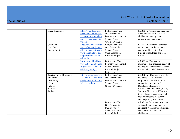| Social Hierarchies                                                                                    | https://www.teachervisi<br>on.com/ancient-history/<br>ancient-times-social-cla<br>sses-occupations-activit<br>v-packet                            | Performance Task<br>Oral Presentation<br>Formative Assessment<br><b>Student Project</b><br>Graphic Organizer        | 6.2.8.D.3.a Compare and contrast<br>social hierarchies in classical<br>civilizations as they relate to<br>power, wealth, and equality.                                                                                                                                                                                                   |
|-------------------------------------------------------------------------------------------------------|---------------------------------------------------------------------------------------------------------------------------------------------------|---------------------------------------------------------------------------------------------------------------------|------------------------------------------------------------------------------------------------------------------------------------------------------------------------------------------------------------------------------------------------------------------------------------------------------------------------------------------|
| Gupta India<br>Han China<br>Roman Empire                                                              | https://www.khanacade<br>my.org/humanities/worl<br>d-history/ancient-medie<br>val/classical-states-and-<br>empires/a/rise-and-fall-<br>of-empires | Performance Task<br>Oral Presentation<br><b>Student Project</b><br><b>Class Discussion</b><br>Research Project      | 6.2.8.D.3.b Determine common<br>factors that contributed to the<br>decline and fall of the Roman<br>Empire, Gupta India, and Han<br>China.                                                                                                                                                                                               |
|                                                                                                       | https://school.bighistor<br>yproject.com//School<br>BigHistory//Unit7/W<br>orksheet 2015                                                          | Performance Task<br>Formative Assessment<br>Student project<br>Research Project<br><b>Exit Ticket</b>               | 6.2.8.D.3.c Evaluate the<br>importance and enduring legacy of<br>the major achievements of Greece,<br>Rome, India, and China over time.                                                                                                                                                                                                  |
| Tenets of World Religions<br><b>Buddhism</b><br>Christianity<br>Islam<br>Judaism<br>Sikhism<br>Taoism | http://www.educationw<br>orld.com/a lesson/worl<br>d-religions-multicultura<br>l-diversity.shtml                                                  | Performance Task<br>Oral Presentation<br><b>Formative Assessment</b><br><b>Student Project</b><br>Graphic Organizer | 6.2.8.D.3.d Compare and contrast<br>the tenets of various world<br>religions that developed in or<br>around this time period (i.e.,<br>Buddhism, Christianity,<br>Confucianism, Hinduism, Islam,<br>Judaism, Sikhism, and Taoism),<br>their patterns of expansion, and<br>their responses to the current<br>challenges of globalization. |
|                                                                                                       |                                                                                                                                                   | Performance Task<br>Oral Presentation<br><b>Student Project</b><br><b>Class Discussion</b><br>Research Project      | 6.2.8.D.3.e Determine the extent to<br>which religion, economic issues,<br>and conflict shaped the values and<br>decisions of the classical<br>civilizations.                                                                                                                                                                            |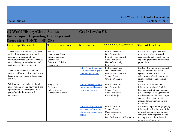| <b>6.2 World History/Global Studies</b><br><b>Focus Topic: Expanding Exchanges and</b><br>Encounters (500CE - 1450CE)                                                                                                                 |                                                                                                                    | <b>Grade Levels: 5-8</b>                                                            |                                                                                                                                            |                                                                                                                                                                                                                                                                    |
|---------------------------------------------------------------------------------------------------------------------------------------------------------------------------------------------------------------------------------------|--------------------------------------------------------------------------------------------------------------------|-------------------------------------------------------------------------------------|--------------------------------------------------------------------------------------------------------------------------------------------|--------------------------------------------------------------------------------------------------------------------------------------------------------------------------------------------------------------------------------------------------------------------|
| <b>Learning Standard</b>                                                                                                                                                                                                              | New Vocabulary                                                                                                     | <b>Resources</b>                                                                    | <b>Benchmarks/Assessments</b>                                                                                                              | <b>Student Evidence</b>                                                                                                                                                                                                                                            |
| The emergence of empires (i.e., Asia,<br>Africa, Europe and the Americas)<br>resulted from the promotion of<br>interregional trade, cultural exchanges,<br>new technologies, urbanization, and<br>centralized political organization. | Empire<br>Interregional Trade<br>Cultural exchange<br>Urbanization<br><b>Centralized Political</b><br>Organization |                                                                                     | Performance task<br><b>Oral Presentation</b><br>Formative Assessment<br><b>Class Discussion</b><br>Hands-On Activity<br><b>Exit Ticket</b> | 6.2.8.A.4.a Analyze the role of<br>religion and other means rulers<br>used to unify and centrally govern<br>expanding territories with diverse<br>populations.                                                                                                     |
| The rise and spread of new belief<br>systems unified societies, but they also<br>became a major source of tension and<br>conflict.                                                                                                    |                                                                                                                    | https://www.thoughtco.<br>com/feudalism-in-japan<br>-and-europe-195556              | Performance Task<br>Oral Presentation<br><b>Formative Assessment</b><br><b>Student Project</b><br>Graphic Organizer                        | 6.2.8.A.4.b Compare and contrast<br>the Japanese and European<br>systems of feudalism and the<br>effectiveness of each in promoting<br>social, economic, and political<br>order.                                                                                   |
| While commercial and agricultural<br>improvements created new wealth and<br>opportunities for the empires, most<br>people's daily lives remained<br>unchanged.                                                                        | Magna Carta<br>Parliament<br>Habeas Corpus<br><b>Independent Judiciary</b>                                         | http://www.socialstudie<br>scms.com/middle-ages-<br>in-western-europe               | Performance Task<br>Oral Presentation<br><b>Student Project</b><br><b>Class Discussion</b><br>Research Project                             | 6.2.8.A.4.c Determine the<br>influence of medieval English<br>legal and constitutional practices<br>(i.e., the Magna Carta, parliament,<br>the development of habeas corpus,<br>and an independent judiciary) on<br>modern democratic thought and<br>institutions. |
|                                                                                                                                                                                                                                       |                                                                                                                    | https://www.nationalge<br>ographic.org/encyclope<br>dia/europe-human-geog<br>raphy/ | Performance Task<br><b>Student Project</b><br><b>Class Discussion</b><br><b>Exit Ticket</b><br>Peer Evaluation/Self Evaluation             | 6.2.8.B.4.a Explain how geography<br>influenced the development of the<br>political, economic, and cultural<br>centers of each empire as well as<br>the empires' relationships with<br>other parts of the world.                                                   |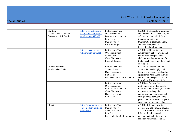## Maritime Overland Trade (African Caravan and Silk Road) [http://www.artic.edu/ai](http://www.artic.edu/aic/collections/citi/resources/Rsrc_001878.pdf) [c/collections/citi/resour](http://www.artic.edu/aic/collections/citi/resources/Rsrc_001878.pdf) [ces/Rsrc\\_001878.pdf](http://www.artic.edu/aic/collections/citi/resources/Rsrc_001878.pdf) Performance Task Oral Presentation Formative Assessment Exit Ticket Student Project Research Project 6.2.8.B.4.b Assess how maritime and overland trade routes (i.e., the African caravan and Silk Road) impacted urbanization, transportation, communication, and the development of international trade centers. [http://civiced.rutgers.ed](http://civiced.rutgers.edu/files/africa/unit1.pdf) [u/files/africa/unit1.pdf](http://civiced.rutgers.edu/files/africa/unit1.pdf) Performance Task Oral Presentation Student Project Class Discussion Research Project 6.2.8.B.4.c Determine how Africa's physical geography and natural resources presented challenges and opportunities for trade, development, and the spread of religion. Arabian Peninsula Aro-Eurasian Trade Performance Task Student Project Class Discussion Exit Ticket Peer Evaluation/Self Evaluation 6.2.8.B.4.d Explain why the Arabian Peninsula's physical features and location made it the epicenter of Afro-Eurasian trade and fostered the spread of Islam into Africa, Europe, and Asia. Performance task Oral Presentation Formative Assessment Class Discussion Hands-On Activity Exit Ticket 6.2.8.B.4.e Analyze the motivations for civilizations to modify the environment, determine the positive and negative consequences of environmental changes made during this time period, and relate these changes to current environmental challenges. Climate [https://www.nationalge](https://www.nationalgeographic.org/encyclopedia/climate/) [ographic.org/encyclope](https://www.nationalgeographic.org/encyclopedia/climate/) [dia/climate/](https://www.nationalgeographic.org/encyclopedia/climate/) Performance Task Student Project Class Discussion Exit Ticket Peer Evaluation/Self Evaluation 6.2.8.B.4.f Explain how the geographies and climates of Asia, Africa, Europe, and the Americas influenced their economic development and interaction or isolation with other societies.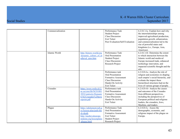| Commercialization |                                                                                                                                     | Performance Task<br><b>Student Project</b><br><b>Class Discussion</b><br><b>Exit Ticket</b><br>Peer Evaluation/Self Evaluation           | 6.2.8.C.4.a Explain how and why<br>the interrelationships among<br>improved agricultural production,<br>population growth, urbanization,<br>and commercialization led to the<br>rise of powerful states and<br>kingdoms (i.e., Europe, Asia,<br>Americas). |
|-------------------|-------------------------------------------------------------------------------------------------------------------------------------|------------------------------------------------------------------------------------------------------------------------------------------|------------------------------------------------------------------------------------------------------------------------------------------------------------------------------------------------------------------------------------------------------------|
| Islamic World     | http://history-world.org<br>/dynamic culture of m<br>edieval euro.htm                                                               | Performance Task<br>Oral Presentation<br><b>Student Project</b><br><b>Class Discussion</b><br>Research Project                           | 6.2.8.C.4.b Determine the extent<br>to which interaction between the<br>Islamic world and medieval<br>Europe increased trade, enhanced<br>technology innovation, and<br>impacted scientific thought and the<br>arts.                                       |
|                   |                                                                                                                                     | Performance task<br>Oral Presentation<br>Formative Assessment<br><b>Class Discussion</b><br>Hands-On Activity<br><b>Exit Ticket</b>      | 6.2.8.D.4.a Analyze the role of<br>religion and economics in shaping<br>each empire's social hierarchy, and<br>evaluate the impact these<br>hierarchical structures had on the<br>lives of various groups of people.                                       |
| Crusades          | https://www.wsfcs.k12.<br>nc.us/cms/lib/NC01001<br>395/Centricity/Domain/<br>6742/Crusades%20pow<br>erpoint.pdf                     | Performance task<br><b>Oral Presentation</b><br>Formative Assessment<br><b>Class Discussion</b><br>Hands-On Activity<br>Exit Ticket      | 6.2.8.D.4.b Analyze the causes<br>and outcomes of the Crusades<br>from different perspectives,<br>including the perspectives of<br>European political and religious<br>leaders, the crusaders, Jews,<br>Muslims, and traders.                              |
| Plague            | https://edsitement.neh.g<br>ov/lesson-plan/path-bla<br>ck-death<br>http://medievaleurope.<br>mrdonn.org/lessonplans<br>/plague.html | Performance Task<br>Oral Presentation<br><b>Formative Assessment</b><br><b>Exit Ticket</b><br><b>Student Project</b><br>Research Project | 6.2.8.D.4.c Assess the<br>demographic, economic, and<br>religious impact of the plague on<br>Europe.                                                                                                                                                       |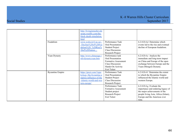| http://livinginmedievale<br>urope.weebly.com/the-<br>black-death-simulation.                 |                                     |
|----------------------------------------------------------------------------------------------|-------------------------------------|
|                                                                                              |                                     |
|                                                                                              |                                     |
|                                                                                              |                                     |
| html                                                                                         |                                     |
| Feudalism<br>Performance Task<br>www.wsfcs.k12.nc.us/                                        | 6.2.8.D.4.d Determine which         |
| /Decline%20of%20Feu<br>Oral Presentation                                                     | events led to the rise and eventual |
| dalism%20 %20Rise%<br><b>Student Project</b>                                                 | decline of European feudalism.      |
| <b>Class Discussion</b><br>20of%20Nation                                                     |                                     |
| Research Project                                                                             |                                     |
| http://www.chinasage.i<br>Performance task<br>6.2.8.D.4.e Analyze the<br><b>Yuan Dynasty</b> |                                     |
| nfo/dynastyyuan.htm<br>Oral Presentation                                                     | immediate and long-term impact      |
| Formative Assessment                                                                         | on China and Europe of the open     |
| <b>Class Discussion</b>                                                                      | exchange between Europe and the     |
| Hands-On Activity<br>Yuan (Mongol) Dynasty.                                                  |                                     |
| Exit Ticket                                                                                  |                                     |
| Performance Task<br><b>Byzantine Empire</b><br>https://prezi.com/liqnc                       | 6.2.8.D.4.f Determine the extent    |
| kylcqy-/the-byzantine-e<br>Oral Presentation                                                 | to which the Byzantine Empire       |
| mpires-influence-of-the<br><b>Student Project</b>                                            | influenced the Islamic world and    |
| -islamic-world-and-wes<br><b>Class Discussion</b><br>western Europe.                         |                                     |
| Research Project<br>tern-europe/                                                             |                                     |
| Performance Task<br>6.2.8.D.4.g Evaluate the                                                 |                                     |
| Formative Assessment                                                                         | importance and enduring legacy of   |
| Student project                                                                              | the major achievements of the       |
| Research Project                                                                             | people living Asia, Africa (Islam), |
| <b>Exit Ticket</b>                                                                           | Europe and the Americas over        |
| time.                                                                                        |                                     |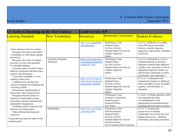| <b>6.3 Active Citizenship in the 21st Century</b>                                                                                                                                                                                                                                                                                                                                                                                                                                                                                                                                                                                                                                                                                                           |                                   | <b>Grade Levels: 5-8</b>                                                   |                                                                                                                                                                                        |                                                                                                                                                                                                                                                                    |
|-------------------------------------------------------------------------------------------------------------------------------------------------------------------------------------------------------------------------------------------------------------------------------------------------------------------------------------------------------------------------------------------------------------------------------------------------------------------------------------------------------------------------------------------------------------------------------------------------------------------------------------------------------------------------------------------------------------------------------------------------------------|-----------------------------------|----------------------------------------------------------------------------|----------------------------------------------------------------------------------------------------------------------------------------------------------------------------------------|--------------------------------------------------------------------------------------------------------------------------------------------------------------------------------------------------------------------------------------------------------------------|
| Learning Standard                                                                                                                                                                                                                                                                                                                                                                                                                                                                                                                                                                                                                                                                                                                                           | <b>New Vocabulary</b>             | <b>Resources</b>                                                           | <b>Benchmarks/Assessments</b>                                                                                                                                                          | <b>Student Evidence</b>                                                                                                                                                                                                                                            |
| Active citizens in the 21st century:<br>Recognize the causes and effects<br>of prejudice on individuals, groups,<br>and society.                                                                                                                                                                                                                                                                                                                                                                                                                                                                                                                                                                                                                            |                                   | http://www.njspotlight.<br>com/education/                                  | Performance Task<br><b>Student Project</b><br>In-Class Activity<br><b>Student Hands-On Activity</b><br>Graphic Organizer<br>Rubric                                                     | 6.3.8.A.1 Deliberate on a public<br>issue affecting an upcoming<br>election, consider opposing<br>arguments, and develop a reasoned<br>conclusion.                                                                                                                 |
| Recognize the value of cultural<br>diversity, as well as the potential<br>for misunderstanding.<br>Critically analyze media to assess<br>different viewpoints and detect bias,<br>opinion, and stereotypes.<br>· Listen open-mindedly to views<br>contrary to their own.<br>Collaboratively develop and<br>practice strategies for managing and<br>resolving conflict.<br>Demonstrate understanding of<br>democratic values and processes.<br>Recognize that the actions or<br>inactions of individuals, groups,<br>and nations can have intended and<br>unintended consequences.<br>Challenge unfair viewpoints and<br>behaviors by taking action.<br>· Make informed and reasoned<br>decisions.<br>Accept decisions that are made for the<br>common good. | Legislative Proposal<br>Municipal | http://www.njleg.state.n<br>j.us/legislativepub/pubh<br>earings2013.asp    | Performance Task<br><b>Student Project</b><br>In-Class Activity<br><b>Student Hands-On Activity</b><br>Graphic Organizer<br>Rubric                                                     | 6.3.8.A.2 Participate in a real or<br>simulated hearing to develop a<br>legislative proposal that addresses<br>a public issue, and share it with an<br>appropriate legislative body (e.g.,<br>school board, municipal or county<br>government, state legislature). |
|                                                                                                                                                                                                                                                                                                                                                                                                                                                                                                                                                                                                                                                                                                                                                             |                                   | https://www2.ed.gov/te<br>achers/how/tech/interna<br>tional/guide pg2.html | Performance Task<br><b>Student Project</b><br>In-Class Activity<br><b>Student Hands-On Activity</b><br>Graphic Organizer<br>Rubric                                                     | 6.3.8.A.3 Collaborate with<br>international students to deliberate<br>about and address issues of gender<br>equality, child mortality, or<br>education.                                                                                                            |
|                                                                                                                                                                                                                                                                                                                                                                                                                                                                                                                                                                                                                                                                                                                                                             |                                   |                                                                            | Performance Task<br><b>Formative Assessment</b><br>Student project<br>Research Project<br><b>Exit Ticket</b>                                                                           | 6.3.8.B.1 Evaluate alternative land<br>use proposals and make<br>recommendations to the<br>appropriate governmental agency<br>regarding the best course of action.                                                                                                 |
|                                                                                                                                                                                                                                                                                                                                                                                                                                                                                                                                                                                                                                                                                                                                                             | Stakeholders                      | http://www.co.warren.n<br>j.us/budget.html                                 | Performance Task<br><b>Oral Presentation</b><br><b>Student Project</b><br>In-Class Activity<br><b>Student Hands-On Activity</b><br>Research Project<br>Peer Evaluation/Self Evaluation | 6.3.8.C.1 Examine the<br>perspectives of multiple<br>stakeholders involved in the local<br>budget process (e.g., obtaining<br>information, discussing priorities).                                                                                                 |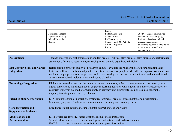|                     | Rubric                           |                                   |
|---------------------|----------------------------------|-----------------------------------|
| Democratic Process  | Performance Task                 | .3.8.D.1 Engage in simulated      |
| Legislative Hearing | <b>Student Project</b>           | democratic processes (e.g.,       |
| Judicial Proceeding | In-Class Activity                | legislative hearings, judicial    |
| Election            | <b>Student Hands-On Activity</b> | proceedings, elections) to        |
|                     | Graphic Organizer                | understand how conflicting points |
|                     | Rubric                           | of view are addressed in a        |
|                     |                                  | democratic society.               |

| <b>Assessments</b>                                           | Teacher observation, oral presentations, student projects, rubrics, class projects, class discussion, performance<br>assessment, formative assessment, research project, graphic organizer, exit ticket                                                                                                                                                                                                       |
|--------------------------------------------------------------|---------------------------------------------------------------------------------------------------------------------------------------------------------------------------------------------------------------------------------------------------------------------------------------------------------------------------------------------------------------------------------------------------------------|
| <b>21st Century Skills and Career</b><br><b>Integration</b>  | Relate earning power to quality of life across cultures; evaluate the relationship of cultural traditions and<br>historical influences on financial practice; identify reasons why people work, different types of work, and how<br>work can help a person achieve personal and professional goals; evaluate how traditional and nontraditional<br>careers have evolved regionally, nationally, and globally. |
| <b>Technology Integration</b>                                | Digital tools (word processing documents); online simulations, videos, games, museums; create story using<br>digital cameras and multimedia tools; engage in learning activities with students in other classes, schools or<br>countries using various media formats; apply cybersafety and appropriate use policies; use geographic<br>mapping tools to plan and solve problems.                             |
| <b>Interdisciplinary Integration</b>                         | ELA: comprehension of nonfiction, writing (assignments, projects, assessments), oral presentations<br>Math: mapping skills (distance and measurement), currency and exchange rates                                                                                                                                                                                                                            |
| <b>Core Instruction and</b><br><b>Supplemental Materials</b> | Core Instructional Textbooks, supplemental internet sources and videos                                                                                                                                                                                                                                                                                                                                        |
| <b>Modifications and</b><br><b>Accommodations</b>            | ELL: leveled readers; ELL series workbook; small group instruction<br>Special Education: leveled readers; small group instruction; modified assessments<br>G&T: leveled readers; enrichment activities; small group instruction                                                                                                                                                                               |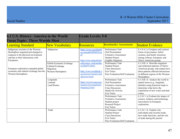| 6.1 U.S. History: America in the World<br><b>Focus Topic: Three Worlds Meet</b>                                                                                                                                                                          |                                                                                                | <b>Grade Levels: 5-8</b>                                                                                                                               |                                                                                                                                                                                                                                                                                        |                                                                                                                                                                                                                                                                                                                                                                    |
|----------------------------------------------------------------------------------------------------------------------------------------------------------------------------------------------------------------------------------------------------------|------------------------------------------------------------------------------------------------|--------------------------------------------------------------------------------------------------------------------------------------------------------|----------------------------------------------------------------------------------------------------------------------------------------------------------------------------------------------------------------------------------------------------------------------------------------|--------------------------------------------------------------------------------------------------------------------------------------------------------------------------------------------------------------------------------------------------------------------------------------------------------------------------------------------------------------------|
|                                                                                                                                                                                                                                                          |                                                                                                |                                                                                                                                                        |                                                                                                                                                                                                                                                                                        |                                                                                                                                                                                                                                                                                                                                                                    |
| <b>Learning Standard</b>                                                                                                                                                                                                                                 | New Vocabulary                                                                                 | <b>Resources</b>                                                                                                                                       | <b>Benchmarks/Assessments</b>                                                                                                                                                                                                                                                          | <b>Student Evidence</b>                                                                                                                                                                                                                                                                                                                                            |
| Indigenous societies in the Western<br>Hemisphere migrated and changed in<br>response to the physical environment<br>and due to their interactions with<br>Europeans.<br>European exploration expanded global<br>economic and cultural exchange into the | Indigenous<br>Global Economic Exchange<br>Cultural Exchange<br>Migration<br>Western Hemisphere | https://www.socialstudi<br>es.com/pdf/ZP869TG.p<br>df<br>http://www.educationw<br>orld.com/a tech/techlp/<br>techlp059.shtml<br>http://www.worldtrek.o | Performance Task<br><b>Oral Presentation</b><br>Formative Assessment<br><b>Student Project</b><br>Graphic Organizer<br>Performance Task<br><b>Student Project</b><br><b>Class Discussion</b><br><b>Exit Ticket</b>                                                                     | 6.1.8.A.1.a Compare and contrast<br>forms of governance, belief<br>systems, and family structures<br>among African, European, and<br>Native American groups.<br>6.1.8.B.1.a Describe migration<br>and settlement patterns of Native<br>American groups, and explain how<br>these patterns affected interactions                                                    |
| Western Hemisphere.                                                                                                                                                                                                                                      | Longitude<br>Latitude<br><b>Land Routes</b>                                                    | rg/odyssey/teachers/ind<br>iglessons.html<br>https://www2.usgs.gov/<br>features/lewisandclark/<br>Mapping2.html                                        | Peer Evaluation/Self Evaluation<br>Performance Task<br><b>Oral Presentation</b><br>Formative Assessment<br><b>Class Discussion</b><br>Hands-On Activity<br><b>Exit Ticket</b><br>Performance Task<br>Formative Assessment<br>Student project<br>Research Project<br><b>Exit Ticket</b> | in different regions of the Western<br>Hemisphere.<br>6.1.8.B.1.b Analyze the world in<br>spatial terms (e.g., longitude,<br>latitude) using historical maps to<br>determine what led to the<br>exploration of new water and land<br>routes.<br>6.1.8.C.1.a Evaluate the impact of<br>science, religion, and technology<br>innovations on European<br>exploration. |
|                                                                                                                                                                                                                                                          | Trade                                                                                          |                                                                                                                                                        | Performance Task<br><b>Student Project</b><br><b>Class Discussion</b><br><b>Exit Ticket</b><br>Peer Evaluation/Self Evaluation                                                                                                                                                         | 6.1.8.C.1.b Explain why<br>individuals and societies trade,<br>how trade functions, and the role<br>of trade during this period.                                                                                                                                                                                                                                   |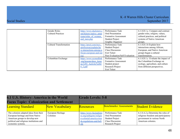| Gender Roles                   | https://www.ducksters.c | Performance Task                | 6.1.8.D.1.a Compare and contrast   |
|--------------------------------|-------------------------|---------------------------------|------------------------------------|
| <b>Cultural Practices</b>      | om/history/native amer  | Oral Presentation               | gender roles, religion, values,    |
|                                | icans/roles of women    | <b>Formative Assessment</b>     | cultural practices, and political  |
|                                | and men.php             | <b>Student Project</b>          | systems of Native American         |
|                                |                         | Graphic Organizer               | groups.                            |
| <b>Cultural Transformation</b> | https://prezi.com/myx   | Performance Task                | 6.1.8.D.1.b Explain how            |
|                                | gtw0yewm/explain-ho     | <b>Student Project</b>          | interactions among African,        |
|                                | w-interactions-among-a  | Class Discussion                | European, and Native American      |
|                                | frican-european-and-nat | Exit Ticket                     | groups began a cultural            |
|                                | 1 <sub>ve</sub>         | Peer Evaluation/Self Evaluation | transformation.                    |
| Columbian Exchange             | https://www.econedlink  | Performance Task                | 6.1.8.D.1.c Evaluate the impact of |
|                                | .org/lessons/docs lesso | Formative Assessment            | the Columbian Exchange on          |
|                                | $ns/1291$ Activity%202  | Student project                 | ecology, agriculture, and culture  |
|                                | $0$ 2.pdf               | Research Project                | from different perspectives.       |
|                                |                         | Exit Ticket                     |                                    |

| 6.1 U.S. History: America in the World          |                   | <b>Grade Levels: 5-8</b> |                               |                                     |
|-------------------------------------------------|-------------------|--------------------------|-------------------------------|-------------------------------------|
| <b>Focus Topic: Colonization and Settlement</b> |                   |                          |                               |                                     |
| <b>Learning Standard</b>                        | New Vocabulary    | <b>Resources</b>         | <b>Benchmarks/Assessments</b> | <b>Student Evidence</b>             |
|                                                 |                   |                          |                               |                                     |
| The colonists adapted ideas from their          | European Heritage | https://www.facinghisto  | Performance Task              | 6.1.8.A.2.a Determine the roles of  |
| European heritage and from Native               | Colonies          | ry.org/nobigotry/religio | <b>Oral Presentation</b>      | religious freedom and participatory |
| American groups to develop new                  |                   | n-colonial-america-tren  | <b>Student Project</b>        | government in various North         |
| political and religious institutions and        |                   | ds-regulations-and-beli  | Class Discussion              | American colonies.                  |
| economic systems.                               |                   | <u>efs</u>               | <b>Research Project</b>       |                                     |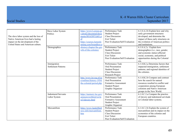|                                        | Slave Labor System<br>Politics | https://www2.census.go<br>v/prod2/decennial/docu | Performance Task<br><b>Student Project</b> | 6.1.8.A.2.b Explain how and why<br>early government structures |
|----------------------------------------|--------------------------------|--------------------------------------------------|--------------------------------------------|----------------------------------------------------------------|
| The slave labor system and the loss of |                                | ments/00165897ch01.p                             | <b>Class Discussion</b>                    | developed, and determine the                                   |
| Native American lives had a lasting    |                                | df                                               | <b>Exit Ticket</b>                         | impact of these early structures on                            |
| impact on the development of the       |                                | https://courses.lumenle                          | Peer Evaluation/Self Evaluation            | the evolution of American politics                             |
| United States and American culture.    |                                | arning.com/boundless-u                           |                                            | and institutions.                                              |
|                                        | Demographics                   | shistory/chapter/the-gro                         | Performance Task                           | 6.1.8.A.2.c Explain how                                        |
|                                        |                                | wth-of-the-colonies/                             | <b>Student Project</b>                     | demographics (i.e., race, gender,                              |
|                                        |                                |                                                  | <b>Class Discussion</b>                    | and economic status) affected                                  |
|                                        |                                |                                                  | <b>Exit Ticket</b>                         | social, economic, and political                                |
|                                        |                                |                                                  | Peer Evaluation/Self Evaluation            | opportunities during the Colonial                              |
|                                        |                                |                                                  |                                            | era.                                                           |
|                                        | Immigration                    |                                                  | Performance Task                           | 6.1.8.B.2.a Determine factors that                             |
|                                        | <b>Settlement Patterns</b>     |                                                  | Oral Presentation                          | impacted immigration, settlement                               |
|                                        |                                |                                                  | <b>Student Project</b>                     | patterns, and regional identities of                           |
|                                        |                                |                                                  | <b>Class Discussion</b>                    | the colonies.                                                  |
|                                        |                                |                                                  | Research Project                           |                                                                |
|                                        |                                | http://www.let.rug.nl/us                         | Performance Task                           | 6.1.8.B.2.b Compare and contrast                               |
|                                        |                                | a/outlines/history-1954/                         | Oral Presentation                          | how the search for natural                                     |
|                                        |                                | the-colonial-period.php                          | <b>Formative Assessment</b>                | resources resulted in conflict and                             |
|                                        |                                |                                                  | <b>Student Project</b>                     | cooperation among European                                     |
|                                        |                                |                                                  | Graphic Organizer                          | colonists and Native American                                  |
|                                        |                                |                                                  |                                            | groups in the New World.                                       |
|                                        | <b>Indentured Servants</b>     | https://memory.loc.gov/                          | Performance Task                           | 6.1.8.C.2.a Compare the practice                               |
|                                        | Labor System                   | ammem/awhhtml/awla                               | Oral Presentation                          | of slavery and indentured servitude                            |
|                                        |                                | w3/slavery.html                                  | Formative Assessment                       | in Colonial labor systems.                                     |
|                                        |                                |                                                  | <b>Student Project</b>                     |                                                                |
|                                        |                                |                                                  | Graphic Organizer                          |                                                                |
|                                        | Mercantilism                   | https://www.landoftheb                           | Performance Task                           | 6.1.8.C.2.b Explain the system of                              |
|                                        |                                | rave.info/mercantilism.                          | <b>Student Project</b>                     | mercantilism and its impact on the                             |
|                                        |                                | htm                                              | <b>Class Discussion</b>                    | economies of the colonies and                                  |
|                                        |                                |                                                  | <b>Exit Ticket</b>                         | European countries.                                            |
|                                        |                                |                                                  | Peer Evaluation/Self Evaluation            |                                                                |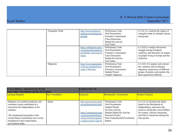| Triangular Trade | http://americanhistory.   | Performance Task            | 6.1.8.C.2.c Analyze the impact of    |
|------------------|---------------------------|-----------------------------|--------------------------------------|
|                  | mrdonn.org/triangle-tra   | Oral Presentation           | triangular trade on multiple nations |
|                  | de.html                   | Formative Assessment        | and groups.                          |
|                  |                           | Class Discussion            |                                      |
|                  |                           | Hands-On Activity           |                                      |
|                  |                           | <b>Exit Ticket</b>          |                                      |
|                  | https://edsitement.neh.g  | Performance Task            | 6.1.8.D.2.a Analyze the power        |
|                  | ov/lesson-plan/empire-a   | <b>Oral Presentation</b>    | struggle among European              |
|                  | nd-identity-american-co   | <b>Formative Assessment</b> | countries, and determine its impact  |
|                  | lonies                    | Class Discussion            | on people living in Europe and the   |
|                  |                           | Hands-On Activity           | Americas.                            |
|                  |                           | <b>Exit Ticket</b>          |                                      |
| Migratory        | http://www.emmigratio     | Performance Task            | 6.1.8.D.2.b Compare and contrast     |
|                  | $n.info/us-immigration-t$ | <b>Oral Presentation</b>    | the voluntary and involuntary        |
|                  | rends-1700s.htm           | <b>Formative Assessment</b> | migratory experiences of different   |
|                  |                           | <b>Student Project</b>      | groups of people, and explain why    |
|                  |                           | Graphic Organizer           | their experiences differed.          |

| 6.1 U.S. History: America in the World<br><b>Focus Topic: Revolution and the New Nation</b> |                | <b>Grade Levels: 5-8</b>  |                                  |                                     |
|---------------------------------------------------------------------------------------------|----------------|---------------------------|----------------------------------|-------------------------------------|
| <b>Learning Standard</b>                                                                    | New Vocabulary | <b>Resources</b>          | <b>Benchmarks/Assessments</b>    | <b>Student Evidence</b>             |
|                                                                                             |                |                           |                                  |                                     |
| Disputes over political authority and                                                       | <b>Ideals</b>  | http://government.mrdo    | Performance Task                 | 6.1.8.A.3.a Examine the ideals      |
| economic issues contributed to a                                                            |                | nn.org/declaration.html   | Oral Presentation                | found in the Declaration of         |
| movement for independence in the                                                            |                |                           | <b>Student Project</b>           | Independence, and assess the        |
| colonies.                                                                                   |                |                           | In-Class Activity                | extent to which they were fulfilled |
|                                                                                             |                | https://constitutioncente | <b>Student Hands-On Activity</b> | for women, African Americans,       |
| The fundamental principles of the                                                           |                | r.org/learn/educational-  | <b>Research Project</b>          | and Native Americans during this    |
| United States Constitution serve as the                                                     |                | resources/lesson-plans/t  | Peer Evaluation/Self Evaluation  | time period.                        |
| foundation of the United States                                                             |                | o-sign-or-not-to-sign-th  | Rubric                           |                                     |
| government today                                                                            |                |                           |                                  |                                     |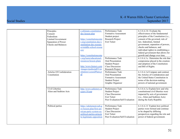| Principles                 | e-ultimate-constitution-  | Performance Task                | 6.1.8.A.3.b Evaluate the              |
|----------------------------|---------------------------|---------------------------------|---------------------------------------|
| Consent                    | day-lesson-plan           | Formative Assessment            | effectiveness of the fundamental      |
| Federalism                 |                           | Student project                 | principles of the Constitution (i.e., |
| <b>Limited Government</b>  | https://constitutioncente | Research Project                | consent of the governed, rule of      |
| Separation of Power        | r.org/constitution-day/c  | <b>Exit Ticket</b>              | law, federalism, limited              |
| <b>Checks and Balances</b> | onstitution-day-resourc   |                                 | government, separation of powers,     |
|                            | es/middle-school-resour   |                                 | checks and balances, and              |
|                            | ces/                      |                                 | individual rights) in establishing a  |
|                            |                           |                                 | federal government that allows for    |
|                            | https://constitutioncente |                                 | growth and change over time.          |
|                            | r.org/learn/educational-  | Performance Task                | 6.1.8.A.3.c Determine the role that   |
|                            | resources/lesson-plans    | Oral Presentation               | compromise played in the creation     |
|                            |                           | <b>Student Project</b>          | and adoption of the Constitution      |
|                            | http://www.history.com    | <b>Class Discussion</b>         | and Bill of Rights.                   |
|                            | /images/media/pdf/Con     | <b>Research Project</b>         |                                       |
| Articles Of Confederation  | stitution-LessonPlans.p   | Performance Task                | 6.1.8.A.3.d Compare and contrast      |
| Constitution               | df                        | Oral Presentation               | the Articles of Confederation and     |
|                            |                           | Formative Assessment            | the United States Constitution in     |
|                            |                           | <b>Student Project</b>          | terms of the decision-making          |
|                            |                           | Graphic Organizer               | powers of national government.        |
|                            |                           |                                 |                                       |
| <b>Civil Liberties</b>     | http://www.ushistory.or   | Performance Task                | 6.1.8.A.3.e Explain how and why       |
| Alien and Sedition Acts    | $g/gov/10.$ asp           | <b>Student Project</b>          | constitutional civil liberties were   |
|                            |                           | <b>Class Discussion</b>         | impacted by acts of government        |
|                            |                           | <b>Exit Ticket</b>              | (i.e., Alien and Sedition Acts)       |
|                            |                           | Peer Evaluation/Self Evaluation | during the Early Republic             |
|                            |                           |                                 |                                       |
| Political parties          | https://edsitement.neh.g  | Performance Task                | 6.1.8.A.3.f Explain how political     |
|                            | ov/lesson-plan/first-am   | <b>Student Project</b>          | parties were formed and continue      |
|                            | erican-party-system-us-   | <b>Class Discussion</b>         | to be shaped by differing             |
|                            | political-parties-princip | <b>Exit Ticket</b>              | perspectives regarding the role and   |
|                            | le-legitimate-opposition  | Peer Evaluation/Self Evaluation | power of federal government.          |
|                            |                           |                                 |                                       |
|                            |                           |                                 |                                       |
|                            |                           |                                 |                                       |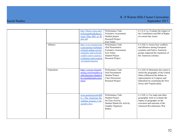|            | http://library.mtsu.edu/t<br>ps/lessonplans&ideas/L<br>esson Plan--Bill of Ri<br>ghts.pdf                                                                                            | Performance Task<br>Formative Assessment<br>Student project<br>Research Project<br><b>Exit Ticket</b>                       | 6.1.8.A.3.g Evaluate the impact of<br>the Constitution and Bill of Rights<br>on current day issues.                                                                                                            |
|------------|--------------------------------------------------------------------------------------------------------------------------------------------------------------------------------------|-----------------------------------------------------------------------------------------------------------------------------|----------------------------------------------------------------------------------------------------------------------------------------------------------------------------------------------------------------|
| Alliance   | http://www.mountverno<br>n.org/george-washingto<br>n/french-indian-war/tra<br>nsatlantic-and-colonial-<br>conflict-native-america<br>n-alliances-and-creation<br>-of-united-america/ | Performance Task<br>Oral Presentation<br>Formative Assessment<br>Exit Ticket<br><b>Student Project</b><br>Research Project  | 6.1.8.B.3.a Assess how conflicts<br>and alliances among European<br>countries and Native American<br>groups impacted the expansion of<br>the American colonies.                                                |
| Federalism | https://courses.lumenle<br>arning.com/boundless-p<br>oliticalscience/chapter/t<br>he-constitutional-conve<br>ntion/                                                                  | Performance Task<br>Oral Presentation<br><b>Student Project</b><br><b>Class Discussion</b><br>Research Project              | 6.1.8.B.3.b Determine the extent to<br>which the geography of the United<br>States influenced the debate on<br>representation in Congress and<br>federalism by examining the New<br>Jersey and Virginia plans. |
|            | www.qcsd.org/cms/lib0<br>4//The American Re<br>volution Lesson 1 Ge<br>ography.docx                                                                                                  | Performance Task<br><b>Student Project</b><br>In-Class Activity<br>Student Hands-On Activity<br>Graphic Organizer<br>Rubric | 6.1.8.B.3.c Use maps and other<br>geographic tools to evaluate the<br>impact of geography on the<br>execution and outcome of the<br>American Revolutionary War.                                                |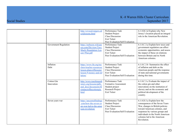| Government Regulation    | http://civiced.rutgers.ed<br>u/njlessons.html<br>https://mrbeem.wikispa<br>ces.com/file/view/Too+<br>Much+Regulation+Les<br>son+Plan.pdf | Performance Task<br><b>Student Project</b><br><b>Class Discussion</b><br><b>Exit Ticket</b><br>Peer Evaluation/Self Evaluation<br>Performance Task<br><b>Student Project</b><br><b>Class Discussion</b><br><b>Exit Ticket</b><br>Peer Evaluation/Self Evaluation | 6.1.8.B.3.d Explain why New<br>Jersey's location played an integral<br>role in the American Revolution.<br>6.1.8.C.3.a Explain how taxes and<br>government regulation can affect<br>economic opportunities, and assess<br>the impact of these on relations<br>between Britain and its North<br>American colonies. |
|--------------------------|------------------------------------------------------------------------------------------------------------------------------------------|------------------------------------------------------------------------------------------------------------------------------------------------------------------------------------------------------------------------------------------------------------------|-------------------------------------------------------------------------------------------------------------------------------------------------------------------------------------------------------------------------------------------------------------------------------------------------------------------|
| Inflation<br>Debt        | https://www.fte.org/tea<br>chers/teacher-resources/<br>lesson-plans/efflessons/<br>lesson-9-money-and-inf<br>lation/                     | Performance Task<br><b>Student Project</b><br><b>Class Discussion</b><br><b>Exit Ticket</b><br>Peer Evaluation/Self Evaluation                                                                                                                                   | 6.1.8.C.3.b Summarize the effect<br>of inflation and debt on the<br>American people and the response<br>of state and national governments<br>during this time.                                                                                                                                                    |
| Cotton Gin<br>Innovation | http://www.teachingush<br>istory.org/lessons/pdfs<br>and docs/documents/th<br>eimpactofthecottongin.<br>html                             | Performance Task<br><b>Formative Assessment</b><br>Student project<br>Research Project<br><b>Exit Ticket</b>                                                                                                                                                     | 6.1.8.C.3.c Evaluate the impact of<br>the cotton gin and other<br>innovations on the institution of<br>slavery and on the economic and<br>political development of the<br>country.                                                                                                                                |
| Seven years war          | https://ancestralfindings<br>.com/how-the-seven-ye<br>ars-war-led-to-the-amer<br>ican-revolution/                                        | Performance Task<br><b>Student Project</b><br><b>Class Discussion</b><br><b>Exit Ticket</b><br>Peer Evaluation/Self Evaluation                                                                                                                                   | 6.1.8.D.3.a Explain how the<br>consequences of the Seven Years<br>War, changes in British policies<br>toward American colonies, and<br>responses by various groups and<br>individuals in the North American<br>colonies led to the American<br>Revolution.                                                        |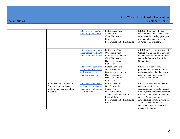|                                                                                                        | http://www.pbs.org/ktc<br>a/liberty/tguide 2.html                                                   | Performance Task<br><b>Student Project</b><br><b>Class Discussion</b><br><b>Exit Ticket</b><br>Peer Evaluation/Self Evaluation                                                            | 6.1.8.D.3.b Explain why the<br>Declaration of Independence was<br>written and how its key principles<br>evolved to become unifying ideas<br>of American democracy.                                                                                                                                                                  |
|--------------------------------------------------------------------------------------------------------|-----------------------------------------------------------------------------------------------------|-------------------------------------------------------------------------------------------------------------------------------------------------------------------------------------------|-------------------------------------------------------------------------------------------------------------------------------------------------------------------------------------------------------------------------------------------------------------------------------------------------------------------------------------|
|                                                                                                        | http://www.mountverno<br>n.org/george-washingto<br>n/the-revolutionary-war                          | Performance Task<br>Oral Presentation<br>Formative Assessment<br><b>Class Discussion</b><br>Hands-On Activity<br><b>Exit Ticket</b>                                                       | 6.1.8.D.3.c Analyze the impact of<br>George Washington as general of<br>the American revolutionary forces<br>and as the first president of the<br>United States.                                                                                                                                                                    |
|                                                                                                        | http://www.discoveryed<br>ucation.com/teachers/fr<br>ee-lesson-plans/early-a<br>merican-leaders.cfm | Performance Task<br><b>Oral Presentation</b><br><b>Formative Assessment</b><br><b>Class Discussion</b><br>Hands-On Activity<br><b>Exit Ticket</b>                                         | 6.1.8.D.3.d Analyze how<br>prominent individuals and other<br>nations contributed to the causes,<br>execution, and outcomes of the<br>American Revolution.                                                                                                                                                                          |
| Socio-economic Groups: rural<br>farmers, urban craftsmen,<br>northern merchants, southern<br>planters) | https://edsitement.neh.g<br>ov/lesson-plan/voices-a<br>merican-revolution#sec<br>t-introduction     | Performance Task<br>Oral Presentation<br><b>Student Project</b><br>In-Class Activity<br><b>Student Hands-On Activity</b><br>Research Project<br>Peer Evaluation/Self Evaluation<br>Rubric | 6.1.8.D.3.e Examine the roles and<br>perspectives of various<br>socioeconomic groups (e.g., rural<br>farmers, urban craftsmen, northern<br>merchants, and southern planters),<br>African Americans, Native<br>Americans, and women during the<br>American Revolution, and<br>determine how these groups were<br>impacted by the war |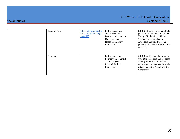## Treaty of Paris [https://edsitement.neh.g](https://edsitement.neh.gov/lesson-plan/ending-war-1783) [ov/lesson-plan/ending](https://edsitement.neh.gov/lesson-plan/ending-war-1783)[war-1783](https://edsitement.neh.gov/lesson-plan/ending-war-1783) Performance Task Oral Presentation Formative Assessment Class Discussion Hands-On Activity Exit Ticket 6.1.8.D.3.f Analyze from multiple perspectives how the terms of the Treaty of Paris affected United States relations with Native Americans and with European powers that had territories in North America. Preamble Performance Task Formative Assessment Student project Research Project Exit Ticket 6.1.8.D.3.g Evaluate the extent to which the leadership and decisions of early administrations of the national government met the goals established in the Preamble of the Constitution.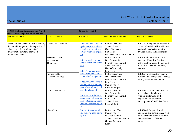| 6.1 U.S. History: America in the World<br><b>Focus Topic: Expansion and Reform</b>                                                                                            |                                                    | <b>Grade Levels: 5-8</b>                                                                                                             |                                                                                                                                            |                                                                                                                                                             |
|-------------------------------------------------------------------------------------------------------------------------------------------------------------------------------|----------------------------------------------------|--------------------------------------------------------------------------------------------------------------------------------------|--------------------------------------------------------------------------------------------------------------------------------------------|-------------------------------------------------------------------------------------------------------------------------------------------------------------|
| <b>Learning Standard</b>                                                                                                                                                      | New Vocabulary                                     | <b>Resources</b>                                                                                                                     | <b>Benchmarks/Assessments</b>                                                                                                              | <b>Student Evidence</b>                                                                                                                                     |
| Westward movement, industrial growth,<br>increased immigration, the expansion of<br>slavery, and the development of<br>transportation systems increased<br>regional tensions. | <b>Westward Movement</b>                           | https://hti.osu.edu/histo<br>ry-lesson-plans/united-s<br>tates-history/manifest-d<br>estiny-westward-expans<br>ion                   | Performance Task<br><b>Student Project</b><br><b>Class Discussion</b><br><b>Exit Ticket</b><br>Peer Evaluation/Self Evaluation             | 6.1.8.A.4.a Explain the changes in<br>America's relationships with other<br>nations by analyzing policies,<br>treaties, tariffs, and agreements.            |
|                                                                                                                                                                               | <b>Manifest Destiny</b><br>Annexation<br>Diplomacy | http://www.history.com<br>/topics/westward-expan<br>sion<br>https://www.archives.g                                                   | Performance Task<br>Oral Presentation<br><b>Formative Assessment</b><br><b>Class Discussion</b><br>Hands-On Activity<br><b>Exit Ticket</b> | 6.1.8.A.4.b Analyze how the<br>concept of Manifest Destiny<br>influenced the acquisition of land<br>through annexation, diplomacy,<br>and war.              |
|                                                                                                                                                                               | Voting rights<br>Jacksonian Period                 | ov/legislative/resources<br>/education/voting-rights<br>https://www.hnoc.org/si<br>tes/default/files/lesson<br>plans/LessonPlan Loui | Performance Task<br>Oral Presentation<br>Formative Assessment<br><b>Exit Ticket</b><br><b>Student Project</b><br>Research Project          | 6.1.8.A.4.c Assess the extent to<br>which voting rights were expanded<br>during the Jacksonian period.                                                      |
|                                                                                                                                                                               | Louisiana Purchase                                 | sianaPurchase.pdf<br>https://www.scholastic.<br>com/teachers/lesson-pla<br>$ns/17-18/creating-maps$<br>-native-american-region<br>S/ | Performance Task<br>Oral Presentation<br><b>Formative Assessment</b><br><b>Exit Ticket</b><br><b>Student Project</b><br>Research Project   | 6.1.8.B.4.a Assess the impact of<br>the Louisiana Purchase and<br>western exploration on the<br>expansion and economic<br>development of the United States. |
|                                                                                                                                                                               | Resettlement                                       | http://pdfray.com/in/ind<br>ian-removal-map-activi<br>ty.pdf                                                                         | Performance Task<br><b>Student Project</b><br>In-Class Activity<br><b>Student Hands-On Activity</b><br>Graphic Organizer<br>Rubric         | 6.1.8.B.4.b Map territorial<br>expansion and settlement, as well<br>as the locations of conflicts with<br>and resettlement of Native<br>Americans.          |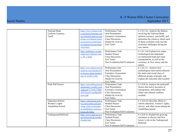| National Bank<br><b>Uniform Currency</b><br>Tariff             | https://www.historyisfu<br>n.org/learn/learning-cen<br>ter/colonial-america-am<br>erican-revolution-learni<br>ng-resources/american-<br>revolution-lesson-plans<br>-activities/ | Performance Task<br>Oral Presentation<br>Formative Assessment<br><b>Class Discussion</b><br>Hands-On Activity<br><b>Exit Ticket</b>        | 6.1.8.C.4.a Analyze the debates<br>involving the National Bank,<br>uniform currency, and tariffs, and<br>determine the extent to which each<br>of these economic tools met the<br>economic challenges facing the<br>new nation. |
|----------------------------------------------------------------|---------------------------------------------------------------------------------------------------------------------------------------------------------------------------------|--------------------------------------------------------------------------------------------------------------------------------------------|---------------------------------------------------------------------------------------------------------------------------------------------------------------------------------------------------------------------------------|
|                                                                | http://amhistory.si.edu/<br>onthemove/themes/stor<br>y 50 1.html                                                                                                                | Performance Task<br><b>Student Project</b><br><b>Class Discussion</b><br><b>Exit Ticket</b><br>Peer Evaluation/Self Evaluation             | 6.1.8.C.4.b Explain how major<br>technological developments<br>revolutionized land and water<br>transportation, as well as the<br>economy, in New Jersey and the<br>nation.                                                     |
|                                                                | http://www.discoveryed<br>ucation.com/teachers/fr<br>ee-lesson-plans/technol<br>ogy-at-work-2.cfm                                                                               | Performance task<br>Oral Presentation<br>Formative Assessment<br><b>Class Discussion</b><br>Hands-On Activity<br>Exit Ticket               | 6.1.8.C.4.c Analyze how<br>technological innovations affected<br>the status and social class of<br>different groups of people, and<br>explain the outcomes that resulted.                                                       |
| <b>Push-Pull Factors</b>                                       | https://mrswhitecawood<br>elementary.weebly.com<br>/uploads/7/7/9/6/77966<br>268/lesson5-pushpullfa<br>ctors.pdf                                                                | Performance Task<br>Oral Presentation<br><b>Formative Assessment</b><br><b>Class Discussion</b><br>Hands-On Activity<br><b>Exit Ticket</b> | 6.1.8.D.4.a Analyze the push-pull<br>factors that led to increases in<br>immigration, and explain why<br>ethnic and cultural conflicts<br>resulted.                                                                             |
| <b>Education Reform</b><br>Women's rights<br>Antebellum Period | https://edsitement.neh.g<br>ov/curriculum-unit/gro<br>wing-crisis-sectionalis<br>m-antebellum-america-<br>house-dividing                                                        | Performance Task<br><b>Student Project</b><br><b>Class Discussion</b><br><b>Exit Ticket</b><br>Peer Evaluation/Self Evaluation             | 6.1.8.D.4.b Describe efforts to<br>reform education, women's rights,<br>slavery, and other issues during the<br>Antebellum period.                                                                                              |
| <b>Underground Railroad</b>                                    | http://www.state.nj.us/s<br>tate/historykids/teacher<br>sGuide.htm                                                                                                              | Performance Task<br><b>Student Project</b><br><b>Class Discussion</b><br><b>Exit Ticket</b><br>Peer Evaluation/Self Evaluation             | 6.1.8.D.4.c Explain the growing<br>resistance to slavery and New<br>Jersey's role in the Underground<br>Railroad.                                                                                                               |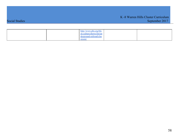|  | //www.pbs.org/bla           |  |
|--|-----------------------------|--|
|  | -culture/shows/list/un<br>. |  |
|  | rground-railroad/clas       |  |
|  | sroom/                      |  |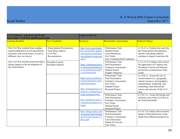| 6.1 U.S. History: America in the World           |                                  | <b>Grade Levels: 5-8</b>  |                                 |                                    |
|--------------------------------------------------|----------------------------------|---------------------------|---------------------------------|------------------------------------|
| <b>Focus Topic: Civil War and Reconstruction</b> |                                  |                           |                                 |                                    |
| <b>Learning Standard</b>                         | New Vocabulary                   | Resources                 | <b>Benchmarks/Assessments</b>   | <b>Student Evidence</b>            |
|                                                  |                                  |                           |                                 |                                    |
| The Civil War resulted from complex              | <b>Emancipation Proclamation</b> | http://www.storyboardt    | Performance Task                | 6.1.8.A.5.a Explain how and why    |
| regional differences involving political,        | Gettysburg Address               | hat.com/teacher-guide/e   | <b>Student Project</b>          | the Emancipation Proclamation      |
| economic, and social issues, as well as          | Civil War                        | mancipation-proclamati    | <b>Class Discussion</b>         | and the Gettysburg Address         |
| different views on slavery.                      | Reconstruction                   | on-a-primary-source-an    | <b>Exit Ticket</b>              | continue to impact American life.  |
|                                                  |                                  | alysis                    | Peer Evaluation/Self Evaluation |                                    |
| The Civil War and Reconstruction had a           | President Lincoln                |                           | Performance Task                | 6.1.8.A.5.b Compare and contrast   |
| lasting impact on the development of             | President Johnson                | https://edsitement.neh.g  | Oral Presentation               | the approaches of Congress and     |
| the United States.                               |                                  | ov/lesson-plan/battle-ov  | <b>Formative Assessment</b>     | Presidents Lincoln and Johnson     |
|                                                  |                                  | er-reconstruction-politi  | <b>Student Project</b>          | toward the reconstruction of the   |
|                                                  |                                  | cs-reconstruction         | Graphic Organizer               | South.                             |
|                                                  |                                  |                           | Performance Task                | 6.1.8.B.5.a Assess the role of     |
|                                                  |                                  | https://www.civilwar.or   | Oral Presentation               | various factors (i.e., geography,  |
|                                                  |                                  | g/learn/educators/curric  | Formative Assessment            | natural resources, demographics,   |
|                                                  |                                  | ulum/elementary           | <b>Exit Ticket</b>              | transportation, leadership, and    |
|                                                  |                                  |                           | <b>Student Project</b>          | technology) that affected the      |
|                                                  |                                  | http://teachinghistory.or | Research Project                | course and outcome of the Civil    |
|                                                  |                                  | g/history-content/beyon   |                                 | War.                               |
|                                                  |                                  | d-the-textbook/23912      | Performance Task                | 6.1.8.C.5.a Assess the human and   |
|                                                  |                                  |                           | Oral Presentation               | material costs of the Civil War in |
|                                                  |                                  | http://besthistorysites.n | Formative Assessment            | the North and South.               |
|                                                  |                                  | et/american-history/civi  | Exit Ticket                     |                                    |
|                                                  |                                  | $1$ -war/                 | <b>Student Project</b>          |                                    |
|                                                  |                                  |                           | Research Project                |                                    |
|                                                  |                                  | http://chssp.ucdavis.edu  | Performance Task                | 6.1.8.C.5.b Analyze the economic   |
|                                                  |                                  | /programs/historybluepr   | Oral Presentation               | impact of Reconstruction on the    |
|                                                  |                                  | int/civil-war-lesson-7-e  | Formative Assessment            | South from different perspectives. |
|                                                  |                                  | ffects.pdf                | <b>Class Discussion</b>         |                                    |
|                                                  |                                  |                           | Hands-On Activity               |                                    |
|                                                  |                                  |                           | <b>Exit Ticket</b>              |                                    |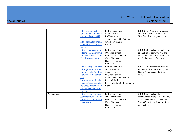|            | http://teachinghistory.or<br>g/history-content/beyon<br>d-the-textbook/23912<br>http://besthistorysites.n<br>et/american-history/civi<br>$1$ -war $/$                                                                                     | Performance Task<br><b>Student Project</b><br>In-Class Activity<br><b>Student Hands-On Activity</b><br>Graphic Organizer<br>Rubric                                                        | 6.1.8.D.5.a Prioritize the causes<br>and events that led to the Civil<br>War from different perspectives.                                              |
|------------|-------------------------------------------------------------------------------------------------------------------------------------------------------------------------------------------------------------------------------------------|-------------------------------------------------------------------------------------------------------------------------------------------------------------------------------------------|--------------------------------------------------------------------------------------------------------------------------------------------------------|
|            | https://www.civilwar.or<br>g/learn/educators/curric<br>ulum/elementary-schoo<br>l/civil-war-overview                                                                                                                                      | Performance Task<br>Oral Presentation<br>Formative Assessment<br><b>Class Discussion</b><br>Hands-On Activity<br><b>Exit Ticket</b>                                                       | 6.1.8.D.5.b Analyze critical events<br>and battles of the Civil War and<br>determine how they contributed to<br>the final outcome of the war.          |
|            | http://www.pbs.org/opb<br>/historydetectives/educa<br>tors/lessonplan/civil-wa<br>r-blacks-on-the-battlefi<br>eld/<br>https://www.gilderlehr<br>man.org/content/guided<br>-readings-impact-revolu<br>tion-women-and-africa<br>n-americans | Performance Task<br>Oral Presentation<br><b>Student Project</b><br>In-Class Activity<br><b>Student Hands-On Activity</b><br>Research Project<br>Peer Evaluation/Self Evaluation<br>Rubric | 6.1.8.D.5.c Examine the roles of<br>women, African Americans, and<br>Native Americans in the Civil<br>War.                                             |
| Amendments | https://betterlesson.com<br>/community/lesson/195<br>60/lesson-1-13-14-15-a<br>mendments                                                                                                                                                  | Performance Task<br>Oral Presentation<br>Formative Assessment<br><b>Class Discussion</b><br>Hands-On Activity<br><b>Exit Ticket</b>                                                       | 6.1.8.D.5.d Analyze the<br>effectiveness of the 13th, 14th, and<br>15th Amendments to the United<br>States Constitution from multiple<br>perspectives. |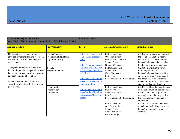| 6.2 World History/Global Studies                                              |                                | <b>Grade Levels: 5-8</b> |                                 |                                       |  |
|-------------------------------------------------------------------------------|--------------------------------|--------------------------|---------------------------------|---------------------------------------|--|
| <b>Focus Topic: The Beginning of Human Society: Paleolithic and Neolithic</b> |                                |                          |                                 |                                       |  |
| <b>Ages</b>                                                                   |                                |                          |                                 |                                       |  |
| Learning Standard                                                             | New Vocabulary                 | <b>Resources</b>         | <b>Benchmarks/Assessments</b>   | <b>Student Evidence</b>               |  |
|                                                                               |                                |                          |                                 |                                       |  |
| Hunter/gatherers adapted to their                                             | Hunter/Gatherer                | http://earlyhumans.mrd   | Performance Task                | 6.2.8.A.1.a Compare and contrast      |  |
| physical environments using resources,                                        | <b>Agricultural Revolution</b> | onn.org/huntergatherer.  | Oral Presentation               | the social organization, natural      |  |
| the natural world, and technological                                          | <b>Agrarian Society</b>        | html                     | <b>Formative Assessment</b>     | resources, and land use of early      |  |
| advancements.                                                                 |                                |                          | <b>Student Project</b>          | hunters/gatherers and those who       |  |
|                                                                               |                                | https://www.eduplace.c   | Graphic Organizer               | lived in early agrarian societies.    |  |
| The agricultural revolution led to an                                         | Society                        | om/ss/socsci/ca/books/b  | Performance Task                | 6.2.8.B.1.a Explain the various       |  |
| increase in population, specialization of                                     | <b>Migratory Patterns</b>      | $kf3/reviews/pdfs/LS$ 6  | <b>Student Project</b>          | migratory patterns of                 |  |
| labor, new forms of social organization,                                      |                                | 02 01.pdf                | <b>Class Discussion</b>         | hunters/gatherers that moved from     |  |
| and the beginning of societies.                                               |                                |                          | <b>Exit Ticket</b>              | Africa to Eurasia, Australia, and     |  |
|                                                                               |                                | https://educators.brainp | Peer Evaluation/Self Evaluation | the Americas, and describe the        |  |
| Archaeology provides historical and                                           |                                | op.com/bp-topic/agricul  |                                 | impact of migration on their lives    |  |
| scientific explanations for how ancient                                       |                                | tural-revolution/        |                                 | and on the shaping of societies.      |  |
| people lived.                                                                 | Food Surplus                   |                          | Performance Task                | 6.2.8.C.1.a Describe the influence    |  |
|                                                                               | Archaeology                    | http://www.historyworl   | <b>Student Project</b>          | of the agricultural revolution (e.g., |  |
|                                                                               | Civilization                   | d.net/wrldhis/PlainText  | <b>Class Discussion</b>         | the impact of food surplus from       |  |
|                                                                               |                                | Histories.asp?historyid  | <b>Exit Ticket</b>              | farming) on population growth and     |  |
|                                                                               |                                | $=ab63$                  | Peer Evaluation/Self Evaluation | the subsequent development of         |  |
|                                                                               |                                |                          |                                 | civilizations.                        |  |
|                                                                               |                                |                          | Performance Task                | 6.2.8.C.1.b Determine the impact      |  |
|                                                                               |                                |                          | Oral Presentation               | of technological advancements on      |  |
|                                                                               |                                |                          | <b>Student Project</b>          | hunter/gatherer and agrarian          |  |
|                                                                               |                                |                          | <b>Class Discussion</b>         | societies.                            |  |
|                                                                               |                                |                          | Research Project                |                                       |  |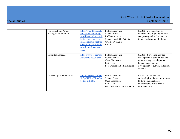| Pre-agricultural Period<br>Post-agricultural Period | https://www.khanacade<br>my.org/humanities/ap-<br>world-history/ap-world-<br>history-beginnings/ap-b<br>irth-agriculture-neolithi<br>c-revolution/a/neolithic<br>-revolution-lesson-sum<br>mary | Performance Task<br><b>Student Project</b><br>In-Class Activity<br><b>Student Hands-On Activity</b><br>Graphic Organizer<br>Rubric | 6.2.8.D.1.a Demonstrate an<br>understanding of pre-agricultural<br>and post-agricultural periods in<br>terms of relative length of time.                                    |
|-----------------------------------------------------|-------------------------------------------------------------------------------------------------------------------------------------------------------------------------------------------------|------------------------------------------------------------------------------------------------------------------------------------|-----------------------------------------------------------------------------------------------------------------------------------------------------------------------------|
| Unwritten Language                                  | http://www.pbs.org/pov<br>/tailenders/lesson-plan/                                                                                                                                              | Performance Task<br><b>Student Project</b><br>Class Discussion<br><b>Exit Ticket</b><br>Peer Evaluation/Self Evaluation            | 6.2.8.D.1.b Describe how the<br>development of both written and<br>unwritten languages impacted<br>human understanding,<br>development of culture, and social<br>structure. |
| Archaeological Discoveries                          | http://www.saa.org/pub<br>licftp/PUBLIC/links/we<br>bsites kids.html                                                                                                                            | Performance Task<br><b>Student Project</b><br>Class Discussion<br><b>Exit Ticket</b><br>Peer Evaluation/Self Evaluation            | 6.2.8.D.1.c Explain how<br>archaeological discoveries are used<br>to develop and enhance<br>understanding of life prior to<br>written records.                              |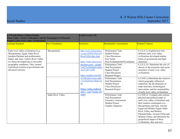| <b>Focus Topic: Early Civilizations and the Emergences of Pastoral</b> | <b>Grade Levels: 5-8</b>                                                                                                                                                                                                                                                                                   |                                                                                                                                                                                                                                                                                                                                                                                                                                                                                           |                                                                                                                                                                                                                                                                                                                                                                                                                                                                                                                                                                                                                                                                                                                                                                                                                                                                                                |  |
|------------------------------------------------------------------------|------------------------------------------------------------------------------------------------------------------------------------------------------------------------------------------------------------------------------------------------------------------------------------------------------------|-------------------------------------------------------------------------------------------------------------------------------------------------------------------------------------------------------------------------------------------------------------------------------------------------------------------------------------------------------------------------------------------------------------------------------------------------------------------------------------------|------------------------------------------------------------------------------------------------------------------------------------------------------------------------------------------------------------------------------------------------------------------------------------------------------------------------------------------------------------------------------------------------------------------------------------------------------------------------------------------------------------------------------------------------------------------------------------------------------------------------------------------------------------------------------------------------------------------------------------------------------------------------------------------------------------------------------------------------------------------------------------------------|--|
| New Vocabulary                                                         | <b>Resources</b>                                                                                                                                                                                                                                                                                           | <b>Benchmarks/Assessments</b>                                                                                                                                                                                                                                                                                                                                                                                                                                                             | <b>Student Evidence</b>                                                                                                                                                                                                                                                                                                                                                                                                                                                                                                                                                                                                                                                                                                                                                                                                                                                                        |  |
|                                                                        |                                                                                                                                                                                                                                                                                                            |                                                                                                                                                                                                                                                                                                                                                                                                                                                                                           |                                                                                                                                                                                                                                                                                                                                                                                                                                                                                                                                                                                                                                                                                                                                                                                                                                                                                                |  |
| Mesopotamia<br><b>Indus River Valley</b>                               | http://www.historyhave<br>n.com/APWH/The%20<br>River%20Valley.htm<br>https://static.discoverye<br>ducation.com//Grade<br>%207%20Model%20Le<br>sson%20-%20E<br>https://quizlet.com/647<br>41338/early-river-valle<br>y-civilizations-flash-car<br>ds/<br>https://php.radford.<br>edu/~vga/?page_id=<br>3987 | Performance Task<br><b>Student Project</b><br><b>Class Discussion</b><br><b>Exit Ticket</b><br>Peer Evaluation/Self Evaluation<br>Performance Task<br>Oral Presentation<br><b>Student Project</b><br><b>Class Discussion</b><br>Research Project<br>Performance Task<br>Oral Presentation<br><b>Student Project</b><br><b>Class Discussion</b><br>Research Project<br>Performance Task<br>Oral Presentation<br><b>Formative Assessment</b><br><b>Student Project</b><br>Graphic Organizer | 6.2.8.A.2.a Explain how/why<br>different early river valley<br>civilizations developed similar<br>forms of government and legal<br>structures.<br>6.2.8.A.2.b Determine the role of<br>slavery in the economic and social<br>structures of early river valley<br>civilizations.<br>6.2.8.B.2.a Determine the extent to<br>which geography influenced<br>settlement, the development of<br>trade networks, technological<br>innovations, and the sustainability<br>of early river valley civilizations.<br>6.2.8.B.2.b Compare and contrast<br>physical and political maps of<br>early river valley civilizations and<br>their modern counterparts (i.e.,<br>Mesopotamia and Iraq; Ancient<br>Egypt and Modern Egypt; Indus<br>River Valley and Modern<br>Pakistan/India; Ancient China and<br>Modern China), and determine the<br>geopolitical impact of these<br>civilizations, then and now. |  |
|                                                                        |                                                                                                                                                                                                                                                                                                            |                                                                                                                                                                                                                                                                                                                                                                                                                                                                                           |                                                                                                                                                                                                                                                                                                                                                                                                                                                                                                                                                                                                                                                                                                                                                                                                                                                                                                |  |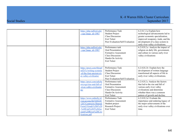|  | https://php.radford.edu/<br>$\sim$ vga/?page id=3987<br>https://php.radford.edu/<br>$\sim$ vga/?page_id=3987                                                    | Performance Task<br><b>Student Project</b><br><b>Class Discussion</b><br><b>Exit Ticket</b><br>Peer Evaluation/Self Evaluation<br>Performance task<br>Oral Presentation<br><b>Formative Assessment</b><br><b>Class Discussion</b><br>Hands-On Activity<br><b>Exit Ticket</b> | 6.2.8.C.2.a Explain how<br>technological advancements led to<br>greater economic specialization,<br>improved weaponry, trade, and the<br>development of a class system in<br>early river valley civilizations.<br>6.2.8.D.2.a Analyze the impact of<br>religion on daily life, government,<br>and culture in various early river<br>valley civilizations |
|--|-----------------------------------------------------------------------------------------------------------------------------------------------------------------|------------------------------------------------------------------------------------------------------------------------------------------------------------------------------------------------------------------------------------------------------------------------------|----------------------------------------------------------------------------------------------------------------------------------------------------------------------------------------------------------------------------------------------------------------------------------------------------------------------------------------------------------|
|  | https://prezi.com/6hizpf<br>mf2t7c/writing-systems<br>-of-the-four-ancient-riv<br>er-valley-civilizatio/                                                        | Performance Task<br><b>Student Project</b><br><b>Class Discussion</b><br><b>Exit Ticket</b><br>Peer Evaluation/Self Evaluation                                                                                                                                               | 6.2.8.D.2.b Explain how the<br>development of written language<br>transformed all aspects of life in<br>early river valley civilizations.                                                                                                                                                                                                                |
|  | https://prezi.com/adichc<br>swyxgz/rise-and-fall-of<br>-river-valley-civilizatio<br>ns/                                                                         | Performance task<br>Oral Presentation<br>Formative Assessment<br><b>Class Discussion</b><br>Hands-On Activity<br><b>Exit Ticket</b>                                                                                                                                          | 6.2.8.D.2.c Analyze the factors<br>that led to the rise and fall of<br>various early river valley<br>civilizations and determine<br>whether there was a common<br>pattern of growth and decline.                                                                                                                                                         |
|  | https://www.mtholly.k1<br>2.nj.us/cms/lib/NJ0220<br>1267/Centricity/Shared/<br>Form2/Grade%206%20<br>-%20Unit%203%20An<br>cient%20River%20Civi<br>lizations.pdf | Performance Task<br>Formative Assessment<br>Student project<br>Research Project<br><b>Exit Ticket</b>                                                                                                                                                                        | 6.2.8.D.2.d Evaluate the<br>importance and enduring legacy of<br>the major achievements of the<br>early river valley civilizations over<br>time.                                                                                                                                                                                                         |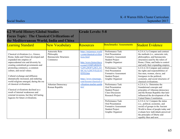| <b>6.2 World History/Global Studies</b>                                                                                                                                                                                                                                                                                                                                                                                                                                                                                                                                        |                                                                                                                     | <b>Grade Levels: 5-8</b>                                                                                                                                                                                                                                     |                                                                                                                                                                                                                                                                                                                                                                                                                                                           |                                                                                                                                                                                                                                                                                                                                                                                                                                                                                                                                                                                                                                                                                                                                                       |
|--------------------------------------------------------------------------------------------------------------------------------------------------------------------------------------------------------------------------------------------------------------------------------------------------------------------------------------------------------------------------------------------------------------------------------------------------------------------------------------------------------------------------------------------------------------------------------|---------------------------------------------------------------------------------------------------------------------|--------------------------------------------------------------------------------------------------------------------------------------------------------------------------------------------------------------------------------------------------------------|-----------------------------------------------------------------------------------------------------------------------------------------------------------------------------------------------------------------------------------------------------------------------------------------------------------------------------------------------------------------------------------------------------------------------------------------------------------|-------------------------------------------------------------------------------------------------------------------------------------------------------------------------------------------------------------------------------------------------------------------------------------------------------------------------------------------------------------------------------------------------------------------------------------------------------------------------------------------------------------------------------------------------------------------------------------------------------------------------------------------------------------------------------------------------------------------------------------------------------|
| <b>Focus Topic: The Classical Civilizations of</b>                                                                                                                                                                                                                                                                                                                                                                                                                                                                                                                             |                                                                                                                     |                                                                                                                                                                                                                                                              |                                                                                                                                                                                                                                                                                                                                                                                                                                                           |                                                                                                                                                                                                                                                                                                                                                                                                                                                                                                                                                                                                                                                                                                                                                       |
| the Mediterranean World, India and China                                                                                                                                                                                                                                                                                                                                                                                                                                                                                                                                       |                                                                                                                     |                                                                                                                                                                                                                                                              |                                                                                                                                                                                                                                                                                                                                                                                                                                                           |                                                                                                                                                                                                                                                                                                                                                                                                                                                                                                                                                                                                                                                                                                                                                       |
| Learning Standard                                                                                                                                                                                                                                                                                                                                                                                                                                                                                                                                                              | New Vocabulary                                                                                                      | <b>Resources</b>                                                                                                                                                                                                                                             | <b>Benchmarks/Assessments</b>                                                                                                                                                                                                                                                                                                                                                                                                                             | <b>Student Evidence</b>                                                                                                                                                                                                                                                                                                                                                                                                                                                                                                                                                                                                                                                                                                                               |
| Classical civilizations (i.e., Greece,<br>Rome, India and China) developed and<br>expanded into empires of<br>unprecedented size and diversity by<br>creating centralized governments and<br>promoting commerce, a common<br>culture, and social values.<br>Cultural exchange and diffusion<br>dramatically increased, and enduring<br>world religions emerged, during the era<br>of classical civilizations.<br>Classical civilizations declined as a<br>result of internal weaknesses and<br>external invasions, but they left lasting<br>legacies for future civilizations. | Autocratic Rule<br>Philosophy<br><b>Bureaucratic Structures</b><br>Commerce<br>Athenian Democracy<br>Roman Republic | https://mrjannace.weebl<br>y.com/classical-civiliza<br>tions.html<br>http://www.historyhave<br>n.com/COMPARISON<br>%20%20OF%20CLAS<br>SICAL%20CIVILIZAT<br>IONS.htm<br>https://www.timemaps.<br>com/lessons/classical-ci<br>vilization-teacher-guida<br>nce/ | Performance Task<br><b>Oral Presentation</b><br>Formative Assessment<br><b>Student Project</b><br>Graphic Organizer<br>Performance Task<br><b>Oral Presentation</b><br><b>Formative Assessment</b><br><b>Student Project</b><br>Graphic Organizer<br>Performance Task<br><b>Oral Presentation</b><br><b>Student Project</b><br><b>Class Discussion</b><br>Research Project<br>Performance Task<br><b>Oral Presentation</b><br><b>Formative Assessment</b> | 6.2.8.A.3.a Compare and contrast<br>the methods (i.e., autocratic rule,<br>philosophies, and bureaucratic<br>structures) used by the rulers of<br>Rome, China, and India to control<br>and unify their expanding empires.<br>6.2.8.A.3.b Compare and contrast<br>the rights and responsibilities of<br>free men, women, slaves, and<br>foreigners in the political,<br>economic, and social structures of<br>classical civilizations.<br>6.2.8.A.3.c Determine the<br>foundational concepts and<br>principles of Athenian democracy<br>and the Roman Republic that later<br>influenced the development of the<br>United States Constitution.<br>6.2.8.A.3.d Compare the status<br>(i.e., political, economic, and<br>social) of groups in the Ancient |
|                                                                                                                                                                                                                                                                                                                                                                                                                                                                                                                                                                                |                                                                                                                     |                                                                                                                                                                                                                                                              | <b>Student Project</b><br>Graphic Organizer                                                                                                                                                                                                                                                                                                                                                                                                               | World to those of people today and<br>evaluate how individuals perceived<br>the principles of liberty and<br>equality then and now.                                                                                                                                                                                                                                                                                                                                                                                                                                                                                                                                                                                                                   |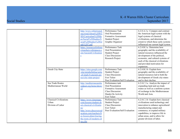|                                | http://www.whitetwpsd.    | Performance Task                | 6.2.8.A.3.e Compare and contrast    |
|--------------------------------|---------------------------|---------------------------------|-------------------------------------|
|                                | org/wtsd/About%20WT       | Oral Presentation               | the American legal system with the  |
|                                | SD/Curriculum%20Ma        | <b>Formative Assessment</b>     | legal systems of classical          |
|                                | ps/Social%20Studies/S     | <b>Student Project</b>          | civilizations, and determine the    |
|                                | ocial%20Studies%20Gr      | Graphic Organizer               | extent to which these early systems |
|                                | ade%207.pdf               |                                 | influenced our current legal system |
|                                | https://resourcesforhisto | Performance Task                | 6.2.8.B.3.a Determine how           |
|                                | ryteachers.wikispaces.c   | <b>Oral Presentation</b>        | geography and the availability of   |
|                                | om/AncientCivilization    | <b>Student Project</b>          | natural resources influenced the    |
|                                | $\underline{\mathbf{S}}$  | <b>Class Discussion</b>         | development of the political,       |
|                                |                           | <b>Research Project</b>         | economic, and cultural systems of   |
|                                |                           |                                 | each of the classical civilizations |
|                                |                           |                                 | and provided motivation for         |
|                                |                           |                                 | expansion.                          |
| Greek City-State               | https://sites.google.com  | Performance Task                | 6.2.8.B.3.b Explain how             |
|                                | /site/mirabellafmg/units  | <b>Student Project</b>          | geography and the availability of   |
|                                | -of-study/6-ancient-gre   | <b>Class Discussion</b>         | natural resources led to both the   |
|                                | ece/city-state-project    | <b>Exit Ticket</b>              | development of Greek city-states    |
|                                |                           | Peer Evaluation/Self Evaluation | and to their decline.               |
| Sea Trade Routes               | http://mediterraneansha   | Performance task                | 6.2.8.C.3.a Analyze the impact of   |
| Mediterranean World            | redpast.org/items/show/   | Oral Presentation               | expanding land and sea trade        |
|                                | 15                        | <b>Formative Assessment</b>     | routes as well as a uniform system  |
|                                |                           | <b>Class Discussion</b>         | of exchange in the Mediterranean    |
|                                |                           | Hands-On Activity               | World and Asia.                     |
|                                |                           | <b>Exit Ticket</b>              |                                     |
| <b>Classical Civilizations</b> | https://www.timemaps.     | Performance Task                | 6.2.8.C.3.b Explain how classical   |
| Urban                          | com/lessons/student-sh    | <b>Student Project</b>          | civilizations used technology and   |
| Division of Labor              | eet-classical-civilizatio | <b>Class Discussion</b>         | innovation to enhance agricultural/ |
|                                | $\frac{ns}{2}$            | <b>Exit Ticket</b>              | manufacturing output and            |
|                                | http://www.discoveryed    | Peer Evaluation/Self Evaluation | commerce, to expand military        |
|                                | ucation.com/teachers/fr   |                                 | capabilities, to improve life in    |
|                                | ee-lesson-plans/tracing-  |                                 | urban areas, and to allow for       |
|                                | the-roots-of-modern-cit   |                                 | greater division of labor.          |
|                                | ies.cfm                   |                                 |                                     |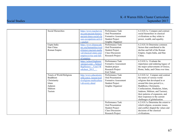| Social Hierarchies        | https://www.teachervisi   | Performance Task            | 6.2.8.D.3.a Compare and contrast    |
|---------------------------|---------------------------|-----------------------------|-------------------------------------|
|                           | on.com/ancient-history/   | <b>Oral Presentation</b>    | social hierarchies in classical     |
|                           | ancient-times-social-cla  | Formative Assessment        | civilizations as they relate to     |
|                           | sses-occupations-activit  | <b>Student Project</b>      | power, wealth, and equality.        |
|                           | y-packet                  | Graphic Organizer           |                                     |
| Gupta India               | https://www.khanacade     | Performance Task            | 6.2.8.D.3.b Determine common        |
| Han China                 | my.org/humanities/worl    | Oral Presentation           | factors that contributed to the     |
| Roman Empire              | d-history/ancient-medie   | <b>Student Project</b>      | decline and fall of the Roman       |
|                           | val/classical-states-and- | <b>Class Discussion</b>     | Empire, Gupta India, and Han        |
|                           | empires/a/rise-and-fall-  | <b>Research Project</b>     | China.                              |
|                           | of-empires                |                             |                                     |
|                           | https://school.bighistor  | Performance Task            | 6.2.8.D.3.c Evaluate the            |
|                           | yproject.com//School      | <b>Formative Assessment</b> | importance and enduring legacy of   |
|                           | BigHistory//Unit7/W       | Student project             | the major achievements of Greece,   |
|                           | orksheet 2015             | Research Project            | Rome, India, and China over time.   |
|                           |                           | <b>Exit Ticket</b>          |                                     |
| Tenets of World Religions | http://www.educationw     | Performance Task            | 6.2.8.D.3.d Compare and contrast    |
| <b>Buddhism</b>           | orld.com/a lesson/worl    | Oral Presentation           | the tenets of various world         |
| Christianity              | d-religions-multicultura  | <b>Formative Assessment</b> | religions that developed in or      |
| Islam                     | l-diversity.shtml         | <b>Student Project</b>      | around this time period (i.e.,      |
| Judaism                   |                           | Graphic Organizer           | Buddhism, Christianity,             |
| Sikhism                   |                           |                             | Confucianism, Hinduism, Islam,      |
| Taoism                    |                           |                             | Judaism, Sikhism, and Taoism),      |
|                           |                           |                             | their patterns of expansion, and    |
|                           |                           |                             | their responses to the current      |
|                           |                           |                             | challenges of globalization.        |
|                           |                           | Performance Task            | 6.2.8.D.3.e Determine the extent to |
|                           |                           | Oral Presentation           | which religion, economic issues,    |
|                           |                           | <b>Student Project</b>      | and conflict shaped the values and  |
|                           |                           | <b>Class Discussion</b>     | decisions of the classical          |
|                           |                           | <b>Research Project</b>     | civilizations.                      |
|                           |                           |                             |                                     |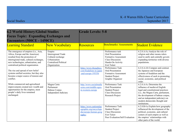| <b>6.2 World History/Global Studies</b><br><b>Focus Topic: Expanding Exchanges and</b><br>Encounters (500CE - 1450CE)                                                                                                                 |                                                                                                                    | <b>Grade Levels: 5-8</b>                                                            |                                                                                                                                            |                                                                                                                                                                                                                                                                    |
|---------------------------------------------------------------------------------------------------------------------------------------------------------------------------------------------------------------------------------------|--------------------------------------------------------------------------------------------------------------------|-------------------------------------------------------------------------------------|--------------------------------------------------------------------------------------------------------------------------------------------|--------------------------------------------------------------------------------------------------------------------------------------------------------------------------------------------------------------------------------------------------------------------|
| <b>Learning Standard</b>                                                                                                                                                                                                              | New Vocabulary                                                                                                     | <b>Resources</b>                                                                    | <b>Benchmarks/Assessments</b>                                                                                                              | <b>Student Evidence</b>                                                                                                                                                                                                                                            |
| The emergence of empires (i.e., Asia,<br>Africa, Europe and the Americas)<br>resulted from the promotion of<br>interregional trade, cultural exchanges,<br>new technologies, urbanization, and<br>centralized political organization. | Empire<br>Interregional Trade<br>Cultural exchange<br>Urbanization<br><b>Centralized Political</b><br>Organization |                                                                                     | Performance task<br><b>Oral Presentation</b><br>Formative Assessment<br><b>Class Discussion</b><br>Hands-On Activity<br><b>Exit Ticket</b> | 6.2.8.A.4.a Analyze the role of<br>religion and other means rulers<br>used to unify and centrally govern<br>expanding territories with diverse<br>populations.                                                                                                     |
| The rise and spread of new belief<br>systems unified societies, but they also<br>became a major source of tension and<br>conflict.                                                                                                    |                                                                                                                    | https://www.thoughtco.<br>com/feudalism-in-japan<br>-and-europe-195556              | Performance Task<br>Oral Presentation<br><b>Formative Assessment</b><br><b>Student Project</b><br>Graphic Organizer                        | 6.2.8.A.4.b Compare and contrast<br>the Japanese and European<br>systems of feudalism and the<br>effectiveness of each in promoting<br>social, economic, and political<br>order.                                                                                   |
| While commercial and agricultural<br>improvements created new wealth and<br>opportunities for the empires, most<br>people's daily lives remained<br>unchanged.                                                                        | Magna Carta<br>Parliament<br>Habeas Corpus<br><b>Independent Judiciary</b>                                         | http://www.socialstudie<br>scms.com/middle-ages-<br>in-western-europe               | Performance Task<br>Oral Presentation<br><b>Student Project</b><br><b>Class Discussion</b><br>Research Project                             | 6.2.8.A.4.c Determine the<br>influence of medieval English<br>legal and constitutional practices<br>(i.e., the Magna Carta, parliament,<br>the development of habeas corpus,<br>and an independent judiciary) on<br>modern democratic thought and<br>institutions. |
|                                                                                                                                                                                                                                       |                                                                                                                    | https://www.nationalge<br>ographic.org/encyclope<br>dia/europe-human-geog<br>raphy/ | Performance Task<br><b>Student Project</b><br><b>Class Discussion</b><br><b>Exit Ticket</b><br>Peer Evaluation/Self Evaluation             | 6.2.8.B.4.a Explain how geography<br>influenced the development of the<br>political, economic, and cultural<br>centers of each empire as well as<br>the empires' relationships with<br>other parts of the world.                                                   |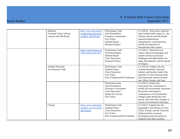## Maritime Overland Trade (African Caravan and Silk Road) [http://www.artic.edu/ai](http://www.artic.edu/aic/collections/citi/resources/Rsrc_001878.pdf) [c/collections/citi/resour](http://www.artic.edu/aic/collections/citi/resources/Rsrc_001878.pdf) [ces/Rsrc\\_001878.pdf](http://www.artic.edu/aic/collections/citi/resources/Rsrc_001878.pdf) Performance Task Oral Presentation Formative Assessment Exit Ticket Student Project Research Project 6.2.8.B.4.b Assess how maritime and overland trade routes (i.e., the African caravan and Silk Road) impacted urbanization, transportation, communication, and the development of international trade centers. [http://civiced.rutgers.ed](http://civiced.rutgers.edu/files/africa/unit1.pdf) [u/files/africa/unit1.pdf](http://civiced.rutgers.edu/files/africa/unit1.pdf) Performance Task Oral Presentation Student Project Class Discussion Research Project 6.2.8.B.4.c Determine how Africa's physical geography and natural resources presented challenges and opportunities for trade, development, and the spread of religion. Arabian Peninsula Aro-Eurasian Trade Performance Task Student Project Class Discussion Exit Ticket Peer Evaluation/Self Evaluation 6.2.8.B.4.d Explain why the Arabian Peninsula's physical features and location made it the epicenter of Afro-Eurasian trade and fostered the spread of Islam into Africa, Europe, and Asia. Performance task Oral Presentation Formative Assessment Class Discussion Hands-On Activity Exit Ticket 6.2.8.B.4.e Analyze the motivations for civilizations to modify the environment, determine the positive and negative consequences of environmental changes made during this time period, and relate these changes to current environmental challenges. Climate [https://www.nationalge](https://www.nationalgeographic.org/encyclopedia/climate/) [ographic.org/encyclope](https://www.nationalgeographic.org/encyclopedia/climate/) [dia/climate/](https://www.nationalgeographic.org/encyclopedia/climate/) Performance Task Student Project Class Discussion Exit Ticket Peer Evaluation/Self Evaluation 6.2.8.B.4.f Explain how the geographies and climates of Asia, Africa, Europe, and the Americas influenced their economic development and interaction or isolation with other societies.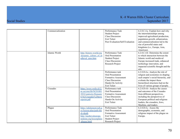| Commercialization |                                                                                                                                     | Performance Task<br><b>Student Project</b><br><b>Class Discussion</b><br><b>Exit Ticket</b><br>Peer Evaluation/Self Evaluation           | 6.2.8.C.4.a Explain how and why<br>the interrelationships among<br>improved agricultural production,<br>population growth, urbanization,<br>and commercialization led to the<br>rise of powerful states and<br>kingdoms (i.e., Europe, Asia,<br>Americas). |
|-------------------|-------------------------------------------------------------------------------------------------------------------------------------|------------------------------------------------------------------------------------------------------------------------------------------|------------------------------------------------------------------------------------------------------------------------------------------------------------------------------------------------------------------------------------------------------------|
| Islamic World     | http://history-world.org<br>/dynamic culture of m<br>edieval euro.htm                                                               | Performance Task<br>Oral Presentation<br><b>Student Project</b><br><b>Class Discussion</b><br>Research Project                           | 6.2.8.C.4.b Determine the extent<br>to which interaction between the<br>Islamic world and medieval<br>Europe increased trade, enhanced<br>technology innovation, and<br>impacted scientific thought and the<br>arts.                                       |
|                   |                                                                                                                                     | Performance task<br>Oral Presentation<br>Formative Assessment<br><b>Class Discussion</b><br>Hands-On Activity<br><b>Exit Ticket</b>      | 6.2.8.D.4.a Analyze the role of<br>religion and economics in shaping<br>each empire's social hierarchy, and<br>evaluate the impact these<br>hierarchical structures had on the<br>lives of various groups of people.                                       |
| Crusades          | https://www.wsfcs.k12.<br>nc.us/cms/lib/NC01001<br>395/Centricity/Domain/<br>6742/Crusades%20pow<br>erpoint.pdf                     | Performance task<br>Oral Presentation<br>Formative Assessment<br><b>Class Discussion</b><br>Hands-On Activity<br><b>Exit Ticket</b>      | 6.2.8.D.4.b Analyze the causes<br>and outcomes of the Crusades<br>from different perspectives,<br>including the perspectives of<br>European political and religious<br>leaders, the crusaders, Jews,<br>Muslims, and traders.                              |
| Plague            | https://edsitement.neh.g<br>ov/lesson-plan/path-bla<br>ck-death<br>http://medievaleurope.<br>mrdonn.org/lessonplans<br>/plague.html | Performance Task<br>Oral Presentation<br><b>Formative Assessment</b><br><b>Exit Ticket</b><br><b>Student Project</b><br>Research Project | 6.2.8.D.4.c Assess the<br>demographic, economic, and<br>religious impact of the plague on<br>Europe.                                                                                                                                                       |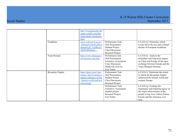|                         | http://livinginmedievale |                             |                                     |
|-------------------------|--------------------------|-----------------------------|-------------------------------------|
|                         | urope.weebly.com/the-    |                             |                                     |
|                         | black-death-simulation.  |                             |                                     |
|                         | html                     |                             |                                     |
| Feudalism               | www.wsfcs.k12.nc.us/     | Performance Task            | 6.2.8.D.4.d Determine which         |
|                         | ./Decline%20of%20Feu     | Oral Presentation           | events led to the rise and eventual |
|                         | dalism%20 %20Rise%       | <b>Student Project</b>      | decline of European feudalism.      |
|                         | 20of%20Nation            | <b>Class Discussion</b>     |                                     |
|                         |                          | Research Project            |                                     |
| <b>Yuan Dynasty</b>     | http://www.chinasage.i   | Performance task            | 6.2.8.D.4.e Analyze the             |
|                         | nfo/dynastyyuan.htm      | Oral Presentation           | immediate and long-term impact      |
|                         |                          | Formative Assessment        | on China and Europe of the open     |
|                         |                          | <b>Class Discussion</b>     | exchange between Europe and the     |
|                         |                          | Hands-On Activity           | Yuan (Mongol) Dynasty.              |
|                         |                          | Exit Ticket                 |                                     |
| <b>Byzantine Empire</b> | https://prezi.com/lignc  | Performance Task            | 6.2.8.D.4.f Determine the extent    |
|                         | kylcqy-/the-byzantine-e  | Oral Presentation           | to which the Byzantine Empire       |
|                         | mpires-influence-of-the  | <b>Student Project</b>      | influenced the Islamic world and    |
|                         | -islamic-world-and-wes   | <b>Class Discussion</b>     | western Europe.                     |
|                         | tern-europe/             | Research Project            |                                     |
|                         |                          | Performance Task            | 6.2.8.D.4.g Evaluate the            |
|                         |                          | <b>Formative Assessment</b> | importance and enduring legacy of   |
|                         |                          | Student project             | the major achievements of the       |
|                         |                          | Research Project            | people living Asia, Africa (Islam), |
|                         |                          | <b>Exit Ticket</b>          | Europe and the Americas over        |
|                         |                          |                             | time.                               |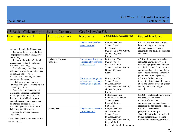| <b>6.3 Active Citizenship in the 21st Century</b>                                                                                                                                                                                                                                                                                                                                                                                                                                                                                                                                                                                                                                                                                                                                                                                                                                             |                                   | <b>Grade Levels: 5-8</b>                                                   |                                                                                                                                                                                 |                                                                                                                                                                                                                                                                    |
|-----------------------------------------------------------------------------------------------------------------------------------------------------------------------------------------------------------------------------------------------------------------------------------------------------------------------------------------------------------------------------------------------------------------------------------------------------------------------------------------------------------------------------------------------------------------------------------------------------------------------------------------------------------------------------------------------------------------------------------------------------------------------------------------------------------------------------------------------------------------------------------------------|-----------------------------------|----------------------------------------------------------------------------|---------------------------------------------------------------------------------------------------------------------------------------------------------------------------------|--------------------------------------------------------------------------------------------------------------------------------------------------------------------------------------------------------------------------------------------------------------------|
| Learning Standard                                                                                                                                                                                                                                                                                                                                                                                                                                                                                                                                                                                                                                                                                                                                                                                                                                                                             | <b>New Vocabulary</b>             | <b>Resources</b>                                                           | <b>Benchmarks/Assessments</b>                                                                                                                                                   | <b>Student Evidence</b>                                                                                                                                                                                                                                            |
| Active citizens in the 21st century:<br>Recognize the causes and effects<br>of prejudice on individuals, groups,<br>and society.<br>Recognize the value of cultural<br>diversity, as well as the potential<br>for misunderstanding.<br>Critically analyze media to assess<br>different viewpoints and detect bias,<br>opinion, and stereotypes.<br>· Listen open-mindedly to views<br>contrary to their own.<br>Collaboratively develop and<br>practice strategies for managing and<br>resolving conflict.<br>Demonstrate understanding of<br>democratic values and processes.<br>Recognize that the actions or<br>inactions of individuals, groups,<br>and nations can have intended and<br>unintended consequences.<br>Challenge unfair viewpoints and<br>behaviors by taking action.<br>Make informed and reasoned<br>decisions.<br>Accept decisions that are made for the<br>common good. |                                   | http://www.njspotlight.<br>com/education/                                  | Performance Task<br><b>Student Project</b><br>In-Class Activity<br><b>Student Hands-On Activity</b><br>Graphic Organizer<br>Rubric                                              | 6.3.8.A.1 Deliberate on a public<br>issue affecting an upcoming<br>election, consider opposing<br>arguments, and develop a reasoned<br>conclusion.                                                                                                                 |
|                                                                                                                                                                                                                                                                                                                                                                                                                                                                                                                                                                                                                                                                                                                                                                                                                                                                                               | Legislative Proposal<br>Municipal | http://www.njleg.state.n<br>j.us/legislativepub/pubh<br>earings2013.asp    | Performance Task<br><b>Student Project</b><br>In-Class Activity<br><b>Student Hands-On Activity</b><br>Graphic Organizer<br>Rubric                                              | 6.3.8.A.2 Participate in a real or<br>simulated hearing to develop a<br>legislative proposal that addresses<br>a public issue, and share it with an<br>appropriate legislative body (e.g.,<br>school board, municipal or county<br>government, state legislature). |
|                                                                                                                                                                                                                                                                                                                                                                                                                                                                                                                                                                                                                                                                                                                                                                                                                                                                                               |                                   | https://www2.ed.gov/te<br>achers/how/tech/interna<br>tional/guide pg2.html | Performance Task<br><b>Student Project</b><br>In-Class Activity<br>Student Hands-On Activity<br>Graphic Organizer<br>Rubric                                                     | 6.3.8.A.3 Collaborate with<br>international students to deliberate<br>about and address issues of gender<br>equality, child mortality, or<br>education.                                                                                                            |
|                                                                                                                                                                                                                                                                                                                                                                                                                                                                                                                                                                                                                                                                                                                                                                                                                                                                                               |                                   |                                                                            | Performance Task<br><b>Formative Assessment</b><br>Student project<br>Research Project<br><b>Exit Ticket</b>                                                                    | 6.3.8.B.1 Evaluate alternative land<br>use proposals and make<br>recommendations to the<br>appropriate governmental agency<br>regarding the best course of action.                                                                                                 |
|                                                                                                                                                                                                                                                                                                                                                                                                                                                                                                                                                                                                                                                                                                                                                                                                                                                                                               | Stakeholders                      | http://www.co.warren.n<br>j.us/budget.html                                 | Performance Task<br>Oral Presentation<br><b>Student Project</b><br>In-Class Activity<br><b>Student Hands-On Activity</b><br>Research Project<br>Peer Evaluation/Self Evaluation | 6.3.8.C.1 Examine the<br>perspectives of multiple<br>stakeholders involved in the local<br>budget process (e.g., obtaining<br>information, discussing priorities).                                                                                                 |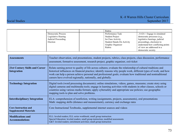|                     | Rubric                    |                                   |
|---------------------|---------------------------|-----------------------------------|
| Democratic Process  | Performance Task          | .3.8.D.1 Engage in simulated      |
| Legislative Hearing | <b>Student Project</b>    | democratic processes (e.g.,       |
| Judicial Proceeding | In-Class Activity         | legislative hearings, judicial    |
| Election            | Student Hands-On Activity | proceedings, elections) to        |
|                     | Graphic Organizer         | understand how conflicting points |
|                     | Rubric                    | of view are addressed in a        |
|                     |                           | democratic society.               |

| <b>Assessments</b>                                           | Teacher observation, oral presentations, student projects, rubrics, class projects, class discussion, performance<br>assessment, formative assessment, research project, graphic organizer, exit ticket                                                                                                                                                                                                       |
|--------------------------------------------------------------|---------------------------------------------------------------------------------------------------------------------------------------------------------------------------------------------------------------------------------------------------------------------------------------------------------------------------------------------------------------------------------------------------------------|
| <b>21st Century Skills and Career</b><br><b>Integration</b>  | Relate earning power to quality of life across cultures; evaluate the relationship of cultural traditions and<br>historical influences on financial practice; identify reasons why people work, different types of work, and how<br>work can help a person achieve personal and professional goals; evaluate how traditional and nontraditional<br>careers have evolved regionally, nationally, and globally. |
| <b>Technology Integration</b>                                | Digital tools (word processing documents); online simulations, videos, games, museums; create story using<br>digital cameras and multimedia tools; engage in learning activities with students in other classes, schools or<br>countries using various media formats; apply cybersafety and appropriate use policies; use geographic<br>mapping tools to plan and solve problems.                             |
| <b>Interdisciplinary Integration</b>                         | ELA: comprehension of nonfiction, writing (assignments, projects, assessments), oral presentations<br>Math: mapping skills (distance and measurement), currency and exchange rates                                                                                                                                                                                                                            |
| <b>Core Instruction and</b><br><b>Supplemental Materials</b> | Core Instructional Textbooks, supplemental internet sources and videos                                                                                                                                                                                                                                                                                                                                        |
| <b>Modifications and</b><br><b>Accommodations</b>            | ELL: leveled readers; ELL series workbook; small group instruction<br>Special Education: leveled readers; small group instruction; modified assessments<br>G&T: leveled readers; enrichment activities; small group instruction                                                                                                                                                                               |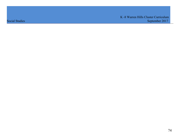K -8 Warren Hills Cluster Curriculum Social Studies September 2017